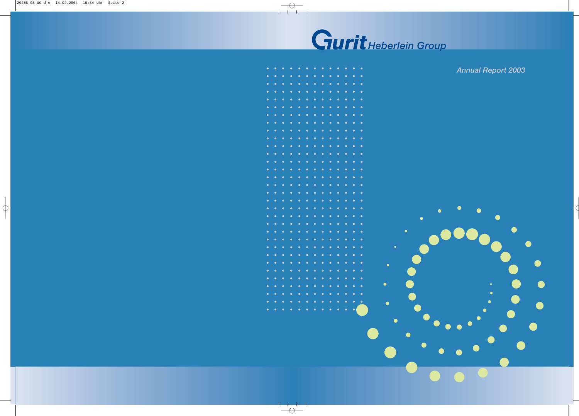

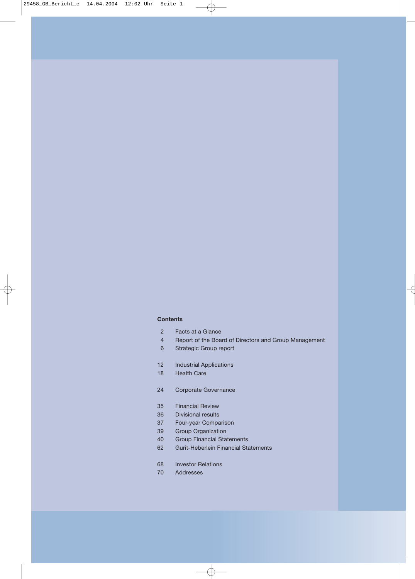#### **Contents**

- 2 Facts at a Glance
- 4 Report of the Board of Directors and Group Management
- 6 Strategic Group report
- 12 Industrial Applications
- 18 Health Care
- 24 Corporate Governance
- 35 Financial Review
- 36 Divisional results
- 37 Four-year Comparison
- 39 Group Organization
- 40 Group Financial Statements
- 62 Gurit-Heberlein Financial Statements
- 68 Investor Relations
- 70 Addresses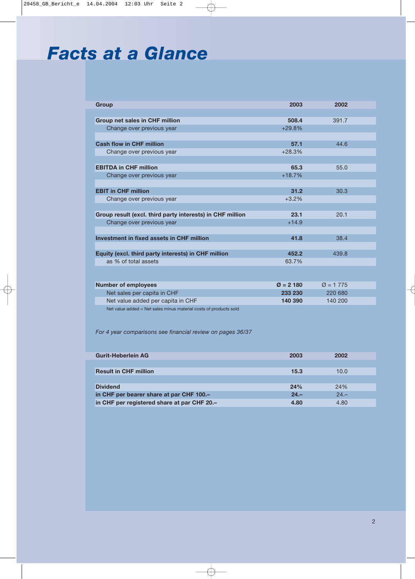# *Facts at a Glance*

| Group                                                             | 2003                  | 2002                 |  |
|-------------------------------------------------------------------|-----------------------|----------------------|--|
|                                                                   |                       |                      |  |
| <b>Group net sales in CHF million</b>                             | 508.4                 | 391.7                |  |
| Change over previous year                                         | $+29.8%$              |                      |  |
|                                                                   |                       |                      |  |
| <b>Cash flow in CHF million</b>                                   | 57.1                  | 44.6                 |  |
| Change over previous year                                         | $+28.3%$              |                      |  |
|                                                                   |                       |                      |  |
| <b>EBITDA in CHF million</b>                                      | 65.3                  | 55.0                 |  |
| Change over previous year                                         | $+18.7%$              |                      |  |
|                                                                   |                       |                      |  |
| <b>EBIT in CHF million</b>                                        | 31.2                  | 30.3                 |  |
| Change over previous year                                         | $+3.2%$               |                      |  |
|                                                                   |                       |                      |  |
| Group result (excl. third party interests) in CHF million         | 23.1                  | 20.1                 |  |
| Change over previous year                                         | $+14.9$               |                      |  |
|                                                                   |                       |                      |  |
| Investment in fixed assets in CHF million                         | 41.8                  | 38.4                 |  |
|                                                                   |                       |                      |  |
| Equity (excl. third party interests) in CHF million               | 452.2                 | 439.8                |  |
| as % of total assets                                              | 63.7%                 |                      |  |
|                                                                   |                       |                      |  |
|                                                                   |                       |                      |  |
| <b>Number of employees</b>                                        | $\varnothing$ = 2 180 | $\varnothing = 1775$ |  |
| Net sales per capita in CHF                                       | 233 230               | 220 680              |  |
| Net value added per capita in CHF                                 | 140 390               | 140 200              |  |
| Net value added = Net sales minus material costs of products sold |                       |                      |  |
|                                                                   |                       |                      |  |

*For 4 year comparisons see financial review on pages 36/37*

| <b>Gurit-Heberlein AG</b>                   | 2003   | 2002   |  |
|---------------------------------------------|--------|--------|--|
|                                             |        |        |  |
| <b>Result in CHF million</b>                | 15.3   | 10.0   |  |
|                                             |        |        |  |
| <b>Dividend</b>                             | 24%    | 24%    |  |
| in CHF per bearer share at par CHF 100.-    | $24 -$ | $24 -$ |  |
| in CHF per registered share at par CHF 20.- | 4.80   | 4.80   |  |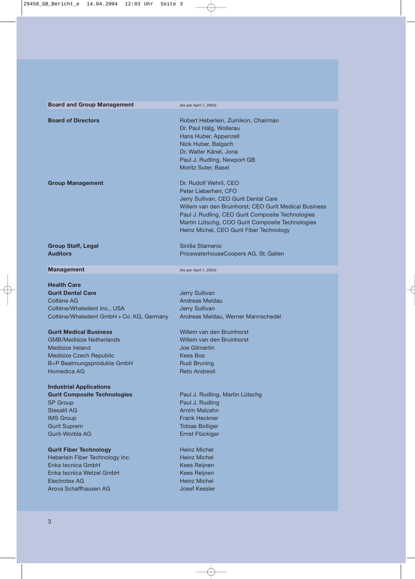| <b>Board and Group Management</b>                                                                                                                                            | (As per April 1, 2004)                                                                                                                                                                                                                                                                                 |
|------------------------------------------------------------------------------------------------------------------------------------------------------------------------------|--------------------------------------------------------------------------------------------------------------------------------------------------------------------------------------------------------------------------------------------------------------------------------------------------------|
| <b>Board of Directors</b>                                                                                                                                                    | Robert Heberlein, Zumikon, Chairman<br>Dr. Paul Hälg, Wollerau<br>Hans Huber, Appenzell<br>Nick Huber, Balgach<br>Dr. Walter Känel, Jona<br>Paul J. Rudling, Newport GB<br>Moritz Suter, Basel                                                                                                         |
| <b>Group Management</b>                                                                                                                                                      | Dr. Rudolf Wehrli, CEO<br>Peter Lieberherr, CFO<br>Jerry Sullivan, CEO Gurit Dental Care<br>Willem van den Bruinhorst, CEO Gurit Medical Business<br>Paul J. Rudling, CEO Gurit Composite Technologies<br>Martin Lütschg, COO Gurit Composite Technologies<br>Heinz Michel, CEO Gurit Fiber Technology |
| <b>Group Staff, Legal</b>                                                                                                                                                    | Siniša Stamenic                                                                                                                                                                                                                                                                                        |
| <b>Auditors</b>                                                                                                                                                              | PricewaterhouseCoopers AG, St. Gallen                                                                                                                                                                                                                                                                  |
|                                                                                                                                                                              |                                                                                                                                                                                                                                                                                                        |
| <b>Management</b>                                                                                                                                                            | (As per April 1, 2004)                                                                                                                                                                                                                                                                                 |
| <b>Health Care</b><br><b>Gurit Dental Care</b><br>Coltène AG<br>Coltène/Whaledent Inc., USA<br>Coltène/Whaledent GmbH + Co. KG, Germany<br><b>Gurit Medical Business</b>     | <b>Jerry Sullivan</b><br>Andreas Meldau<br>Jerry Sullivan<br>Andreas Meldau, Werner Mannschedel<br>Willem van den Bruinhorst                                                                                                                                                                           |
| <b>GMB/Medisize Netherlands</b>                                                                                                                                              | Willem van den Bruinhorst                                                                                                                                                                                                                                                                              |
| Medisize Ireland                                                                                                                                                             | Joe Gilmartin                                                                                                                                                                                                                                                                                          |
| Medisize Czech Republic                                                                                                                                                      | Kees Bos                                                                                                                                                                                                                                                                                               |
| B+P Beatmungsprodukte GmbH<br>Homedica AG                                                                                                                                    | Rudi Bruning<br><b>Reto Andreoli</b>                                                                                                                                                                                                                                                                   |
|                                                                                                                                                                              |                                                                                                                                                                                                                                                                                                        |
| <b>Industrial Applications</b><br><b>Gurit Composite Technologies</b><br><b>SP Group</b><br><b>Stesalit AG</b><br><b>IMS Group</b><br><b>Gurit Suprem</b><br>Gurit-Worbla AG | Paul J. Rudling, Martin Lütschg<br>Paul J. Rudling<br>Arnim Malzahn<br><b>Frank Heckner</b><br><b>Tobias Bolliger</b><br>Ernst Flückiger                                                                                                                                                               |
| <b>Gurit Fiber Technology</b>                                                                                                                                                | <b>Heinz Michel</b>                                                                                                                                                                                                                                                                                    |
| Heberlein Fiber Technology Inc.                                                                                                                                              | <b>Heinz Michel</b>                                                                                                                                                                                                                                                                                    |
| Enka tecnica GmbH                                                                                                                                                            | Kees Reijnen                                                                                                                                                                                                                                                                                           |
| Enka tecnica Wetzel GmbH                                                                                                                                                     | <b>Kees Reijnen</b>                                                                                                                                                                                                                                                                                    |
| Electrotex AG                                                                                                                                                                | <b>Heinz Michel</b>                                                                                                                                                                                                                                                                                    |
| Arova Schaffhausen AG                                                                                                                                                        | <b>Josef Kessler</b>                                                                                                                                                                                                                                                                                   |
|                                                                                                                                                                              |                                                                                                                                                                                                                                                                                                        |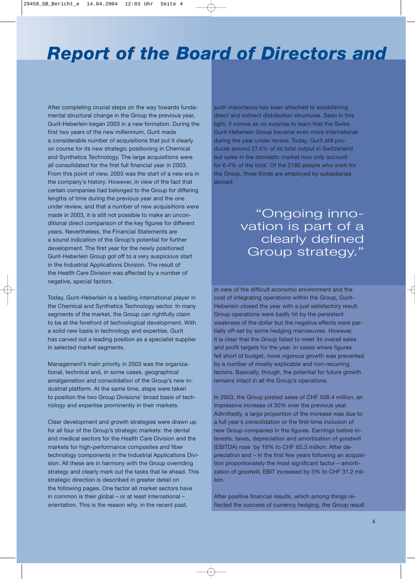# *Report of the Board of Directors and*

After completing crucial steps on the way towards fundamental structural change in the Group the previous year, Gurit-Heberlein began 2003 in a new formation. During the first two years of the new millennium, Gurit made a considerable number of acquisitions that put it clearly on course for its new strategic positioning in Chemical and Synthetics Technology. The large acquisitions were all consolidated for the first full financial year in 2003. From this point of view, 2003 was the start of a new era in the company's history. However, in view of the fact that certain companies had belonged to the Group for differing lengths of time during the previous year and the one under review, and that a number of new acquisitions were made in 2003, it is still not possible to make an unconditional direct comparison of the key figures for different years. Nevertheless, the Financial Statements are a sound indication of the Group's potential for further development. The first year for the newly positioned Gurit-Heberlein Group got off to a very auspicious start in the Industrial Applications Division. The result of the Health Care Division was affected by a number of negative, special factors.

Today, Gurit-Heberlein is a leading international player in the Chemical and Synthetics Technology sector. In many segments of the market, the Group can rightfully claim to be at the forefront of technological development. With a solid new basis in technology and expertise, Gurit has carved out a leading position as a specialist supplier in selected market segments.

Management's main priority in 2003 was the organizational, technical and, in some cases, geographical amalgamation and consolidation of the Group's new industrial platform. At the same time, steps were taken to position the two Group Divisions' broad basis of technology and expertise prominently in their markets.

Clear development and growth strategies were drawn up for all four of the Group's strategic markets: the dental and medical sectors for the Health Care Division and the markets for high-performance composites and fiber technology components in the Industrial Applications Division. All these are in harmony with the Group overriding strategy and clearly mark out the tasks that lie ahead. This strategic direction is described in greater detail on the following pages. One factor all market sectors have in common is their global – or at least international – orientation. This is the reason why, in the recent past,

such importance has been attached to establishing direct and indirect distribution structures. Seen in this light, it comes as no surprise to learn that the Swiss Gurit-Heberlein Group became even more international during the year under review. Today, Gurit still produces around 27.4% of its total output in Switzerland but sales in the domestic market now only account for 6.4% of the total. Of the 2180 people who work for the Group, three thirds are employed by subsidiaries abroad.

> "Ongoing innovation is part of a clearly defined Group strategy."

In view of the difficult economic environment and the cost of integrating operations within the Group, Gurit-Heberlein closed the year with a just satisfactory result. Group operations were badly hit by the persistent weakness of the dollar but the negative effects were partially off-set by some hedging manoeuvres. However, it is clear that the Group failed to meet its overall sales and profit targets for the year. In cases where figures fell short of budget, more vigorous growth was prevented by a number of mostly explicable and non-recurring factors. Basically, though, the potential for future growth remains intact in all the Group's operations.

In 2003, the Group posted sales of CHF 508.4 million, an impressive increase of 30% over the previous year. Admittedly, a large proportion of the increase was due to a full year's consolidation or the first-time inclusion of new Group companies in the figures. Earnings before interests, taxes, depreciation and amortisation of goodwill (EBITDA) rose by 19% to CHF 65.3 million. After depreciation and – in the first few years following an acquisition proportionately the most significant factor – amortization of goodwill, EBIT increased by 3% to CHF 31.2 million.

After positive financial results, which among things reflected the success of currency hedging, the Group result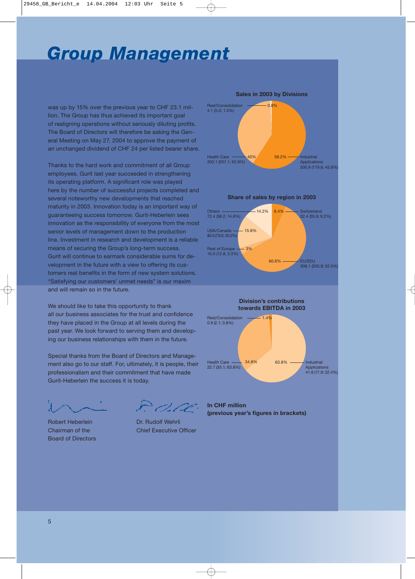# *Group Management*

was up by 15% over the previous year to CHF 23.1 million. The Group has thus achieved its important goal of realigning operations without seriously diluting profits. The Board of Directors will therefore be asking the General Meeting on May 27, 2004 to approve the payment of an unchanged dividend of CHF 24 per listed bearer share.

Thanks to the hard work and commitment of all Group employees, Gurit last year succeeded in strengthening its operating platform. A significant role was played here by the number of successful projects completed and several noteworthy new developments that reached maturity in 2003. Innovation today is an important way of guaranteeing success tomorrow. Gurit-Heberlein sees innovation as the responsibility of everyone from the most senior levels of management down to the production line. Investment in research and development is a reliable means of securing the Group's long-term success. Gurit will continue to earmark considerable sums for development in the future with a view to offering its customers real benefits in the form of new system solutions. "Satisfying our customers' unmet needs" is our maxim and will remain so in the future.

We should like to take this opportunity to thank all our business associates for the trust and confidence they have placed in the Group at all levels during the past year. We look forward to serving them and developing our business relationships with them in the future.

Special thanks from the Board of Directors and Management also go to our staff. For, ultimately, it is people, their professionalism and their commitment that have made Gurit-Heberlein the success it is today.

Robert Heberlein Dr. Rudolf Wehrli Board of Directors

こーツロー

Chairman of the Chief Executive Officer

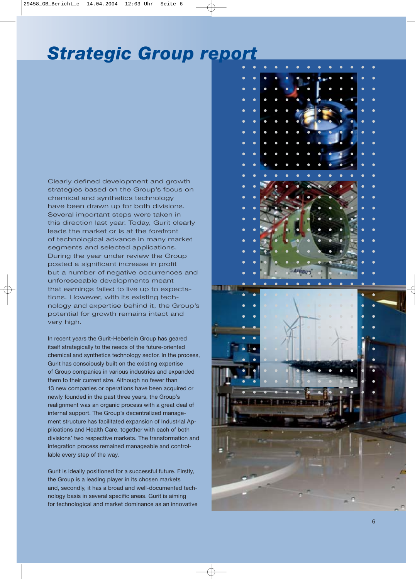# *Strategic Group report*

Clearly defined development and growth strategies based on the Group's focus on chemical and synthetics technology have been drawn up for both divisions. Several important steps were taken in this direction last year. Today, Gurit clearly leads the market or is at the forefront of technological advance in many market segments and selected applications. During the year under review the Group posted a significant increase in profit but a number of negative occurrences and unforeseeable developments meant that earnings failed to live up to expectations. However, with its existing technology and expertise behind it, the Group's potential for growth remains intact and very high.

In recent years the Gurit-Heberlein Group has geared itself strategically to the needs of the future-oriented chemical and synthetics technology sector. In the process, Gurit has consciously built on the existing expertise of Group companies in various industries and expanded them to their current size. Although no fewer than 13 new companies or operations have been acquired or newly founded in the past three years, the Group's realignment was an organic process with a great deal of internal support. The Group's decentralized management structure has facilitated expansion of Industrial Applications and Health Care, together with each of both divisions' two respective markets. The transformation and integration process remained manageable and controllable every step of the way.

Gurit is ideally positioned for a successful future. Firstly, the Group is a leading player in its chosen markets and, secondly, it has a broad and well-documented technology basis in several specific areas. Gurit is aiming for technological and market dominance as an innovative

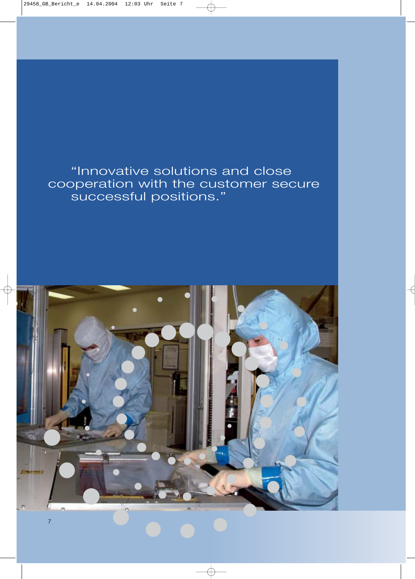# "Innovative solutions and close cooperation with the customer secure successful positions."

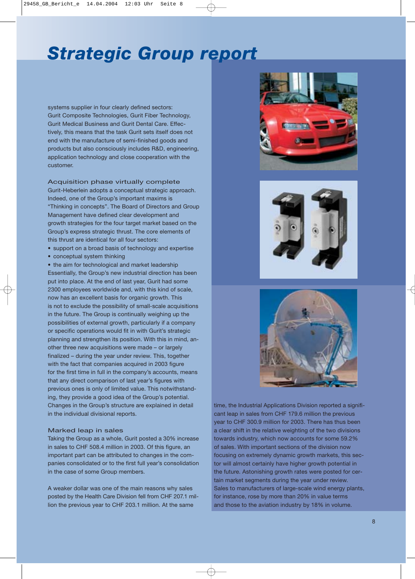# *Strategic Group report*

systems supplier in four clearly defined sectors: Gurit Composite Technologies, Gurit Fiber Technology, Gurit Medical Business and Gurit Dental Care. Effectively, this means that the task Gurit sets itself does not end with the manufacture of semi-finished goods and products but also consciously includes R&D, engineering, application technology and close cooperation with the customer.

Acquisition phase virtually complete Gurit-Heberlein adopts a conceptual strategic approach. Indeed, one of the Group's important maxims is "Thinking in concepts". The Board of Directors and Group Management have defined clear development and growth strategies for the four target market based on the Group's express strategic thrust. The core elements of this thrust are identical for all four sectors:

- support on a broad basis of technology and expertise
- conceptual system thinking

• the aim for technological and market leadership Essentially, the Group's new industrial direction has been put into place. At the end of last year, Gurit had some 2300 employees worldwide and, with this kind of scale, now has an excellent basis for organic growth. This is not to exclude the possibility of small-scale acquisitions in the future. The Group is continually weighing up the possibilities of external growth, particularly if a company or specific operations would fit in with Gurit's strategic planning and strengthen its position. With this in mind, another three new acquisitions were made – or largely finalized – during the year under review. This, together with the fact that companies acquired in 2003 figure for the first time in full in the company's accounts, means that any direct comparison of last year's figures with previous ones is only of limited value. This notwithstanding, they provide a good idea of the Group's potential. Changes in the Group's structure are explained in detail in the individual divisional reports.

# Marked leap in sales

Taking the Group as a whole, Gurit posted a 30% increase in sales to CHF 508.4 million in 2003. Of this figure, an important part can be attributed to changes in the companies consolidated or to the first full year's consolidation in the case of some Group members.

A weaker dollar was one of the main reasons why sales posted by the Health Care Division fell from CHF 207.1 million the previous year to CHF 203.1 million. At the same







time, the Industrial Applications Division reported a significant leap in sales from CHF 179.6 million the previous year to CHF 300.9 million for 2003. There has thus been a clear shift in the relative weighting of the two divisions towards industry, which now accounts for some 59.2% of sales. With important sections of the division now focusing on extremely dynamic growth markets, this sector will almost certainly have higher growth potential in the future. Astonishing growth rates were posted for certain market segments during the year under review. Sales to manufacturers of large-scale wind energy plants, for instance, rose by more than 20% in value terms and those to the aviation industry by 18% in volume.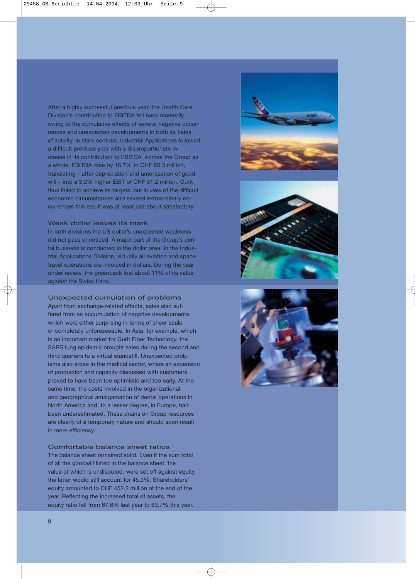After a highly successful previous year, the Health Care Division's contribution to EBITDA fell back markedly owing to the cumulative effects of several negative occurrences and unexpected developments in both its fields of activity. In stark contrast, Industrial Applications followed a difficult previous year with a disproportionate increase in its contribution to EBITDA. Across the Group as a whole, EBITDA rose by 18.7% to CHF 65.3 million, translating – after depreciation and amortization of goodwill – into a 3.2% higher EBIT of CHF 31.2 million. Gurit thus failed to achieve its targets, but in view of the difficult economic circumstances and several extraordinary occurrences this result was at least just about satisfactory.

#### Weak dollar leaves its mark

In both divisions the US dollar's unexpected weakness did not pass unnoticed. A major part of the Group's dental business is conducted in the dollar area. In the Industrial Applications Division, virtually all aviation and space travel operations are invoiced in dollars. During the year under review, the greenback lost about 11% of its value against the Swiss franc.

#### Unexpected cumulation of problems

Apart from exchange-related effects, sales also suffered from an accumulation of negative developments which were either surprising in terms of sheer scale or completely unforeseeable. In Asia, for example, which is an important market for Gurit Fiber Technology, the SARS lung epidemic brought sales during the second and third quarters to a virtual standstill. Unexpected problems also arose in the medical sector, where an expansion of production and capacity discussed with customers proved to have been too optimistic and too early. At the same time, the costs involved in the organizational and geographical amalgamation of dental operations in North America and, to a lesser degree, in Europe, had been underestimated. These drains on Group resources are clearly of a temporary nature and should soon result in more efficiency.

Comfortable balance sheet ratios The balance sheet remained solid. Even if the sum total of all the goodwill listed in the balance sheet, the value of which is undisputed, were set off against equity, the latter would still account for 45.3%. Shareholders' equity amounted to CHF 452.2 million at the end of the year. Reflecting the increased total of assets, the equity ratio fell from 67.6% last year to 63.7% this year.





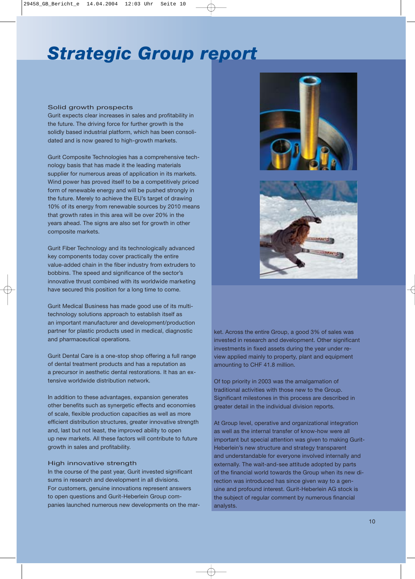# *Strategic Group report*

#### Solid growth prospects

Gurit expects clear increases in sales and profitability in the future. The driving force for further growth is the solidly based industrial platform, which has been consolidated and is now geared to high-growth markets.

Gurit Composite Technologies has a comprehensive technology basis that has made it the leading materials supplier for numerous areas of application in its markets. Wind power has proved itself to be a competitively priced form of renewable energy and will be pushed strongly in the future. Merely to achieve the EU's target of drawing 10% of its energy from renewable sources by 2010 means that growth rates in this area will be over 20% in the years ahead. The signs are also set for growth in other composite markets.

Gurit Fiber Technology and its technologically advanced key components today cover practically the entire value-added chain in the fiber industry from extruders to bobbins. The speed and significance of the sector's innovative thrust combined with its worldwide marketing have secured this position for a long time to come.

Gurit Medical Business has made good use of its multitechnology solutions approach to establish itself as an important manufacturer and development/production partner for plastic products used in medical, diagnostic and pharmaceutical operations.

Gurit Dental Care is a one-stop shop offering a full range of dental treatment products and has a reputation as a precursor in aesthetic dental restorations. It has an extensive worldwide distribution network.

In addition to these advantages, expansion generates other benefits such as synergetic effects and economies of scale, flexible production capacities as well as more efficient distribution structures, greater innovative strength and, last but not least, the improved ability to open up new markets. All these factors will contribute to future growth in sales and profitability.

# High innovative strength

In the course of the past year, Gurit invested significant sums in research and development in all divisions. For customers, genuine innovations represent answers to open questions and Gurit-Heberlein Group companies launched numerous new developments on the mar-





ket. Across the entire Group, a good 3% of sales was invested in research and development. Other significant investments in fixed assets during the year under review applied mainly to property, plant and equipment amounting to CHF 41.8 million.

Of top priority in 2003 was the amalgamation of traditional activities with those new to the Group. Significant milestones in this process are described in greater detail in the individual division reports.

At Group level, operative and organizational integration as well as the internal transfer of know-how were all important but special attention was given to making Gurit-Heberlein's new structure and strategy transparent and understandable for everyone involved internally and externally. The wait-and-see attitude adopted by parts of the financial world towards the Group when its new direction was introduced has since given way to a genuine and profound interest. Gurit-Heberlein AG stock is the subject of regular comment by numerous financial analysts.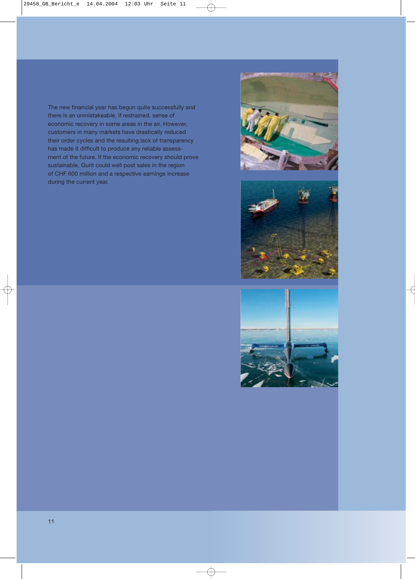The new financial year has begun quite successfully and there is an unmistakeable, if restrained, sense of economic recovery in some areas in the air. However, customers in many markets have drastically reduced their order cycles and the resulting lack of transparency has made it difficult to produce any reliable assessment of the future. If the economic recovery should prove sustainable, Gurit could well post sales in the region of CHF 600 million and a respective earnings increase during the current year.





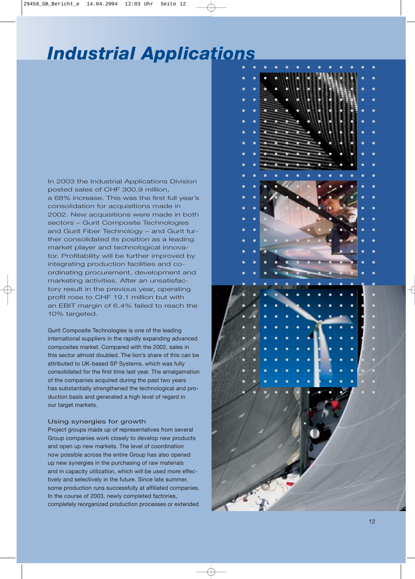# *Industrial Applications*

In 2003 the Industrial Applications Division posted sales of CHF 300.9 million, a 68% increase. This was the first full year's consolidation for acquisitions made in 2002. New acquisitions were made in both sectors – Gurit Composite Technologies and Gurit Fiber Technology – and Gurit further consolidated its position as a leading market player and technological innovator. Profitability will be further improved by integrating production facilities and coordinating procurement, development and marketing activities. After an unsatisfactory result in the previous year, operating profit rose to CHF 19.1 million but with an EBIT margin of 6.4% failed to reach the 10% targeted.

Gurit Composite Technologies is one of the leading international suppliers in the rapidly expanding advanced composites market. Compared with the 2002, sales in this sector almost doubled. The lion's share of this can be attributed to UK-based SP Systems, which was fully consolidated for the first time last year. The amalgamation of the companies acquired during the past two years has substantially strengthened the technological and production basis and generated a high level of regard in our target markets.

# Using synergies for growth

Project groups made up of representatives from several Group companies work closely to develop new products and open up new markets. The level of coordination now possible across the entire Group has also opened up new synergies in the purchasing of raw materials and in capacity utilization, which will be used more effectively and selectively in the future. Since late summer, some production runs successfully at affiliated companies. In the course of 2003, newly completed factories, completely reorganized production processes or extended

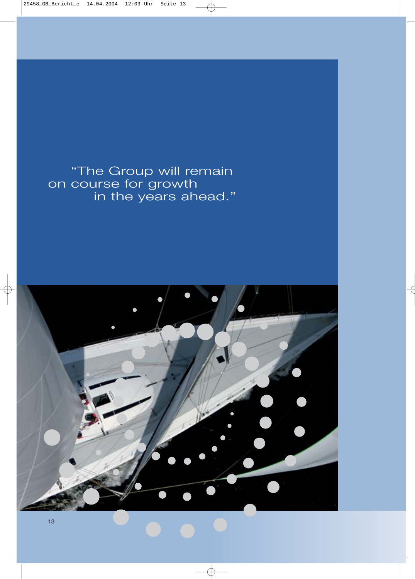# "The Group will remain on course for growth in the years ahead."

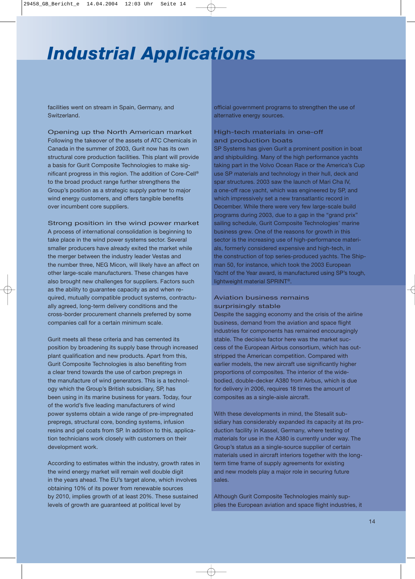# *Industrial Applications*

facilities went on stream in Spain, Germany, and Switzerland.

Opening up the North American market Following the takeover of the assets of ATC Chemicals in Canada in the summer of 2003, Gurit now has its own structural core production facilities. This plant will provide a basis for Gurit Composite Technologies to make significant progress in this region. The addition of Core-Cell® to the broad product range further strengthens the Group's position as a strategic supply partner to major wind energy customers, and offers tangible benefits over incumbent core suppliers.

#### Strong position in the wind power market

A process of international consolidation is beginning to take place in the wind power systems sector. Several smaller producers have already exited the market while the merger between the industry leader Vestas and the number three, NEG Micon, will likely have an affect on other large-scale manufacturers. These changes have also brought new challenges for suppliers. Factors such as the ability to guarantee capacity as and when required, mutually compatible product systems, contractually agreed, long-term delivery conditions and the cross-border procurement channels preferred by some companies call for a certain minimum scale.

Gurit meets all these criteria and has cemented its position by broadening its supply base through increased plant qualification and new products. Apart from this, Gurit Composite Technologies is also benefiting from a clear trend towards the use of carbon prepregs in the manufacture of wind generators. This is a technology which the Group's British subsidiary, SP, has been using in its marine business for years. Today, four of the world's five leading manufacturers of wind power systems obtain a wide range of pre-impregnated prepregs, structural core, bonding systems, infusion resins and gel coats from SP. In addition to this, application technicians work closely with customers on their development work.

According to estimates within the industry, growth rates in the wind energy market will remain well double digit in the years ahead. The EU's target alone, which involves obtaining 10% of its power from renewable sources by 2010, implies growth of at least 20%. These sustained levels of growth are guaranteed at political level by

official government programs to strengthen the use of alternative energy sources.

# High-tech materials in one-off and production boats

SP Systems has given Gurit a prominent position in boat and shipbuilding. Many of the high performance yachts taking part in the Volvo Ocean Race or the America's Cup use SP materials and technology in their hull, deck and spar structures. 2003 saw the launch of Mari Cha IV, a one-off race yacht, which was engineered by SP, and which impressively set a new transatlantic record in December. While there were very few large-scale build programs during 2003, due to a gap in the "grand prix" sailing schedule, Gurit Composite Technologies' marine business grew. One of the reasons for growth in this sector is the increasing use of high-performance materials, formerly considered expensive and high-tech, in the construction of top series-produced yachts. The Shipman 50, for instance, which took the 2003 European Yacht of the Year award, is manufactured using SP's tough, lightweight material SPRINT®.

# Aviation business remains surprisingly stable

Despite the sagging economy and the crisis of the airline business, demand from the aviation and space flight industries for components has remained encouragingly stable. The decisive factor here was the market success of the European Airbus consortium, which has outstripped the American competition. Compared with earlier models, the new aircraft use significantly higher proportions of composites. The interior of the widebodied, double-decker A380 from Airbus, which is due for delivery in 2006, requires 18 times the amount of composites as a single-aisle aircraft.

With these developments in mind, the Stesalit subsidiary has considerably expanded its capacity at its production facility in Kassel, Germany, where testing of materials for use in the A380 is currently under way. The Group's status as a single-source supplier of certain materials used in aircraft interiors together with the longterm time frame of supply agreements for existing and new models play a major role in securing future sales.

Although Gurit Composite Technologies mainly supplies the European aviation and space flight industries, it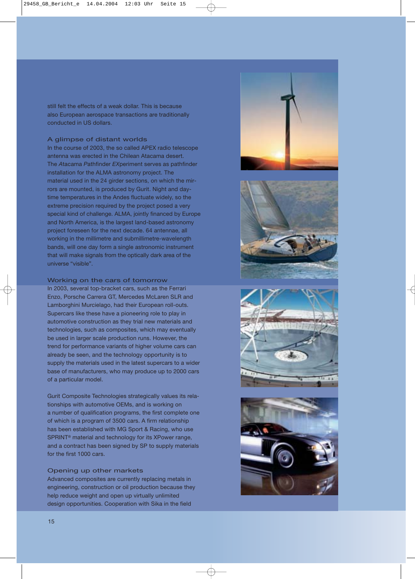still felt the effects of a weak dollar. This is because also European aerospace transactions are traditionally conducted in US dollars.

#### A glimpse of distant worlds

In the course of 2003, the so called APEX radio telescope antenna was erected in the Chilean Atacama desert. The *A*tacama *P*athfinder *EX*periment serves as pathfinder installation for the ALMA astronomy project. The material used in the 24 girder sections, on which the mirrors are mounted, is produced by Gurit. Night and daytime temperatures in the Andes fluctuate widely, so the extreme precision required by the project posed a very special kind of challenge. ALMA, jointly financed by Europe and North America, is the largest land-based astronomy project foreseen for the next decade. 64 antennae, all working in the millimetre and submillimetre-wavelength bands, will one day form a single astronomic instrument that will make signals from the optically dark area of the universe "visible".

#### Working on the cars of tomorrow

In 2003, several top-bracket cars, such as the Ferrari Enzo, Porsche Carrera GT, Mercedes McLaren SLR and Lamborghini Murcielago, had their European roll-outs. Supercars like these have a pioneering role to play in automotive construction as they trial new materials and technologies, such as composites, which may eventually be used in larger scale production runs. However, the trend for performance variants of higher volume cars can already be seen, and the technology opportunity is to supply the materials used in the latest supercars to a wider base of manufacturers, who may produce up to 2000 cars of a particular model.

Gurit Composite Technologies strategically values its relationships with automotive OEMs, and is working on a number of qualification programs, the first complete one of which is a program of 3500 cars. A firm relationship has been established with MG Sport & Racing, who use SPRINT® material and technology for its XPower range, and a contract has been signed by SP to supply materials for the first 1000 cars.

#### Opening up other markets

Advanced composites are currently replacing metals in engineering, construction or oil production because they help reduce weight and open up virtually unlimited design opportunities. Cooperation with Sika in the field







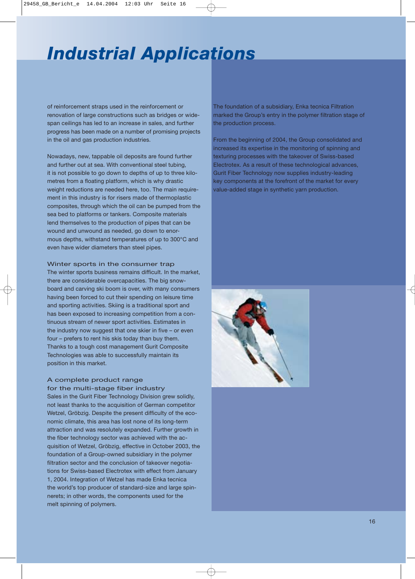# *Industrial Applications*

of reinforcement straps used in the reinforcement or renovation of large constructions such as bridges or widespan ceilings has led to an increase in sales, and further progress has been made on a number of promising projects in the oil and gas production industries.

Nowadays, new, tappable oil deposits are found further and further out at sea. With conventional steel tubing, it is not possible to go down to depths of up to three kilometres from a floating platform, which is why drastic weight reductions are needed here, too. The main requirement in this industry is for risers made of thermoplastic composites, through which the oil can be pumped from the sea bed to platforms or tankers. Composite materials lend themselves to the production of pipes that can be wound and unwound as needed, go down to enormous depths, withstand temperatures of up to 300°C and even have wider diameters than steel pipes.

Winter sports in the consumer trap The winter sports business remains difficult. In the market, there are considerable overcapacities. The big snowboard and carving ski boom is over, with many consumers having been forced to cut their spending on leisure time and sporting activities. Skiing is a traditional sport and has been exposed to increasing competition from a continuous stream of newer sport activities. Estimates in the industry now suggest that one skier in five – or even four – prefers to rent his skis today than buy them. Thanks to a tough cost management Gurit Composite Technologies was able to successfully maintain its position in this market.

# A complete product range for the multi-stage fiber industry

Sales in the Gurit Fiber Technology Division grew solidly, not least thanks to the acquisition of German competitor Wetzel, Gröbzig. Despite the present difficulty of the economic climate, this area has lost none of its long-term attraction and was resolutely expanded. Further growth in the fiber technology sector was achieved with the acquisition of Wetzel, Gröbzig, effective in October 2003, the foundation of a Group-owned subsidiary in the polymer filtration sector and the conclusion of takeover negotiations for Swiss-based Electrotex with effect from January 1, 2004. Integration of Wetzel has made Enka tecnica the world's top producer of standard-size and large spinnerets; in other words, the components used for the melt spinning of polymers.

The foundation of a subsidiary, Enka tecnica Filtration marked the Group's entry in the polymer filtration stage of the production process.

From the beginning of 2004, the Group consolidated and increased its expertise in the monitoring of spinning and texturing processes with the takeover of Swiss-based Electrotex. As a result of these technological advances, Gurit Fiber Technology now supplies industry-leading key components at the forefront of the market for every value-added stage in synthetic yarn production.

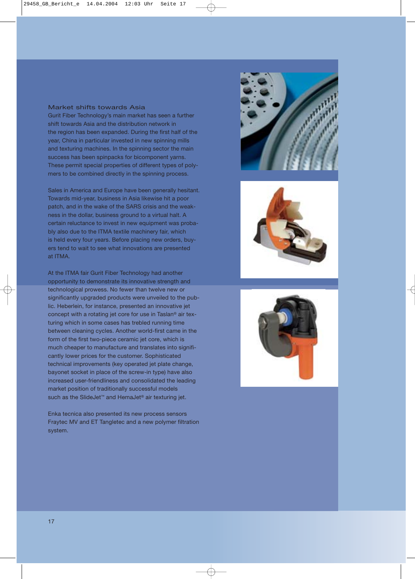# Market shifts towards Asia

Gurit Fiber Technology's main market has seen a further shift towards Asia and the distribution network in the region has been expanded. During the first half of the year, China in particular invested in new spinning mills and texturing machines. In the spinning sector the main success has been spinpacks for bicomponent yarns. These permit special properties of different types of polymers to be combined directly in the spinning process.

Sales in America and Europe have been generally hesitant. Towards mid-year, business in Asia likewise hit a poor patch, and in the wake of the SARS crisis and the weakness in the dollar, business ground to a virtual halt. A certain reluctance to invest in new equipment was probably also due to the ITMA textile machinery fair, which is held every four years. Before placing new orders, buyers tend to wait to see what innovations are presented at ITMA.

At the ITMA fair Gurit Fiber Technology had another opportunity to demonstrate its innovative strength and technological prowess. No fewer than twelve new or significantly upgraded products were unveiled to the public. Heberlein, for instance, presented an innovative jet concept with a rotating jet core for use in Taslan® air texturing which in some cases has trebled running time between cleaning cycles. Another world-first came in the form of the first two-piece ceramic jet core, which is much cheaper to manufacture and translates into significantly lower prices for the customer. Sophisticated technical improvements (key operated jet plate change, bayonet socket in place of the screw-in type) have also increased user-friendliness and consolidated the leading market position of traditionally successful models such as the SlideJet<sup>™</sup> and HemaJet<sup>®</sup> air texturing jet.

Enka tecnica also presented its new process sensors Fraytec MV and ET Tangletec and a new polymer filtration system.





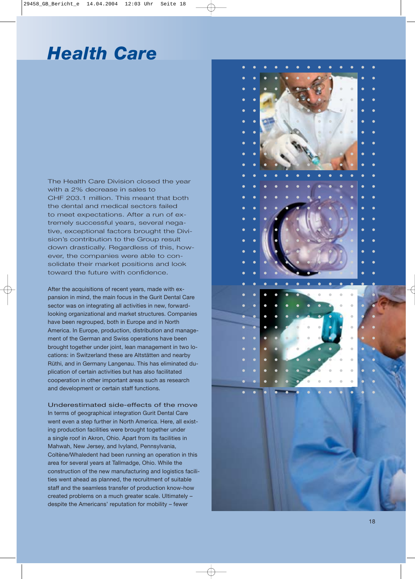# *Health Care*

The Health Care Division closed the year with a 2% decrease in sales to CHF 203.1 million. This meant that both the dental and medical sectors failed to meet expectations. After a run of extremely successful years, several negative, exceptional factors brought the Division's contribution to the Group result down drastically. Regardless of this, however, the companies were able to consolidate their market positions and look toward the future with confidence.

After the acquisitions of recent years, made with expansion in mind, the main focus in the Gurit Dental Care sector was on integrating all activities in new, forwardlooking organizational and market structures. Companies have been regrouped, both in Europe and in North America. In Europe, production, distribution and management of the German and Swiss operations have been brought together under joint, lean management in two locations: in Switzerland these are Altstätten and nearby Rüthi, and in Germany Langenau. This has eliminated duplication of certain activities but has also facilitated cooperation in other important areas such as research and development or certain staff functions.

Underestimated side-effects of the move In terms of geographical integration Gurit Dental Care went even a step further in North America. Here, all existing production facilities were brought together under a single roof in Akron, Ohio. Apart from its facilities in Mahwah, New Jersey, and Ivyland, Pennsylvania, Coltène/Whaledent had been running an operation in this area for several years at Tallmadge, Ohio. While the construction of the new manufacturing and logistics facilities went ahead as planned, the recruitment of suitable staff and the seamless transfer of production know-how created problems on a much greater scale. Ultimately – despite the Americans' reputation for mobility – fewer

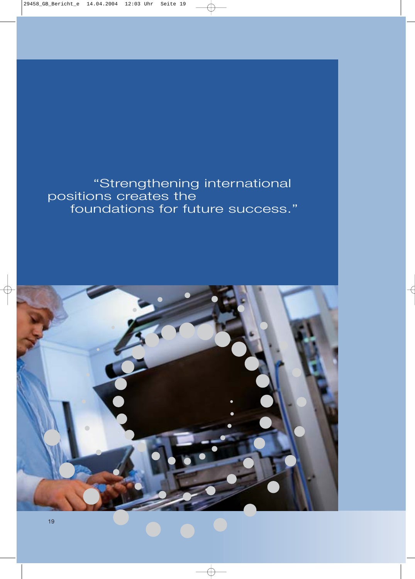# "Strengthening international positions creates the foundations for future success."

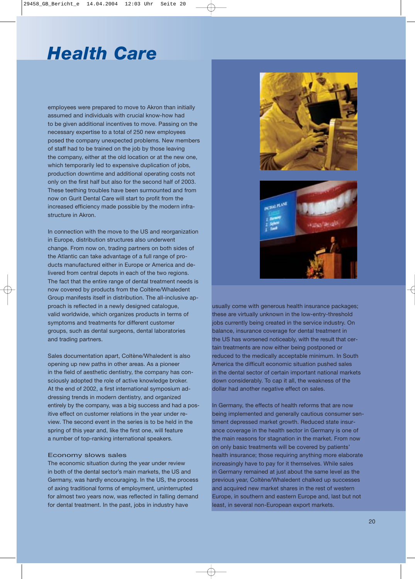# *Health Care*

employees were prepared to move to Akron than initially assumed and individuals with crucial know-how had to be given additional incentives to move. Passing on the necessary expertise to a total of 250 new employees posed the company unexpected problems. New members of staff had to be trained on the job by those leaving the company, either at the old location or at the new one, which temporarily led to expensive duplication of jobs, production downtime and additional operating costs not only on the first half but also for the second half of 2003. These teething troubles have been surmounted and from now on Gurit Dental Care will start to profit from the increased efficiency made possible by the modern infrastructure in Akron.

In connection with the move to the US and reorganization in Europe, distribution structures also underwent change. From now on, trading partners on both sides of the Atlantic can take advantage of a full range of products manufactured either in Europe or America and delivered from central depots in each of the two regions. The fact that the entire range of dental treatment needs is now covered by products from the Coltène/Whaledent Group manifests itself in distribution. The all-inclusive approach is reflected in a newly designed catalogue, valid worldwide, which organizes products in terms of symptoms and treatments for different customer groups, such as dental surgeons, dental laboratories and trading partners.

Sales documentation apart, Coltène/Whaledent is also opening up new paths in other areas. As a pioneer in the field of aesthetic dentistry, the company has consciously adopted the role of active knowledge broker. At the end of 2002, a first international symposium addressing trends in modern dentistry, and organized entirely by the company, was a big success and had a positive effect on customer relations in the year under review. The second event in the series is to be held in the spring of this year and, like the first one, will feature a number of top-ranking international speakers.

# Economy slows sales

The economic situation during the year under review in both of the dental sector's main markets, the US and Germany, was hardly encouraging. In the US, the process of axing traditional forms of employment, uninterrupted for almost two years now, was reflected in falling demand for dental treatment. In the past, jobs in industry have



usually come with generous health insurance packages; these are virtually unknown in the low-entry-threshold jobs currently being created in the service industry. On balance, insurance coverage for dental treatment in the US has worsened noticeably, with the result that certain treatments are now either being postponed or reduced to the medically acceptable minimum. In South America the difficult economic situation pushed sales in the dental sector of certain important national markets down considerably. To cap it all, the weakness of the dollar had another negative effect on sales.

In Germany, the effects of health reforms that are now being implemented and generally cautious consumer sentiment depressed market growth. Reduced state insurance coverage in the health sector in Germany is one of the main reasons for stagnation in the market. From now on only basic treatments will be covered by patients' health insurance; those requiring anything more elaborate increasingly have to pay for it themselves. While sales in Germany remained at just about the same level as the previous year, Coltène/Whaledent chalked up successes and acquired new market shares in the rest of western Europe, in southern and eastern Europe and, last but not least, in several non-European export markets.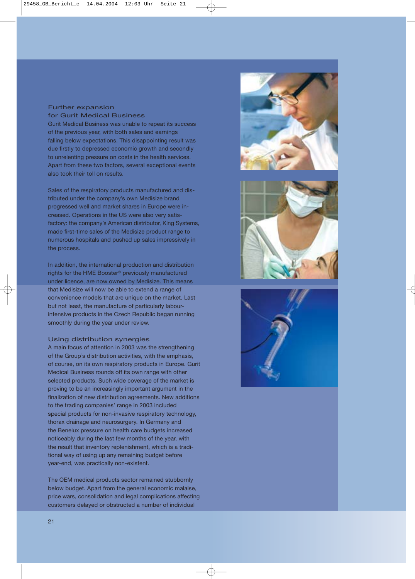### Further expansion for Gurit Medical Business

Gurit Medical Business was unable to repeat its success of the previous year, with both sales and earnings falling below expectations. This disappointing result was due firstly to depressed economic growth and secondly to unrelenting pressure on costs in the health services. Apart from these two factors, several exceptional events also took their toll on results.

Sales of the respiratory products manufactured and distributed under the company's own Medisize brand progressed well and market shares in Europe were increased. Operations in the US were also very satisfactory: the company's American distributor, King Systems, made first-time sales of the Medisize product range to numerous hospitals and pushed up sales impressively in the process.

In addition, the international production and distribution rights for the HME Booster® previously manufactured under licence, are now owned by Medisize. This means that Medisize will now be able to extend a range of convenience models that are unique on the market. Last but not least, the manufacture of particularly labourintensive products in the Czech Republic began running smoothly during the year under review.

# Using distribution synergies

A main focus of attention in 2003 was the strengthening of the Group's distribution activities, with the emphasis, of course, on its own respiratory products in Europe. Gurit Medical Business rounds off its own range with other selected products. Such wide coverage of the market is proving to be an increasingly important argument in the finalization of new distribution agreements. New additions to the trading companies' range in 2003 included special products for non-invasive respiratory technology, thorax drainage and neurosurgery. In Germany and the Benelux pressure on health care budgets increased noticeably during the last few months of the year, with the result that inventory replenishment, which is a traditional way of using up any remaining budget before year-end, was practically non-existent.

The OEM medical products sector remained stubbornly below budget. Apart from the general economic malaise, price wars, consolidation and legal complications affecting customers delayed or obstructed a number of individual





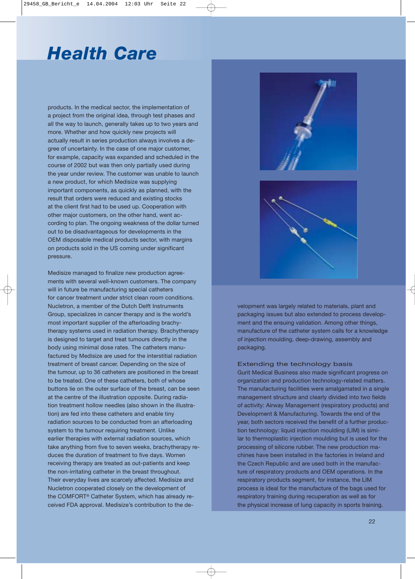# *Health Care*

products. In the medical sector, the implementation of a project from the original idea, through test phases and all the way to launch, generally takes up to two years and more. Whether and how quickly new projects will actually result in series production always involves a degree of uncertainty. In the case of one major customer, for example, capacity was expanded and scheduled in the course of 2002 but was then only partially used during the year under review. The customer was unable to launch a new product, for which Medisize was supplying important components, as quickly as planned, with the result that orders were reduced and existing stocks at the client first had to be used up. Cooperation with other major customers, on the other hand, went according to plan. The ongoing weakness of the dollar turned out to be disadvantageous for developments in the OEM disposable medical products sector, with margins on products sold in the US coming under significant pressure.

Medisize managed to finalize new production agreements with several well-known customers. The company will in future be manufacturing special catheters for cancer treatment under strict clean room conditions. Nucletron, a member of the Dutch Delft Instruments Group, specializes in cancer therapy and is the world's most important supplier of the afterloading brachytherapy systems used in radiation therapy. Brachytherapy is designed to target and treat tumours directly in the body using minimal dose rates. The catheters manufactured by Medisize are used for the interstitial radiation treatment of breast cancer. Depending on the size of the tumour, up to 36 catheters are positioned in the breast to be treated. One of these catheters, both of whose buttons lie on the outer surface of the breast, can be seen at the centre of the illustration opposite. During radiation treatment hollow needles (also shown in the illustration) are fed into these catheters and enable tiny radiation sources to be conducted from an afterloading system to the tumour requiring treatment. Unlike earlier therapies with external radiation sources, which take anything from five to seven weeks, brachytherapy reduces the duration of treatment to five days. Women receiving therapy are treated as out-patients and keep the non-irritating catheter in the breast throughout. Their everyday lives are scarcely affected. Medisize and Nucletron cooperated closely on the development of the COMFORT® Catheter System, which has already received FDA approval. Medisize's contribution to the de-





velopment was largely related to materials, plant and packaging issues but also extended to process development and the ensuing validation. Among other things, manufacture of the catheter system calls for a knowledge of injection moulding, deep-drawing, assembly and packaging.

#### Extending the technology basis

Gurit Medical Business also made significant progress on organization and production technology-related matters. The manufacturing facilities were amalgamated in a single management structure and clearly divided into two fields of activity: Airway Management (respiratory products) and Development & Manufacturing. Towards the end of the year, both sectors received the benefit of a further production technology: liquid injection moulding (LIM) is similar to thermoplastic injection moulding but is used for the processing of silicone rubber. The new production machines have been installed in the factories in Ireland and the Czech Republic and are used both in the manufacture of respiratory products and OEM operations. In the respiratory products segment, for instance, the LIM process is ideal for the manufacture of the bags used for respiratory training during recuperation as well as for the physical increase of lung capacity in sports training.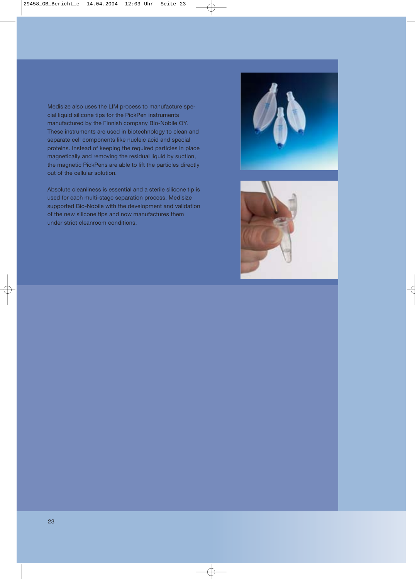Medisize also uses the LIM process to manufacture special liquid silicone tips for the PickPen instruments manufactured by the Finnish company Bio-Nobile OY. These instruments are used in biotechnology to clean and separate cell components like nucleic acid and special proteins. Instead of keeping the required particles in place magnetically and removing the residual liquid by suction, the magnetic PickPens are able to lift the particles directly out of the cellular solution.

Absolute cleanliness is essential and a sterile silicone tip is used for each multi-stage separation process. Medisize supported Bio-Nobile with the development and validation of the new silicone tips and now manufactures them under strict cleanroom conditions.



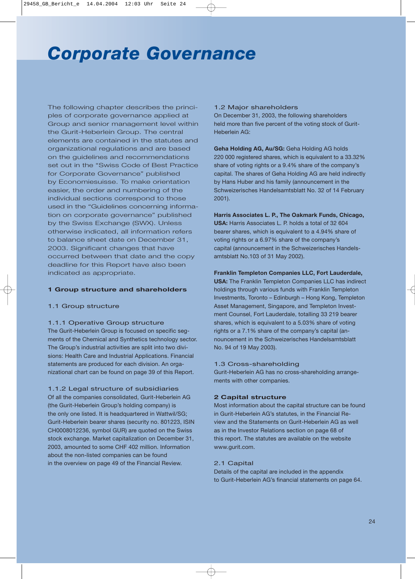# *Corporate Governance*

The following chapter describes the principles of corporate governance applied at Group and senior management level within the Gurit-Heberlein Group. The central elements are contained in the statutes and organizational regulations and are based on the guidelines and recommendations set out in the "Swiss Code of Best Practice for Corporate Governance" published by Economiesuisse. To make orientation easier, the order and numbering of the individual sections correspond to those used in the "Guidelines concerning information on corporate governance" published by the Swiss Exchange (SWX). Unless otherwise indicated, all information refers to balance sheet date on December 31, 2003. Significant changes that have occurred between that date and the copy deadline for this Report have also been indicated as appropriate.

# **1 Group structure and shareholders**

# 1.1 Group structure

#### 1.1.1 Operative Group structure

The Gurit-Heberlein Group is focused on specific segments of the Chemical and Synthetics technology sector. The Group's industrial activities are split into two divisions: Health Care and Industrial Applications. Financial statements are produced for each division. An organizational chart can be found on page 39 of this Report.

1.1.2 Legal structure of subsidiaries Of all the companies consolidated, Gurit-Heberlein AG (the Gurit-Heberlein Group's holding company) is the only one listed. It is headquartered in Wattwil/SG; Gurit-Heberlein bearer shares (security no. 801223, ISIN CH0008012236, symbol GUR) are quoted on the Swiss stock exchange. Market capitalization on December 31, 2003, amounted to some CHF 402 million. Information about the non-listed companies can be found in the overview on page 49 of the Financial Review.

#### 1.2 Major shareholders

On December 31, 2003, the following shareholders held more than five percent of the voting stock of Gurit-Heberlein AG:

**Geha Holding AG, Au/SG:** Geha Holding AG holds 220 000 registered shares, which is equivalent to a 33.32% share of voting rights or a 9.4% share of the company's capital. The shares of Geha Holding AG are held indirectly by Hans Huber and his family (announcement in the Schweizerisches Handelsamtsblatt No. 32 of 14 February 2001).

**Harris Associates L. P., The Oakmark Funds, Chicago, USA:** Harris Associates L. P. holds a total of 32 604 bearer shares, which is equivalent to a 4.94% share of voting rights or a 6.97% share of the company's capital (announcement in the Schweizerisches Handelsamtsblatt No.103 of 31 May 2002).

#### **Franklin Templeton Companies LLC, Fort Lauderdale,**

**USA:** The Franklin Templeton Companies LLC has indirect holdings through various funds with Franklin Templeton Investments, Toronto – Edinburgh – Hong Kong, Templeton Asset Management, Singapore, and Templeton Investment Counsel, Fort Lauderdale, totalling 33 219 bearer shares, which is equivalent to a 5.03% share of voting rights or a 7.1% share of the company's capital (announcement in the Schweizerisches Handelsamtsblatt No. 94 of 19 May 2003).

#### 1.3 Cross-shareholding

Gurit-Heberlein AG has no cross-shareholding arrangements with other companies.

### **2 Capital structure**

Most information about the capital structure can be found in Gurit-Heberlein AG's statutes, in the Financial Review and the Statements on Gurit-Heberlein AG as well as in the Investor Relations section on page 68 of this report. The statutes are available on the website www.gurit.com.

#### 2.1 Capital

Details of the capital are included in the appendix to Gurit-Heberlein AG's financial statements on page 64.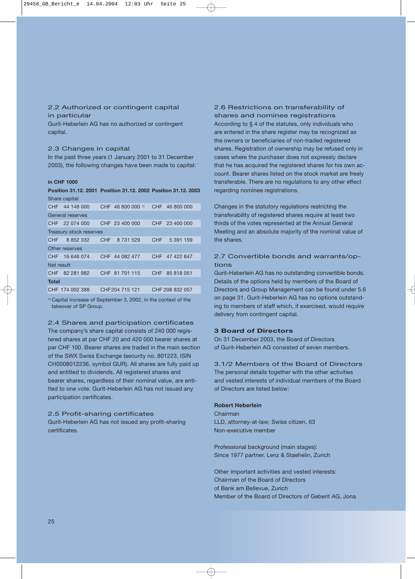### 2.2 Authorized or contingent capital in particular

Gurit-Heberlein AG has no authorized or contingent capital.

### 2.3 Changes in capital

In the past three years (1 January 2001 to 31 December 2003), the following changes have been made to capital:

#### **in CHF 1000**

**Position 31.12. 2001 Position 31.12. 2002 Position 31.12. 2003** Share capital

| <b>CHF</b> | 44 148 000              |            |                | CHF 46 800 000 <sup>1)</sup> CHF |     | 46 800 000      |  |
|------------|-------------------------|------------|----------------|----------------------------------|-----|-----------------|--|
|            | General reserves        |            |                |                                  |     |                 |  |
|            | CHF 22 074 000          |            | CHF 23 400 000 |                                  |     | CHF 23 400 000  |  |
|            | Treasury stock reserves |            |                |                                  |     |                 |  |
| <b>CHF</b> | 8 852 332               | <b>CHF</b> | 8 731 529      |                                  | CHF | 5 391 159       |  |
|            | Other reserves          |            |                |                                  |     |                 |  |
| <b>CHF</b> | 16 646 074              |            | CHF 44 082 477 |                                  | CHF | 47 422 847      |  |
| Net result |                         |            |                |                                  |     |                 |  |
| <b>CHF</b> | 82 281 982              |            | CHF 81 701 115 |                                  |     | CHF 85 818 051  |  |
| Total      |                         |            |                |                                  |     |                 |  |
|            | CHF 174 002 388         |            | CHF204 715 121 |                                  |     | CHF 208 832 057 |  |
|            |                         |            |                |                                  |     |                 |  |

1) Capital increase of September 3, 2002, in the context of the takeover of SP Group.

2.4 Shares and participation certificates The company's share capital consists of 240 000 registered shares at par CHF 20 and 420 000 bearer shares at par CHF 100. Bearer shares are traded in the main section of the SWX Swiss Exchange (security no. 801223, ISIN CH0008012236, symbol GUR). All shares are fully paid up and entitled to dividends. All registered shares and bearer shares, regardless of their nominal value, are entitled to one vote. Gurit-Heberlein AG has not issued any participation certificates.

# 2.5 Profit-sharing certificates

Gurit-Heberlein AG has not issued any profit-sharing certificates.

### 2.6 Restrictions on transferability of shares and nominee registrations

According to § 4 of the statutes, only individuals who are entered in the share register may be recognized as the owners or beneficiaries of non-traded registered shares. Registration of ownership may be refused only in cases where the purchaser does not expressly declare that he has acquired the registered shares for his own account. Bearer shares listed on the stock market are freely transferable. There are no regulations to any other effect regarding nominee registrations.

Changes in the statutory regulations restricting the transferability of registered shares require at least two thirds of the votes represented at the Annual General Meeting and an absolute majority of the nominal value of the shares.

# 2.7 Convertible bonds and warrants/options

Gurit-Heberlein AG has no outstanding convertible bonds. Details of the options held by members of the Board of Directors and Group Management can be found under 5.6 on page 31. Gurit-Heberlein AG has no options outstanding to members of staff which, if exercised, would require delivery from contingent capital.

# **3 Board of Directors**

On 31 December 2003, the Board of Directors of Gurit-Heberlein AG consisted of seven members.

# 3.1/2 Members of the Board of Directors

The personal details together with the other activities and vested interests of individual members of the Board of Directors are listed below:

# **Robert Heberlein**

Chairman LLD, attorney-at-law; Swiss citizen, 63 Non-executive member

Professional background (main stages): Since 1977 partner, Lenz & Staehelin, Zurich

Other important activities and vested interests: Chairman of the Board of Directors of Bank am Bellevue, Zurich Member of the Board of Directors of Geberit AG, Jona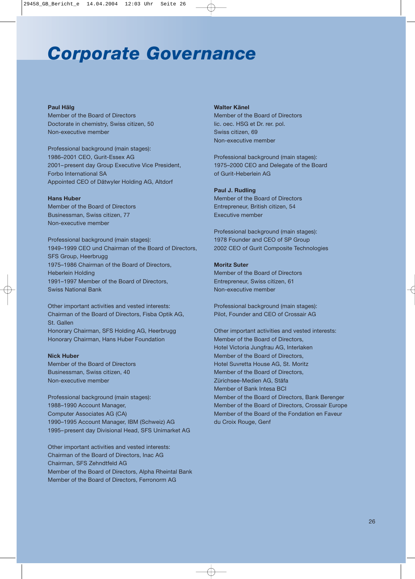# *Corporate Governance*

# **Paul Hälg**

Member of the Board of Directors Doctorate in chemistry, Swiss citizen, 50 Non-executive member

Professional background (main stages): 1986–2001 CEO, Gurit-Essex AG 2001–present day Group Executive Vice President, Forbo International SA Appointed CEO of Dätwyler Holding AG, Altdorf

#### **Hans Huber**

Member of the Board of Directors Businessman, Swiss citizen, 77 Non-executive member

Professional background (main stages): 1949–1999 CEO und Chairman of the Board of Directors, SFS Group, Heerbrugg 1975–1986 Chairman of the Board of Directors, Heberlein Holding 1991–1997 Member of the Board of Directors, Swiss National Bank

Other important activities and vested interests: Chairman of the Board of Directors, Fisba Optik AG, St. Gallen Honorary Chairman, SFS Holding AG, Heerbrugg Honorary Chairman, Hans Huber Foundation

# **Nick Huber**

Member of the Board of Directors Businessman, Swiss citizen, 40 Non-executive member

Professional background (main stages): 1988–1990 Account Manager, Computer Associates AG (CA) 1990–1995 Account Manager, IBM (Schweiz) AG 1995–present day Divisional Head, SFS Unimarket AG

Other important activities and vested interests: Chairman of the Board of Directors, Inac AG Chairman, SFS Zehndtfeld AG Member of the Board of Directors, Alpha Rheintal Bank Member of the Board of Directors, Ferronorm AG

#### **Walter Känel**

Member of the Board of Directors lic. oec. HSG et Dr. rer. pol. Swiss citizen, 69 Non-executive member

Professional background (main stages): 1975–2000 CEO and Delegate of the Board of Gurit-Heberlein AG

# **Paul J. Rudling**

Member of the Board of Directors Entrepreneur, British citizen, 54 Executive member

Professional background (main stages): 1978 Founder and CEO of SP Group 2002 CEO of Gurit Composite Technologies

#### **Moritz Suter**

Member of the Board of Directors Entrepreneur, Swiss citizen, 61 Non-executive member

Professional background (main stages): Pilot, Founder and CEO of Crossair AG

Other important activities and vested interests: Member of the Board of Directors, Hotel Victoria Jungfrau AG, Interlaken Member of the Board of Directors, Hotel Suvretta House AG, St. Moritz Member of the Board of Directors, Zürichsee-Medien AG, Stäfa Member of Bank Intesa BCI Member of the Board of Directors, Bank Berenger Member of the Board of Directors, Crossair Europe Member of the Board of the Fondation en Faveur du Croix Rouge, Genf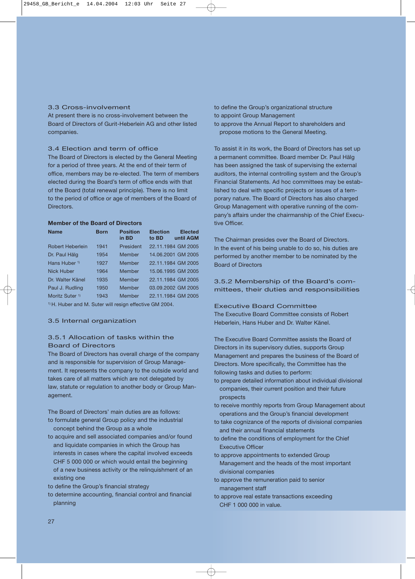# 3.3 Cross-involvement

At present there is no cross-involvement between the Board of Directors of Gurit-Heberlein AG and other listed companies.

# 3.4 Election and term of office

The Board of Directors is elected by the General Meeting for a period of three years. At the end of their term of office, members may be re-elected. The term of members elected during the Board's term of office ends with that of the Board (total renewal principle). There is no limit to the period of office or age of members of the Board of Directors.

#### **Member of the Board of Directors**

| <b>Name</b>                | <b>Born</b> | <b>Position</b><br>in BD | <b>Election</b><br>to BD | <b>Elected</b><br>until AGM |
|----------------------------|-------------|--------------------------|--------------------------|-----------------------------|
| <b>Robert Heberlein</b>    | 1941        | President                |                          | 22.11.1984 GM 2005          |
| Dr. Paul Hälg              | 1954        | Member                   |                          | 14.06.2001 GM 2005          |
| Hans Huber <sup>1)</sup>   | 1927        | Member                   |                          | 22.11.1984 GM 2005          |
| Nick Huber                 | 1964        | Member                   |                          | 15.06.1995 GM 2005          |
| Dr. Walter Känel           | 1935        | Member                   |                          | 22.11.1984 GM 2005          |
| Paul J. Rudling            | 1950        | Member                   |                          | 03.09.2002 GM 2005          |
| Moritz Suter <sup>1)</sup> | 1943        | Member                   |                          | 22.11.1984 GM 2005          |
| $111 \text{ L}$            |             |                          |                          |                             |

H. Huber and M. Suter will resign effective GM 2004.

#### 3.5 Internal organization

# 3.5.1 Allocation of tasks within the Board of Directors

The Board of Directors has overall charge of the company and is responsible for supervision of Group Management. It represents the company to the outside world and takes care of all matters which are not delegated by law, statute or regulation to another body or Group Management.

The Board of Directors' main duties are as follows: to formulate general Group policy and the industrial concept behind the Group as a whole

- to acquire and sell associated companies and/or found and liquidate companies in which the Group has interests in cases where the capital involved exceeds CHF 5 000 000 or which would entail the beginning of a new business activity or the relinquishment of an existing one
- to define the Group's financial strategy
- to determine accounting, financial control and financial planning

to define the Group's organizational structure to appoint Group Management

to approve the Annual Report to shareholders and propose motions to the General Meeting.

To assist it in its work, the Board of Directors has set up a permanent committee. Board member Dr. Paul Hälg has been assigned the task of supervising the external auditors, the internal controlling system and the Group's Financial Statements. Ad hoc committees may be established to deal with specific projects or issues of a temporary nature. The Board of Directors has also charged Group Management with operative running of the company's affairs under the chairmanship of the Chief Executive Officer.

The Chairman presides over the Board of Directors. In the event of his being unable to do so, his duties are performed by another member to be nominated by the Board of Directors

# 3.5.2 Membership of the Board's committees, their duties and responsibilities

#### Executive Board Committee

The Executive Board Committee consists of Robert Heberlein, Hans Huber and Dr. Walter Känel.

The Executive Board Committee assists the Board of Directors in its supervisory duties, supports Group Management and prepares the business of the Board of Directors. More specifically, the Committee has the following tasks and duties to perform:

- to prepare detailed information about individual divisional companies, their current position and their future prospects
- to receive monthly reports from Group Management about operations and the Group's financial development
- to take cognizance of the reports of divisional companies and their annual financial statements
- to define the conditions of employment for the Chief Executive Officer
- to approve appointments to extended Group Management and the heads of the most important divisional companies
- to approve the remuneration paid to senior management staff
- to approve real estate transactions exceeding CHF 1 000 000 in value.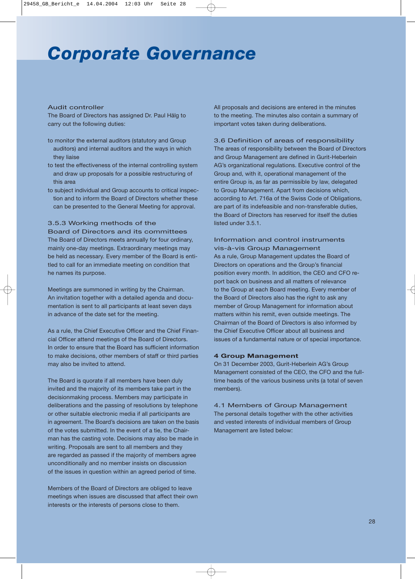# *Corporate Governance*

# Audit controller

The Board of Directors has assigned Dr. Paul Hälg to carry out the following duties:

- to monitor the external auditors (statutory and Group auditors) and internal auditors and the ways in which they liaise
- to test the effectiveness of the internal controlling system and draw up proposals for a possible restructuring of this area
- to subject individual and Group accounts to critical inspection and to inform the Board of Directors whether these can be presented to the General Meeting for approval.

# 3.5.3 Working methods of the

Board of Directors and its committees The Board of Directors meets annually for four ordinary, mainly one-day meetings. Extraordinary meetings may be held as necessary. Every member of the Board is entitled to call for an immediate meeting on condition that he names its purpose.

Meetings are summoned in writing by the Chairman. An invitation together with a detailed agenda and documentation is sent to all participants at least seven days in advance of the date set for the meeting.

As a rule, the Chief Executive Officer and the Chief Financial Officer attend meetings of the Board of Directors. In order to ensure that the Board has sufficient information to make decisions, other members of staff or third parties may also be invited to attend.

The Board is quorate if all members have been duly invited and the majority of its members take part in the decisionmaking process. Members may participate in deliberations and the passing of resolutions by telephone or other suitable electronic media if all participants are in agreement. The Board's decisions are taken on the basis of the votes submitted. In the event of a tie, the Chairman has the casting vote. Decisions may also be made in writing. Proposals are sent to all members and they are regarded as passed if the majority of members agree unconditionally and no member insists on discussion of the issues in question within an agreed period of time.

Members of the Board of Directors are obliged to leave meetings when issues are discussed that affect their own interests or the interests of persons close to them.

All proposals and decisions are entered in the minutes to the meeting. The minutes also contain a summary of important votes taken during deliberations.

#### 3.6 Definition of areas of responsibility

The areas of responsibility between the Board of Directors and Group Management are defined in Gurit-Heberlein AG's organizational regulations. Executive control of the Group and, with it, operational management of the entire Group is, as far as permissible by law, delegated to Group Management. Apart from decisions which, according to Art. 716a of the Swiss Code of Obligations, are part of its indefeasible and non-transferable duties, the Board of Directors has reserved for itself the duties listed under 3.5.1.

# Information and control instruments vis-à-vis Group Management

As a rule, Group Management updates the Board of Directors on operations and the Group's financial position every month. In addition, the CEO and CFO report back on business and all matters of relevance to the Group at each Board meeting. Every member of the Board of Directors also has the right to ask any member of Group Management for information about matters within his remit, even outside meetings. The Chairman of the Board of Directors is also informed by the Chief Executive Officer about all business and issues of a fundamental nature or of special importance.

# **4 Group Management**

On 31 December 2003, Gurit-Heberlein AG's Group Management consisted of the CEO, the CFO and the fulltime heads of the various business units (a total of seven members).

4.1 Members of Group Management

The personal details together with the other activities and vested interests of individual members of Group Management are listed below: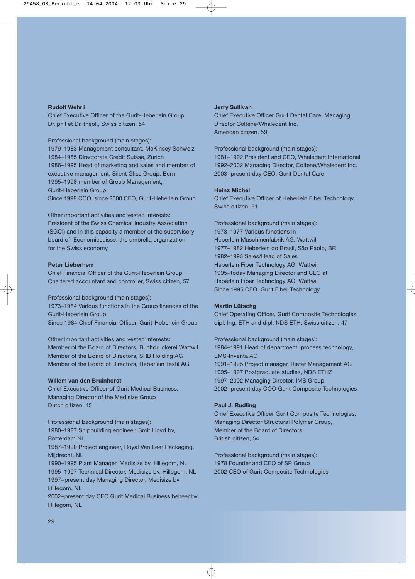#### **Rudolf Wehrli**

Chief Executive Officer of the Gurit-Heberlein Group Dr. phil et Dr. theol., Swiss citizen, 54

Professional background (main stages): 1979–1983 Management consultant, McKinsey Schweiz 1984–1985 Directorate Credit Suisse, Zurich 1986–1995 Head of marketing and sales and member of executive management, Silent Gliss Group, Bern 1995–1998 member of Group Management, Gurit-Heberlein Group Since 1998 COO, since 2000 CEO, Gurit-Heberlein Group

Other important activities and vested interests: President of the Swiss Chemical Industry Association (SGCI) and in this capacity a member of the supervisory board of Economiesuisse, the umbrella organization for the Swiss economy.

#### **Peter Lieberherr**

Chief Financial Officer of the Gurit-Heberlein Group Chartered accountant and controller, Swiss citizen, 57

Professional background (main stages): 1973–1984 Various functions in the Group finances of the Gurit-Heberlein Group Since 1984 Chief Financial Officer, Gurit-Heberlein Group

Other important activities and vested interests: Member of the Board of Directors, Buchdruckerei Wattwil Member of the Board of Directors, SRB Holding AG Member of the Board of Directors, Heberlein Textil AG

#### **Willem van den Bruinhorst**

Chief Executive Officer of Gurit Medical Business, Managing Director of the Medisize Group Dutch citizen, 45

Professional background (main stages): 1980–1987 Shipbuilding engineer, Smit Lloyd bv, Rotterdam NL

1987–1990 Project engineer, Royal Van Leer Packaging, Mijdrecht, NL

1990–1995 Plant Manager, Medisize bv, Hillegom, NL 1995–1997 Technical Director, Medisize bv, Hillegom, NL 1997–present day Managing Director, Medisize bv, Hillegom, NL

2002–present day CEO Gurit Medical Business beheer bv, Hillegom, NL

#### **Jerry Sullivan**

Chief Executive Officer Gurit Dental Care, Managing Director Coltène/Whaledent Inc. American citizen, 59

Professional background (main stages): 1981–1992 President and CEO, Whaledent International 1992–2002 Managing Director, Coltène/Whaledent Inc. 2003–present day CEO, Gurit Dental Care

# **Heinz Michel**

Chief Executive Officer of Heberlein Fiber Technology Swiss citizen, 51

Professional background (main stages): 1973–1977 Various functions in Heberlein Maschinenfabrik AG, Wattwil 1977–1982 Heberlein do Brasil, São Paolo, BR 1982–1995 Sales/Head of Sales Heberlein Fiber Technology AG, Wattwil 1995–today Managing Director and CEO at Heberlein Fiber Technology AG, Wattwil Since 1995 CEO, Gurit Fiber Technology

# **Martin Lütschg**

Chief Operating Officer, Gurit Composite Technologies dipl. Ing. ETH and dipl. NDS ETH, Swiss citizen, 47

Professional background (main stages): 1984–1991 Head of department, process technology, EMS-Inventa AG 1991–1995 Project manager, Rieter Management AG 1995–1997 Postgraduate studies, NDS ETHZ 1997–2002 Managing Director, IMS Group 2002–present day COO Gurit Composite Technologies

#### **Paul J. Rudling**

Chief Executive Officer Gurit Composite Technologies, Managing Director Structural Polymer Group, Member of the Board of Directors British citizen, 54

Professional background (main stages): 1978 Founder and CEO of SP Group 2002 CEO of Gurit Composite Technologies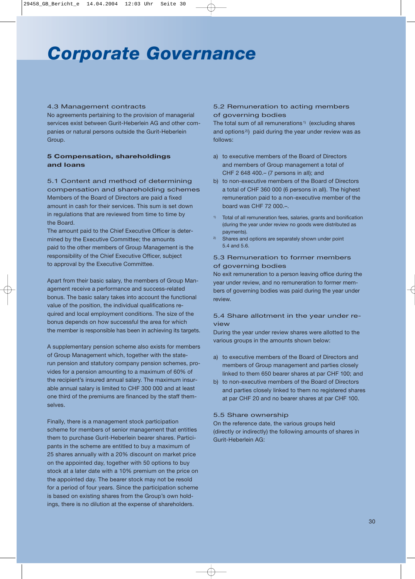# *Corporate Governance*

### 4.3 Management contracts

No agreements pertaining to the provision of managerial services exist between Gurit-Heberlein AG and other companies or natural persons outside the Gurit-Heberlein Group.

# **5 Compensation, shareholdings and loans**

5.1 Content and method of determining compensation and shareholding schemes Members of the Board of Directors are paid a fixed amount in cash for their services. This sum is set down in regulations that are reviewed from time to time by the Board.

The amount paid to the Chief Executive Officer is determined by the Executive Committee; the amounts paid to the other members of Group Management is the responsibility of the Chief Executive Officer, subject to approval by the Executive Committee.

Apart from their basic salary, the members of Group Management receive a performance and success-related bonus. The basic salary takes into account the functional value of the position, the individual qualifications required and local employment conditions. The size of the bonus depends on how successful the area for which the member is responsible has been in achieving its targets.

A supplementary pension scheme also exists for members of Group Management which, together with the staterun pension and statutory company pension schemes, provides for a pension amounting to a maximum of 60% of the recipient's insured annual salary. The maximum insurable annual salary is limited to CHF 300 000 and at least one third of the premiums are financed by the staff themselves.

Finally, there is a management stock participation scheme for members of senior management that entitles them to purchase Gurit-Heberlein bearer shares. Participants in the scheme are entitled to buy a maximum of 25 shares annually with a 20% discount on market price on the appointed day, together with 50 options to buy stock at a later date with a 10% premium on the price on the appointed day. The bearer stock may not be resold for a period of four years. Since the participation scheme is based on existing shares from the Group's own holdings, there is no dilution at the expense of shareholders.

# 5.2 Remuneration to acting members of governing bodies

The total sum of all remunerations<sup>1)</sup> (excluding shares and options<sup>2)</sup> paid during the year under review was as follows:

- a) to executive members of the Board of Directors and members of Group management a total of CHF 2 648 400.– (7 persons in all); and
- b) to non-executive members of the Board of Directors a total of CHF 360 000 (6 persons in all). The highest remuneration paid to a non-executive member of the board was CHF 72 000.–.
- <sup>1)</sup> Total of all remuneration fees, salaries, grants and bonification (during the year under review no goods were distributed as payments).
- <sup>2)</sup> Shares and options are separately shown under point 5.4 and 5.6.

# 5.3 Remuneration to former members of governing bodies

No exit remuneration to a person leaving office during the year under review, and no remuneration to former members of governing bodies was paid during the year under review.

# 5.4 Share allotment in the year under review

During the year under review shares were allotted to the various groups in the amounts shown below:

- a) to executive members of the Board of Directors and members of Group management and parties closely linked to them 650 bearer shares at par CHF 100; and
- b) to non-executive members of the Board of Directors and parties closely linked to them no registered shares at par CHF 20 and no bearer shares at par CHF 100.

#### 5.5 Share ownership

On the reference date, the various groups held (directly or indirectly) the following amounts of shares in Gurit-Heberlein AG: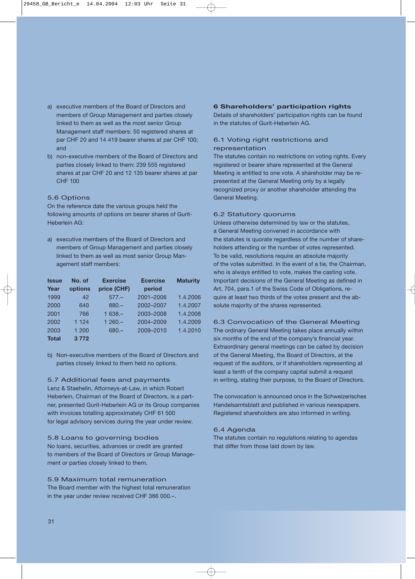- a) executive members of the Board of Directors and members of Group Management and parties closely linked to them as well as the most senior Group Management staff members: 50 registered shares at par CHF 20 and 14 419 bearer shares at par CHF 100; and
- b) non-executive members of the Board of Directors and parties closely linked to them: 239 555 registered shares at par CHF 20 and 12 135 bearer shares at par CHF 100

# 5.6 Options

On the reference date the various groups held the following amounts of options on bearer shares of Gurit-Heberlein AG:

a) executive members of the Board of Directors and members of Group Management and parties closely linked to them as well as most senior Group Management staff members:

| <b>Issue</b> | No. of  | <b>Exercise</b> | <b>Ecercise</b> | <b>Maturity</b> |
|--------------|---------|-----------------|-----------------|-----------------|
| Year         | options | price (CHF)     | period          |                 |
| 1999         | 42      | $577 -$         | 2001-2006       | 1.4.2006        |
| 2000         | 640     | $880 -$         | 2002-2007       | 1.4.2007        |
| 2001         | 766     | $1638 -$        | 2003-2008       | 1.4.2008        |
| 2002         | 1 1 2 4 | $1260 -$        | 2004-2009       | 1.4.2009        |
| 2003         | 1 200   | $680 -$         | 2009-2010       | 1.4.2010        |
| Total        | 3 7 7 2 |                 |                 |                 |

b) Non-executive members of the Board of Directors and parties closely linked to them held no options.

# 5.7 Additional fees and payments

Lenz & Staehelin, Attorneys-at-Law, in which Robert Heberlein, Chairman of the Board of Directors, is a partner, presented Gurit-Heberlein AG or its Group companies with invoices totalling approximately CHF 61 500 for legal advisory services during the year under review.

# 5.8 Loans to governing bodies

No loans, securities, advances or credit are granted to members of the Board of Directors or Group Management or parties closely linked to them.

# 5.9 Maximum total remuneration

The Board member with the highest total remuneration in the year under review received CHF 366 000.–.

# **6 Shareholders' participation rights**

Details of shareholders' participation rights can be found in the statutes of Gurit-Heberlein AG.

# 6.1 Voting right restrictions and representation

The statutes contain no restrictions on voting rights. Every registered or bearer share represented at the General Meeting is entitled to one vote. A shareholder may be represented at the General Meeting only by a legally recognized proxy or another shareholder attending the General Meeting.

#### 6.2 Statutory quorums

Unless otherwise determined by law or the statutes, a General Meeting convened in accordance with the statutes is quorate regardless of the number of shareholders attending or the number of votes represented. To be valid, resolutions require an absolute majority of the votes submitted. In the event of a tie, the Chairman, who is always entitled to vote, makes the casting vote. Important decisions of the General Meeting as defined in Art. 704, para.1 of the Swiss Code of Obligations, require at least two thirds of the votes present and the absolute majority of the shares represented.

# 6.3 Convocation of the General Meeting

The ordinary General Meeting takes place annually within six months of the end of the company's financial year. Extraordinary general meetings can be called by decision of the General Meeting, the Board of Directors, at the request of the auditors, or if shareholders representing at least a tenth of the company capital submit a request in writing, stating their purpose, to the Board of Directors.

The convocation is announced once in the Schweizerisches Handelsamtsblatt and published in various newspapers. Registered shareholders are also informed in writing.

#### 6.4 Agenda

The statutes contain no regulations relating to agendas that differ from those laid down by law.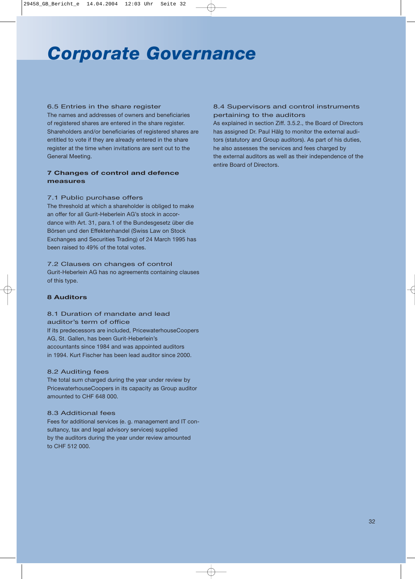# *Corporate Governance*

# 6.5 Entries in the share register

The names and addresses of owners and beneficiaries of registered shares are entered in the share register. Shareholders and/or beneficiaries of registered shares are entitled to vote if they are already entered in the share register at the time when invitations are sent out to the General Meeting.

# **7 Changes of control and defence measures**

# 7.1 Public purchase offers

The threshold at which a shareholder is obliged to make an offer for all Gurit-Heberlein AG's stock in accordance with Art. 31, para.1 of the Bundesgesetz über die Börsen und den Effektenhandel (Swiss Law on Stock Exchanges and Securities Trading) of 24 March 1995 has been raised to 49% of the total votes.

# 7.2 Clauses on changes of control

Gurit-Heberlein AG has no agreements containing clauses of this type.

# **8 Auditors**

# 8.1 Duration of mandate and lead auditor's term of office

If its predecessors are included, PricewaterhouseCoopers AG, St. Gallen, has been Gurit-Heberlein's accountants since 1984 and was appointed auditors in 1994. Kurt Fischer has been lead auditor since 2000.

# 8.2 Auditing fees

The total sum charged during the year under review by PricewaterhouseCoopers in its capacity as Group auditor amounted to CHF 648 000.

# 8.3 Additional fees

Fees for additional services (e. g. management and IT consultancy, tax and legal advisory services) supplied by the auditors during the year under review amounted to CHF 512 000.

### 8.4 Supervisors and control instruments pertaining to the auditors

As explained in section Ziff. 3.5.2., the Board of Directors has assigned Dr. Paul Hälg to monitor the external auditors (statutory and Group auditors). As part of his duties, he also assesses the services and fees charged by the external auditors as well as their independence of the entire Board of Directors.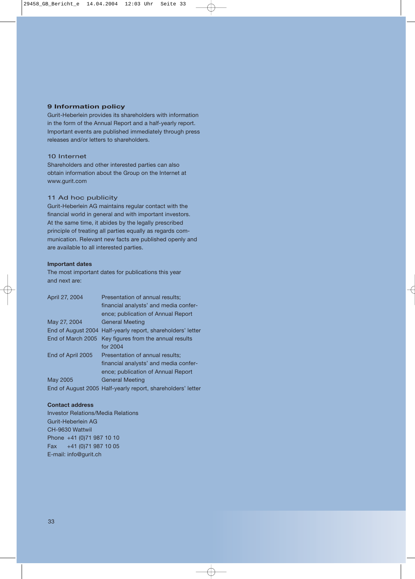# **9 Information policy**

Gurit-Heberlein provides its shareholders with information in the form of the Annual Report and a half-yearly report. Important events are published immediately through press releases and/or letters to shareholders.

# 10 Internet

Shareholders and other interested parties can also obtain information about the Group on the Internet at www.gurit.com

#### 11 Ad hoc publicity

Gurit-Heberlein AG maintains regular contact with the financial world in general and with important investors. At the same time, it abides by the legally prescribed principle of treating all parties equally as regards communication. Relevant new facts are published openly and are available to all interested parties.

#### **Important dates**

The most important dates for publications this year and next are:

| April 27, 2004    | Presentation of annual results;                             |
|-------------------|-------------------------------------------------------------|
|                   | financial analysts' and media confer-                       |
|                   | ence; publication of Annual Report                          |
| May 27, 2004      | <b>General Meeting</b>                                      |
|                   | End of August 2004 Half-yearly report, shareholders' letter |
|                   | End of March 2005 Key figures from the annual results       |
|                   | for 2004                                                    |
| End of April 2005 | Presentation of annual results;                             |
|                   | financial analysts' and media confer-                       |
|                   | ence; publication of Annual Report                          |
| May 2005          | <b>General Meeting</b>                                      |
|                   | End of August 2005 Half-yearly report, shareholders' letter |

# **Contact address**

Investor Relations/Media Relations Gurit-Heberlein AG CH-9630 Wattwil Phone +41 (0)71 987 10 10 Fax +41 (0)71 987 10 05 E-mail: info@gurit.ch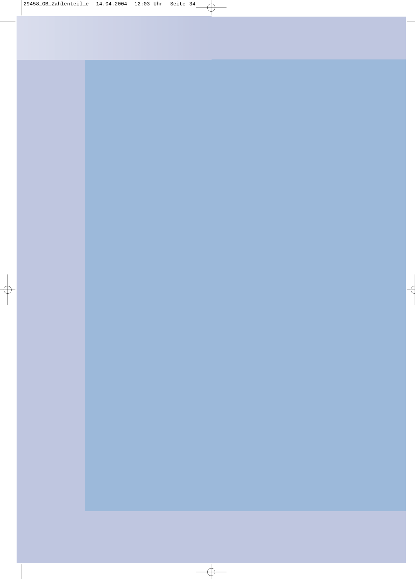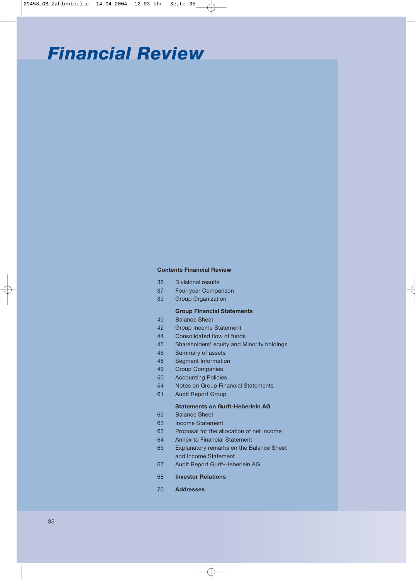# *Financial Review*

#### **Contents Financial Review**

- 36 Divisional results
- 37 Four-year Comparison
- 39 Group Organization

#### **Group Financial Statements**

- 40 Balance Sheet
- 42 Group Income Statement
- 44 Consolidated flow of funds
- 45 Shareholders' equity and Minority holdings
- 46 Summary of assets
- 48 Segment Information
- 49 Group Companies
- 50 Accounting Policies
- 54 Notes on Group Financial Statements
- 61 Audit Report Group

# **Statements on Gurit-Heberlein AG**

- 62 Balance Sheet
- 63 Income Statement
- 63 Proposal for the allocation of net income
- 64 Annex to Financial Statement
- 65 Explanatory remarks on the Balance Sheet and Income Statement
- 67 Audit Report Gurit-Heberlein AG
- 68 **Investor Relations**
- 70 **Addresses**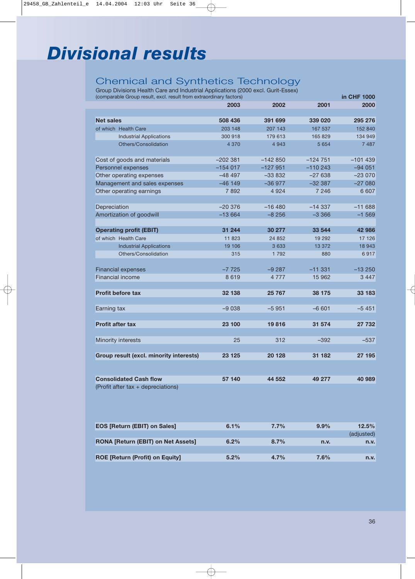# *Divisional results*

## Chemical and Synthetics Technology

Group Divisions Health Care and Industrial Applications (2000 excl. Gurit-Essex) (comparable Group result, excl. result from extraordinary factors)

|                                                | 2003      | 2002      | 2001      | 2000      |
|------------------------------------------------|-----------|-----------|-----------|-----------|
|                                                |           |           |           |           |
| <b>Net sales</b>                               | 508 436   | 391 699   | 339 020   | 295 276   |
| of which Health Care                           | 203 148   | 207 143   | 167 537   | 152 840   |
| <b>Industrial Applications</b>                 | 300 918   | 179 613   | 165 829   | 134 949   |
| Others/Consolidation                           | 4 3 7 0   | 4 9 4 3   | 5 6 5 4   | 7 4 8 7   |
| Cost of goods and materials                    | $-202381$ | $-142850$ | $-124751$ | $-101439$ |
| Personnel expenses                             | $-154017$ | $-127951$ | $-110243$ | $-94051$  |
| Other operating expenses                       | $-48497$  | $-33832$  | $-27638$  | $-23070$  |
| Management and sales expenses                  | $-46$ 149 | $-36977$  | $-32387$  | $-27080$  |
| Other operating earnings                       | 7892      | 4 9 2 4   | 7 2 4 6   | 6 607     |
|                                                |           |           |           |           |
| Depreciation                                   | $-20376$  | $-16480$  | $-14337$  | $-11688$  |
| Amortization of goodwill                       | $-13664$  | $-8256$   | $-3366$   | $-1569$   |
|                                                |           |           |           |           |
| <b>Operating profit (EBIT)</b>                 | 31 244    | 30 277    | 33 544    | 42 986    |
| of which Health Care                           | 11 823    | 24 852    | 19 29 2   | 17 126    |
| <b>Industrial Applications</b>                 | 19 10 6   | 3 6 3 3   | 13 372    | 18 943    |
| Others/Consolidation                           | 315       | 1 7 9 2   | 880       | 6917      |
|                                                |           |           |           |           |
| <b>Financial expenses</b>                      | $-7725$   | $-9287$   | $-11331$  | $-13250$  |
| Financial income                               | 8619      | 4 7 7 7   | 15 962    | 3 4 4 7   |
|                                                |           |           |           |           |
| <b>Profit before tax</b>                       | 32 138    | 25 767    | 38 175    | 33 183    |
|                                                |           |           |           |           |
| Earning tax                                    | $-9038$   | $-5951$   | $-6601$   | $-5451$   |
|                                                |           |           |           |           |
| <b>Profit after tax</b>                        | 23 100    | 19816     | 31 574    | 27 732    |
|                                                |           |           |           |           |
| Minority interests                             | 25        | 312       | -392      | $-537$    |
|                                                |           |           |           |           |
| <b>Group result (excl. minority interests)</b> | 23 1 25   | 20 128    | 31 182    | 27 195    |
|                                                |           |           |           |           |
| <b>Consolidated Cash flow</b>                  | 57 140    | 44 552    | 49 277    | 40 989    |
| (Profit after tax + depreciations)             |           |           |           |           |
|                                                |           |           |           |           |
|                                                |           |           |           |           |

| <b>EOS [Return (EBIT) on Sales]</b>       | 6.1%    | $7.7\%$ | $9.9\%$ | 12.5%      |
|-------------------------------------------|---------|---------|---------|------------|
|                                           |         |         |         | (adjusted) |
| <b>RONA [Return (EBIT) on Net Assets]</b> | 6.2%    | 8.7%    | n.v.    | n.v.       |
|                                           |         |         |         |            |
| <b>ROE [Return (Profit) on Equity]</b>    | $5.2\%$ | $4.7\%$ | $7.6\%$ | n.v.       |

**in CHF 1000**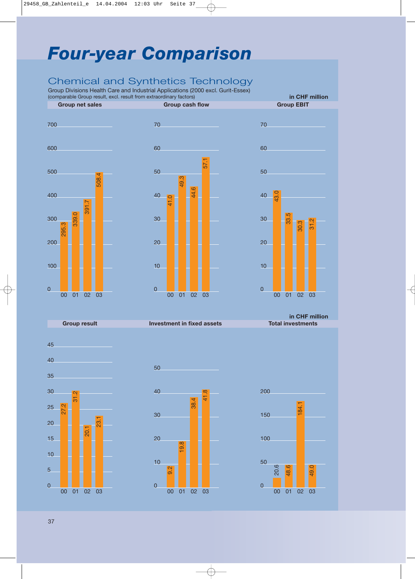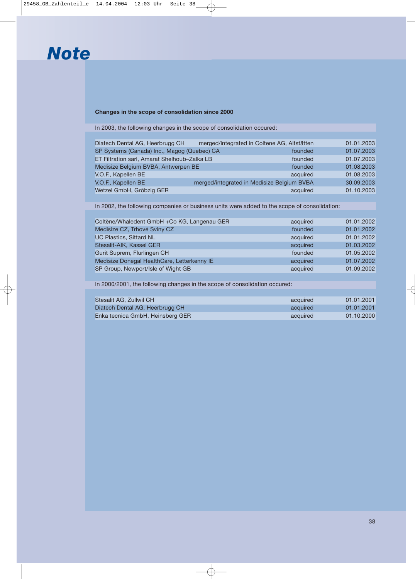#### **Changes in the scope of consolidation since 2000**

In 2003, the following changes in the scope of consolidation occured:

| Diatech Dental AG, Heerbrugg CH              | merged/integrated in Coltene AG, Altstätten |          | 01.01.2003 |
|----------------------------------------------|---------------------------------------------|----------|------------|
| SP Systems (Canada) Inc., Magog (Quebec) CA  |                                             | founded  | 01.07.2003 |
| ET Filtration sarl, Amarat Shelhoub-Zalka LB |                                             | founded  | 01.07.2003 |
| Medisize Belgium BVBA, Antwerpen BE          |                                             | founded  | 01.08.2003 |
| V.O.F., Kapellen BE                          |                                             | acquired | 01.08.2003 |
| V.O.F., Kapellen BE                          | merged/integrated in Medisize Belgium BVBA  |          | 30.09.2003 |
| Wetzel GmbH, Gröbzig GER                     |                                             | acquired | 01.10.2003 |

In 2002, the following companies or business units were added to the scope of consolidation:

| Coltène/Whaledent GmbH +Co KG, Langenau GER | acquired | 01.01.2002 |
|---------------------------------------------|----------|------------|
| Medisize CZ, Trhové Sviny CZ                | founded  | 01.01.2002 |
| <b>UC Plastics, Sittard NL</b>              | acquired | 01.01.2002 |
| Stesalit-AIK, Kassel GER                    | acquired | 01.03.2002 |
| Gurit Suprem, Flurlingen CH                 | founded  | 01.05.2002 |
| Medisize Donegal HealthCare, Letterkenny IE | acquired | 01.07.2002 |
| SP Group, Newport/Isle of Wight GB          | acquired | 01.09.2002 |

In 2000/2001, the following changes in the scope of consolidation occured:

| Stesalit AG. Zullwil CH          | acquired | 01.01.2001 |
|----------------------------------|----------|------------|
| Diatech Dental AG, Heerbrugg CH  | acquired | 01.01.2001 |
| Enka tecnica GmbH, Heinsberg GER | acquired | 01.10.2000 |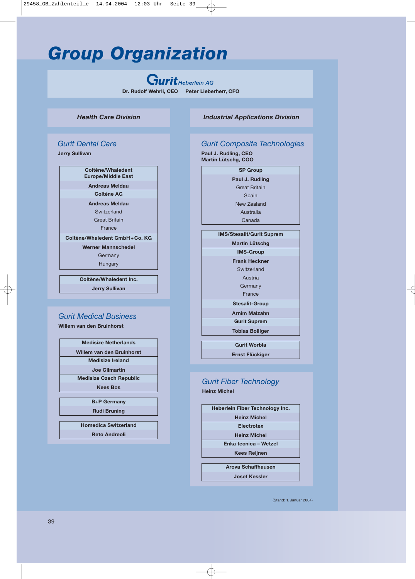# *Group Organization*

**Gurit Heberlein AG** 

**Dr. Rudolf Wehrli, CEO Peter Lieberherr, CFO**

**Health Care Division Industrial Applications Division** 

## *Gurit Dental Care*

**Jerry Sullivan**

| Coltène/Whaledent             |
|-------------------------------|
| <b>Europe/Middle East</b>     |
| Andreas Meldau                |
| Coltène AG                    |
| Andreas Meldau                |
| Switzerland                   |
| <b>Great Britain</b>          |
| France                        |
| Coltène/Whaledent GmbH+Co. KG |
| Werner Mannschedel            |
| Germany                       |
| Hungary                       |
|                               |
| Coltène/Whaledent Inc.        |
| <b>Jerry Sullivan</b>         |

### *Gurit Medical Business*

**Willem van den Bruinhorst**



**Reto Andreoli**

#### *Gurit Composite Technologies* **Paul J. Rudling, CEO**

**Martin Lütschg, COO**

**SP Group Paul J. Rudling** Great Britain Spain New Zealand Australia

Canada **IMS/Stesalit/Gurit Suprem**

| <b>Martin Lütschg</b>  |
|------------------------|
| <b>IMS-Group</b>       |
| <b>Frank Heckner</b>   |
| Switzerland            |
| Austria                |
| Germany                |
| France                 |
|                        |
| <b>Stesalit-Group</b>  |
| <b>Arnim Malzahn</b>   |
| <b>Gurit Suprem</b>    |
| <b>Tobias Bolliger</b> |
|                        |
| <b>Gurit Worbla</b>    |

## *Gurit Fiber Technology*

**Heinz Michel**

| Heberlein Fiber Technology Inc. |
|---------------------------------|
| <b>Heinz Michel</b>             |
| <b>Electrotex</b>               |
| <b>Heinz Michel</b>             |
| Enka tecnica - Wetzel           |
| <b>Kees Reijnen</b>             |
|                                 |
| Arova Schaffhausen              |
| Josef Kessler                   |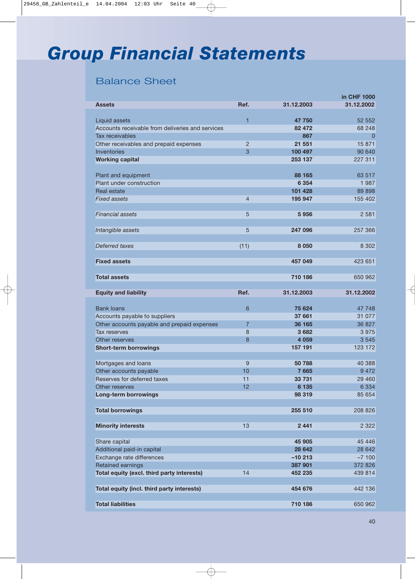# *Group Financial Statements*

## Balance Sheet

|                                                         |                 |            | in CHF 1000 |
|---------------------------------------------------------|-----------------|------------|-------------|
| <b>Assets</b>                                           | Ref.            | 31.12.2003 | 31.12.2002  |
|                                                         |                 |            |             |
| Liquid assets                                           | 1               | 47 750     | 52 552      |
| Accounts receivable from deliveries and services        |                 | 82 472     | 68 248      |
| Tax receivables                                         |                 | 867        | $\Omega$    |
| Other receivables and prepaid expenses                  | $\overline{2}$  | 21 551     | 15 871      |
| <b>Inventories</b><br><b>Working capital</b>            | 3               | 100 497    | 90 640      |
|                                                         |                 | 253 137    | 227 311     |
| Plant and equipment                                     |                 | 88 165     | 63 517      |
| Plant under construction                                |                 | 6 3 5 4    | 1987        |
| Real estate                                             |                 | 101 428    | 89898       |
| <b>Fixed assets</b>                                     | $\overline{4}$  | 195 947    | 155 402     |
|                                                         |                 |            |             |
| <b>Financial assets</b>                                 | 5               | 5956       | 2 5 8 1     |
|                                                         |                 |            |             |
| Intangible assets                                       | 5               | 247 096    | 257 366     |
|                                                         |                 |            |             |
| <b>Deferred taxes</b>                                   | (11)            | 8 0 5 0    | 8 3 0 2     |
|                                                         |                 |            |             |
| <b>Fixed assets</b>                                     |                 | 457 049    | 423 651     |
|                                                         |                 |            |             |
| <b>Total assets</b>                                     |                 | 710 186    | 650 962     |
|                                                         |                 |            |             |
| <b>Equity and liability</b>                             | Ref.            | 31.12.2003 | 31.12.2002  |
|                                                         |                 |            |             |
| <b>Bank loans</b>                                       | $6\phantom{1}6$ | 75 624     | 47 748      |
| Accounts payable to suppliers                           |                 | 37 661     | 31 077      |
| Other accounts payable and prepaid expenses             | $\overline{7}$  | 36 165     | 36 827      |
| Tax reserves                                            | 8               | 3682       | 3 9 7 5     |
| Other reserves                                          | 8               | 4 0 5 9    | 3545        |
| <b>Short-term borrowings</b>                            |                 | 157 191    | 123 172     |
|                                                         |                 |            |             |
| Mortgages and loans                                     | 9               | 50 788     | 40 388      |
| Other accounts payable                                  | 10              | 7665       | 9 4 7 2     |
| Reserves for deferred taxes                             | 11              | 33 731     | 29 4 60     |
| Other reserves                                          | 12              | 6 1 3 5    | 6 3 3 4     |
| <b>Long-term borrowings</b>                             |                 | 98 319     | 85 654      |
|                                                         |                 |            |             |
| <b>Total borrowings</b>                                 |                 | 255 510    | 208 826     |
|                                                         |                 |            |             |
| <b>Minority interests</b>                               | 13              | 2 4 4 1    | 2 3 2 2     |
|                                                         |                 |            |             |
| Share capital                                           |                 | 45 905     | 45 44 6     |
| Additional paid-in capital<br>Exchange rate differences |                 | 28 642     | 28 642      |
|                                                         |                 | $-10213$   | $-7100$     |
| Retained earnings                                       |                 | 387 901    | 372 826     |
| Total equity (excl. third party interests)              | 14              | 452 235    | 439 814     |
| Total equity (incl. third party interests)              |                 | 454 676    | 442 136     |
|                                                         |                 |            |             |
| <b>Total liabilities</b>                                |                 | 710 186    | 650 962     |
|                                                         |                 |            |             |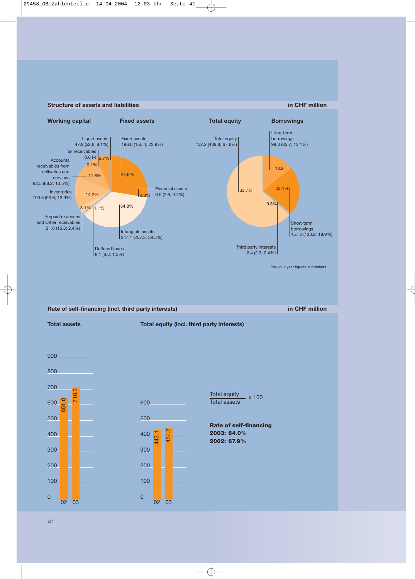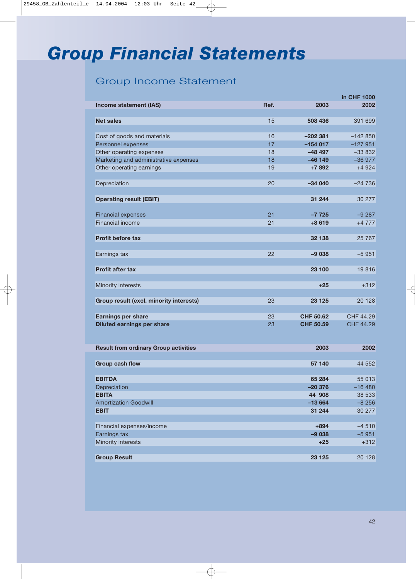# *Group Financial Statements*

## Group Income Statement

|                                              |      |                  | in CHF 1000 |
|----------------------------------------------|------|------------------|-------------|
| <b>Income statement (IAS)</b>                | Ref. | 2003             | 2002        |
| <b>Net sales</b>                             | 15   | 508 436          | 391 699     |
| Cost of goods and materials                  | 16   | $-202381$        | $-142850$   |
| Personnel expenses                           | 17   | $-154017$        | $-127951$   |
| Other operating expenses                     | 18   | $-48497$         | $-33832$    |
| Marketing and administrative expenses        | 18   | $-46$ 149        | $-36977$    |
| Other operating earnings                     | 19   | $+7892$          | $+4924$     |
| Depreciation                                 | 20   | $-34040$         | $-24736$    |
| <b>Operating result (EBIT)</b>               |      | 31 244           | 30 277      |
| <b>Financial expenses</b>                    | 21   | $-7725$          | $-9287$     |
| Financial income                             | 21   | +8 619           | $+4777$     |
| <b>Profit before tax</b>                     |      | 32 138           | 25 7 67     |
| Earnings tax                                 | 22   | $-9038$          | $-5951$     |
| <b>Profit after tax</b>                      |      | 23 100           | 19816       |
| Minority interests                           |      | $+25$            | $+312$      |
| Group result (excl. minority interests)      | 23   | 23 1 25          | 20 128      |
| <b>Earnings per share</b>                    | 23   | <b>CHF 50.62</b> | CHF 44.29   |
| <b>Diluted earnings per share</b>            | 23   | <b>CHF 50.59</b> | CHF 44.29   |
| <b>Result from ordinary Group activities</b> |      | 2003             | 2002        |
| <b>Group cash flow</b>                       |      | 57 140           | 44 552      |
| <b>EBITDA</b>                                |      | 65 284           | 55 013      |
| Depreciation                                 |      | $-20376$         | $-16480$    |
| <b>EBITA</b>                                 |      | 44 908           | 38 533      |
| <b>Amortization Goodwill</b>                 |      | $-13664$         | $-8256$     |
| <b>EBIT</b>                                  |      | 31 244           | 30 277      |
| Financial expenses/income                    |      | $+894$           | $-4510$     |
| Earnings tax                                 |      | $-9038$          | $-5951$     |
| <b>Minority interests</b>                    |      | $+25$            | $+312$      |
| <b>Group Result</b>                          |      | 23 125           | 20 128      |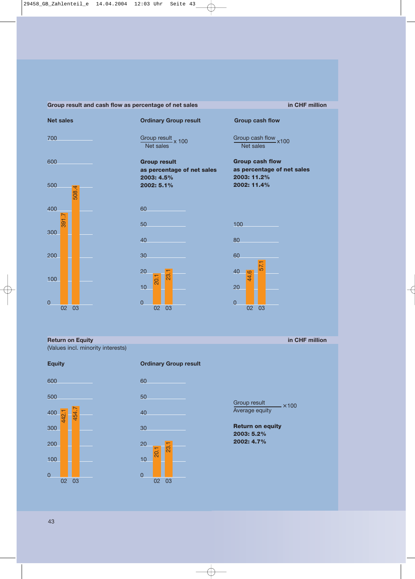#### **Group result and cash flow as percentage of net sales in CHF million** in CHF million



**Net sales Case Community Crows** Crown result Group cash flow

Group result x 100

Group result as percentage of net sales 2003: 4.5% 2002: 5.1%







Group cash flow x100 Net sales

Group cash flow

2003: 11.2% 2002: 11.4%

as percentage of net sales

**Return on Equity in CHF million**

600

500

400

442.1

300

200

100

0

(Values incl. minority interests)

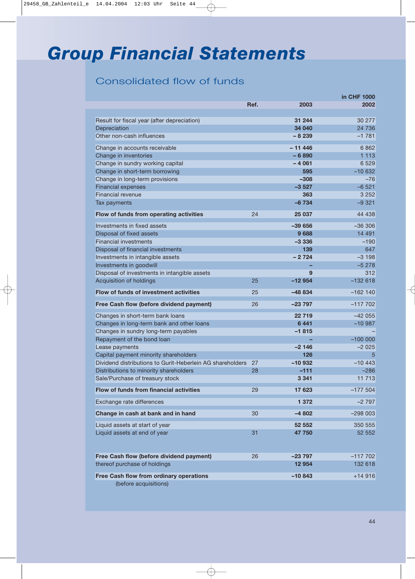# *Group Financial Statements*

## Consolidated flow of funds

|                                                                           |          |                    | in CHF 1000        |
|---------------------------------------------------------------------------|----------|--------------------|--------------------|
|                                                                           | Ref.     | 2003               | 2002               |
|                                                                           |          |                    |                    |
| Result for fiscal year (after depreciation)                               |          | 31 244             | 30 277             |
| Depreciation                                                              |          | 34 040             | 24 736             |
| Other non-cash influences                                                 |          | $-8239$            | $-1781$            |
| Change in accounts receivable                                             |          | $-11446$           | 6862               |
| Change in inventories                                                     |          | - 6 890            | 1 1 1 3            |
| Change in sundry working capital                                          |          | - 4 061            | 6 5 2 9            |
| Change in short-term borrowing                                            |          | 595                | $-10632$           |
| Change in long-term provisions                                            |          | $-308$             | -76                |
| <b>Financial expenses</b>                                                 |          | $-3527$            | $-6521$            |
| Financial revenue                                                         |          | 363                | 3 2 5 2            |
| Tax payments                                                              |          | -6 734             | $-9321$            |
| Flow of funds from operating activities                                   | 24       | 25 037             | 44 438             |
| Investments in fixed assets                                               |          | -39 656            | $-36306$           |
| Disposal of fixed assets                                                  |          | 9688               | 14 4 9 1           |
| <b>Financial investments</b>                                              |          | -3 336             | $-190$             |
| Disposal of financial investments                                         |          | 139                | 647                |
| Investments in intangible assets                                          |          | $-2724$            | $-3198$            |
| Investments in goodwill                                                   |          |                    | $-5278$            |
| Disposal of investments in intangible assets                              |          | 9                  | 312                |
| Acquisition of holdings                                                   | 25       | $-12954$           | $-132618$          |
| Flow of funds of investment activities                                    | 25       | -48 834            | $-162$ 140         |
| Free Cash flow (before dividend payment)                                  | 26       | $-23797$           | $-117702$          |
| Changes in short-term bank loans                                          |          | 22 719             | -42 055            |
| Changes in long-term bank and other loans                                 |          | 6441               | $-10987$           |
| Changes in sundry long-term payables                                      |          | $-1815$            |                    |
| Repayment of the bond loan                                                |          |                    | $-100000$          |
| Lease payments                                                            |          | $-2146$            | $-2025$            |
| Capital payment minority shareholders                                     |          | 126                | 5                  |
| Dividend distributions to Gurit-Heberlein AG shareholders                 | 27<br>28 | $-10932$<br>$-111$ | $-10443$<br>$-286$ |
| Distributions to minority shareholders<br>Sale/Purchase of treasury stock |          | 3 3 4 1            | 11 713             |
| Flow of funds from financial activities                                   |          |                    |                    |
|                                                                           | 29       | 17 623             | $-177504$          |
| Exchange rate differences                                                 |          | 1 372              | $-2797$            |
| Change in cash at bank and in hand                                        | 30       | $-4802$            | $-298003$          |
| Liquid assets at start of year                                            |          | 52 552             | 350 555            |
| Liquid assets at end of year                                              | 31       | 47 750             | 52 552             |
| Free Cash flow (before dividend payment)                                  | 26       | $-23797$           | $-117702$          |
| thereof purchase of holdings                                              |          | 12 9 54            | 132 618            |
| Free Cash flow from ordinary operations                                   |          | $-10843$           | $+14916$           |
| (before acquisitions)                                                     |          |                    |                    |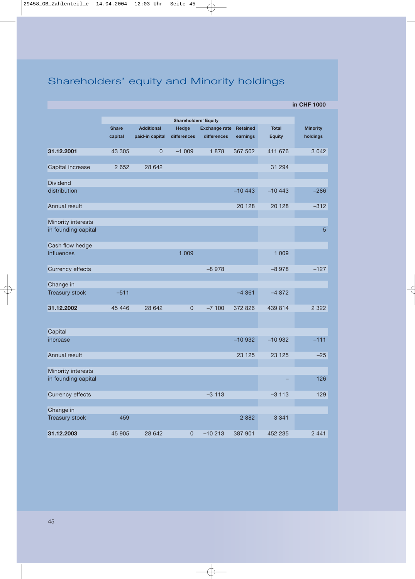## Shareholders' equity and Minority holdings

|                                                              |                         |                                      |                             |                                     |                             |                               | in CHF 1000                 |
|--------------------------------------------------------------|-------------------------|--------------------------------------|-----------------------------|-------------------------------------|-----------------------------|-------------------------------|-----------------------------|
|                                                              |                         |                                      | <b>Shareholders' Equity</b> |                                     |                             |                               |                             |
|                                                              | <b>Share</b><br>capital | <b>Additional</b><br>paid-in capital | Hedge<br>differences        | <b>Exchange rate</b><br>differences | <b>Retained</b><br>earnings | <b>Total</b><br><b>Equity</b> | <b>Minority</b><br>holdings |
| 31.12.2001                                                   | 43 305                  | $\mathbf{0}$                         | $-1009$                     | 1878                                | 367 502                     | 411 676                       | 3 0 4 2                     |
| Capital increase                                             | 2 6 5 2                 | 28 642                               |                             |                                     |                             | 31 294                        |                             |
| <b>Dividend</b>                                              |                         |                                      |                             |                                     |                             |                               |                             |
| distribution                                                 |                         |                                      |                             |                                     | $-10443$                    | $-10443$                      | $-286$                      |
| Annual result                                                |                         |                                      |                             |                                     | 20 128                      | 20 128                        | $-312$                      |
| Minority interests<br>in founding capital<br>Cash flow hedge |                         |                                      |                             |                                     |                             |                               | 5                           |
| influences                                                   |                         |                                      | 1 0 0 9                     |                                     |                             | 1 0 0 9                       |                             |
| <b>Currency effects</b>                                      |                         |                                      |                             | $-8978$                             |                             | $-8978$                       | $-127$                      |
| Change in                                                    |                         |                                      |                             |                                     |                             |                               |                             |
| Treasury stock                                               | $-511$                  |                                      |                             |                                     | $-4361$                     | $-4872$                       |                             |
| 31.12.2002                                                   | 45 446                  | 28 642                               | $\pmb{0}$                   | $-7100$                             | 372 826                     | 439 814                       | 2 3 2 2                     |
|                                                              |                         |                                      |                             |                                     |                             |                               |                             |
| Capital                                                      |                         |                                      |                             |                                     |                             |                               |                             |
| increase                                                     |                         |                                      |                             |                                     | $-10932$                    | $-10932$                      | $-111$                      |
| Annual result                                                |                         |                                      |                             |                                     | 23 1 25                     | 23 1 25                       | $-25$                       |
| Minority interests<br>in founding capital                    |                         |                                      |                             |                                     |                             |                               | 126                         |
|                                                              |                         |                                      |                             |                                     |                             |                               |                             |
| <b>Currency effects</b>                                      |                         |                                      |                             | $-3113$                             |                             | $-3113$                       | 129                         |
| Change in                                                    |                         |                                      |                             |                                     |                             |                               |                             |
| Treasury stock                                               | 459                     |                                      |                             |                                     | 2 8 8 2                     | 3 3 4 1                       |                             |
| 31.12.2003                                                   | 45 905                  | 28 642                               | $\pmb{0}$                   | $-10213$                            | 387 901                     | 452 235                       | 2 4 4 1                     |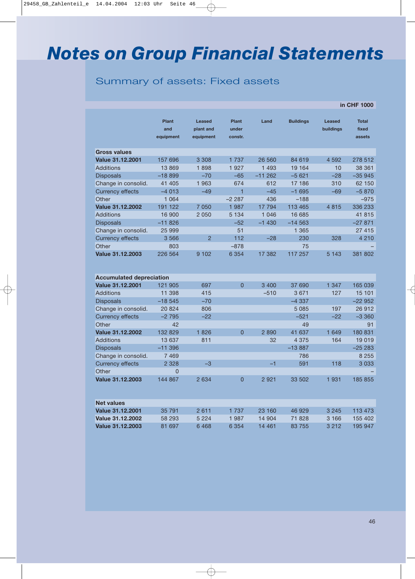# *Notes on Group Financial Statements*

## Summary of assets: Fixed assets

|                                 | <b>Plant</b><br>and<br>equipment | <b>Leased</b><br>plant and<br>equipment | <b>Plant</b><br>under<br>constr. | Land     | <b>Buildings</b> | <b>Leased</b><br>buildings | <b>Total</b><br>fixed<br>assets |
|---------------------------------|----------------------------------|-----------------------------------------|----------------------------------|----------|------------------|----------------------------|---------------------------------|
| <b>Gross values</b>             |                                  |                                         |                                  |          |                  |                            |                                 |
| Value 31.12.2001                | 157 696                          | 3 3 0 8                                 | 1 7 3 7                          | 26 560   | 84 619           | 4 5 9 2                    | 278 512                         |
| <b>Additions</b>                | 13869                            | 1898                                    | 1927                             | 1 4 9 3  | 19 164           | 10                         | 38 361                          |
| <b>Disposals</b>                | $-18899$                         | $-70$                                   | $-65$                            | $-11262$ | $-5621$          | $-28$                      | $-35945$                        |
| Change in consolid.             | 41 405                           | 1963                                    | 674                              | 612      | 17 186           | 310                        | 62 150                          |
| <b>Currency effects</b>         | $-4013$                          | $-49$                                   | 1                                | $-45$    | $-1695$          | $-69$                      | $-5870$                         |
| Other                           | 1 0 6 4                          |                                         | $-2287$                          | 436      | $-188$           |                            | $-975$                          |
| Value 31.12.2002                | 191 122                          | 7 0 5 0                                 | 1987                             | 17 794   | 113 465          | 4815                       | 336 233                         |
| <b>Additions</b>                | 16 900                           | 2 0 5 0                                 | 5 1 3 4                          | 1 0 4 6  | 16 685           |                            | 41815                           |
| <b>Disposals</b>                | $-11826$                         |                                         | $-52$                            | $-1430$  | $-14563$         |                            | $-27871$                        |
| Change in consolid.             | 25 999                           |                                         | 51                               |          | 1 3 6 5          |                            | 27 415                          |
| <b>Currency effects</b>         | 3566                             | $\overline{2}$                          | 112                              | $-28$    | 230              | 328                        | 4 2 1 0                         |
| Other                           | 803                              |                                         | $-878$                           |          | 75               |                            |                                 |
| Value 31.12.2003                | 226 564                          | 9 102                                   | 6 3 5 4                          | 17 382   | 117 257          | 5 1 4 3                    | 381 802                         |
| <b>Accumulated depreciation</b> |                                  |                                         |                                  |          |                  |                            |                                 |
| Value 31.12.2001                | 121 905                          | 697                                     | $\Omega$                         | 3 400    | 37 690           | 1 3 4 7                    | 165 039                         |
| <b>Additions</b>                | 11 398                           | 415                                     |                                  | $-510$   | 3671             | 127                        | 15 101                          |
| <b>Disposals</b>                | $-18545$                         | $-70$                                   |                                  |          | $-4337$          |                            | $-22952$                        |
| Change in consolid.             | 20824                            | 806                                     |                                  |          | 5 0 8 5          | 197                        | 26 912                          |
| <b>Currency effects</b>         | $-2795$                          | $-22$                                   |                                  |          | $-521$           | $-22$                      | $-3360$                         |
| Other                           | 42                               |                                         |                                  |          | 49               |                            | 91                              |
| Value 31.12.2002                | 132 829                          | 1826                                    | $\overline{0}$                   | 2890     | 41 637           | 1 649                      | 180 831                         |
| <b>Additions</b>                | 13 637                           | 811                                     |                                  | 32       | 4 3 7 5          | 164                        | 19 019                          |
| Disposals                       | $-11396$                         |                                         |                                  |          | $-13887$         |                            | $-25283$                        |
| Change in consolid.             | 7469                             |                                         |                                  |          | 786              |                            | 8 2 5 5                         |
| <b>Currency effects</b>         | 2 3 2 8                          | $-3$                                    |                                  | $-1$     | 591              | 118                        | 3 0 3 3                         |
| Other                           | 0                                |                                         |                                  |          |                  |                            |                                 |
| Value 31.12.2003                | 144 867                          | 2634                                    | $\overline{0}$                   | 2 9 2 1  | 33 502           | 1931                       | 185 855                         |
| <b>Net values</b>               |                                  |                                         |                                  |          |                  |                            |                                 |
| <b>Value 31.12.2001</b>         | 35 791                           | 2611                                    | 1 7 3 7                          | 23 160   | 46 929           | 3 2 4 5                    | 113 473                         |
| Value 31.12.2002                | 58 293                           | 5 2 2 4                                 | 1 987                            | 14 904   | 71 828           | 3 166                      | 155 402                         |
| Value 31.12.2003                | 81 697                           | 6468                                    | 6 354                            | 14 461   | 83 755           | 3 2 1 2                    | 195 947                         |
|                                 |                                  |                                         |                                  |          |                  |                            |                                 |

**in CHF 1000**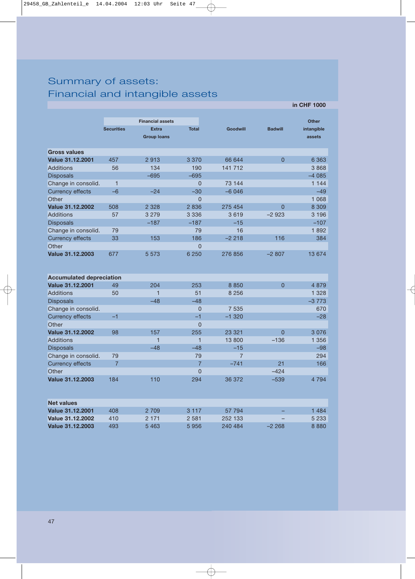## Summary of assets: Financial and intangible assets

|                                 |                   | <b>Financial assets</b> |                |                 |                | <b>Other</b> |  |
|---------------------------------|-------------------|-------------------------|----------------|-----------------|----------------|--------------|--|
|                                 | <b>Securities</b> | <b>Extra</b>            | <b>Total</b>   | <b>Goodwill</b> | <b>Badwill</b> | intangible   |  |
|                                 |                   | <b>Group loans</b>      |                |                 |                | assets       |  |
| <b>Gross values</b>             |                   |                         |                |                 |                |              |  |
| <b>Value 31.12.2001</b>         | 457               | 2913                    | 3 3 7 0        | 66 644          | $\Omega$       | 6 3 6 3      |  |
| <b>Additions</b>                | 56                | 134                     | 190            | 141 712         |                | 3868         |  |
| <b>Disposals</b>                |                   | $-695$                  | $-695$         |                 |                | $-4085$      |  |
| Change in consolid.             | 1                 |                         | $\Omega$       | 73 144          |                | 1 144        |  |
| <b>Currency effects</b>         | $-6$              | $-24$                   | $-30$          | $-6046$         |                | $-49$        |  |
| Other                           |                   |                         | $\overline{0}$ |                 |                | 1 0 6 8      |  |
| <b>Value 31.12.2002</b>         | 508               | 2 3 2 8                 | 2 8 3 6        | 275 454         | $\overline{0}$ | 8 3 0 9      |  |
| <b>Additions</b>                | 57                | 3 2 7 9                 | 3 3 3 6        | 3619            | $-2923$        | 3 196        |  |
| <b>Disposals</b>                |                   | $-187$                  | $-187$         | $-15$           |                | $-107$       |  |
| Change in consolid.             | 79                |                         | 79             | 16              |                | 1892         |  |
| <b>Currency effects</b>         | 33                | 153                     | 186            | $-2218$         | 116            | 384          |  |
| Other                           |                   |                         | $\Omega$       |                 |                |              |  |
| Value 31.12.2003                | 677               | 5 5 7 3                 | 6 250          | 276 856         | $-2807$        | 13 674       |  |
|                                 |                   |                         |                |                 |                |              |  |
|                                 |                   |                         |                |                 |                |              |  |
| <b>Accumulated depreciation</b> |                   |                         |                |                 |                |              |  |
| <b>Value 31.12.2001</b>         | 49                | 204                     | 253            | 8850            | $\overline{0}$ | 4879         |  |
| <b>Additions</b>                | 50                | $\mathbf{1}$            | 51             | 8 2 5 6         |                | 1 3 2 8      |  |
| <b>Disposals</b>                |                   | $-48$                   | $-48$          |                 |                | $-3773$      |  |
| Change in consolid.             |                   |                         | $\overline{0}$ | 7 5 3 5         |                | 670          |  |
| <b>Currency effects</b>         | $-1$              |                         | $-1$           | $-1320$         |                | $-28$        |  |
| Other                           |                   |                         | $\overline{0}$ |                 |                |              |  |
| <b>Value 31.12.2002</b>         | 98                | 157                     | 255            | 23 321          | $\overline{0}$ | 3 0 7 6      |  |
| <b>Additions</b>                |                   | $\mathbf{1}$            | 1              | 13800           | $-136$         | 1 3 5 6      |  |
| <b>Disposals</b>                |                   | $-48$                   | $-48$          | $-15$           |                | $-98$        |  |
| Change in consolid.             | 79                |                         | 79             | 7               |                | 294          |  |
| <b>Currency effects</b>         | $\overline{7}$    |                         | $\overline{7}$ | $-741$          | 21             | 166          |  |
| Other                           |                   |                         | $\overline{0}$ |                 | $-424$         |              |  |
| <b>Value 31.12.2003</b>         | 184               | 110                     | 294            | 36 372          | $-539$         | 4 7 9 4      |  |
|                                 |                   |                         |                |                 |                |              |  |
|                                 |                   |                         |                |                 |                |              |  |
| <b>Net values</b>               |                   |                         |                |                 |                |              |  |
| <b>Value 31.12.2001</b>         | 408               | 2 709                   | 3 1 1 7        | 57 794          |                | 1 4 8 4      |  |
| <b>Value 31.12.2002</b>         | 410               | 2 1 7 1                 | 2 5 8 1        | 252 133         |                | 5 2 3 3      |  |
| <b>Value 31.12.2003</b>         | 493               | 5463                    | 5956           | 240 484         | $-2268$        | 8880         |  |

**in CHF 1000**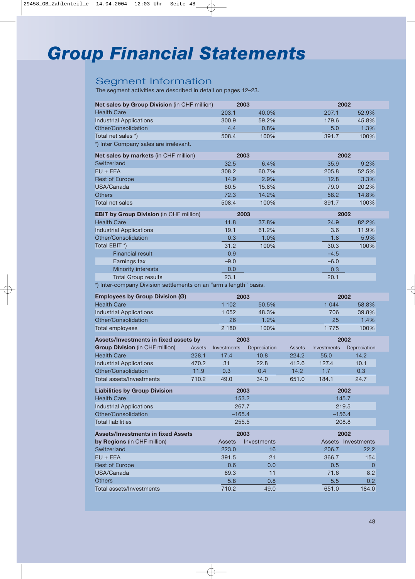# *Group Financial Statements*

### Segment Information

The segment activities are described in detail on pages 12–23.

| Net sales by Group Division (in CHF million)                      |               | 2003          |              |               |             | 2002               |
|-------------------------------------------------------------------|---------------|---------------|--------------|---------------|-------------|--------------------|
| <b>Health Care</b>                                                |               | 203.1         | 40.0%        |               | 207.1       | 52.9%              |
| <b>Industrial Applications</b>                                    |               | 300.9         | 59.2%        |               | 179.6       | 45.8%              |
| Other/Consolidation                                               |               | 4.4           | 0.8%         |               | 5.0         | 1.3%               |
| Total net sales *)                                                |               | 508.4         | 100%         |               | 391.7       | 100%               |
| *) Inter Company sales are irrelevant.                            |               |               |              |               |             |                    |
|                                                                   |               |               |              |               |             |                    |
| Net sales by markets (in CHF million)                             |               | 2003          |              |               |             | 2002               |
| Switzerland                                                       |               | 32.5          | 6.4%         |               | 35.9        | 9.2%               |
| $EU + EEA$                                                        |               | 308.2         | 60.7%        |               | 205.8       | 52.5%              |
| <b>Rest of Europe</b>                                             |               | 14.9          | 2.9%         |               | 12.8        | 3.3%               |
| USA/Canada                                                        |               | 80.5          | 15.8%        |               | 79.0        | 20.2%              |
| <b>Others</b>                                                     |               | 72.3          | 14.2%        |               | 58.2        | 14.8%              |
| <b>Total net sales</b>                                            |               | 508.4         | 100%         |               | 391.7       | 100%               |
| <b>EBIT by Group Division (in CHF million)</b>                    |               |               | 2003         |               |             | 2002               |
| <b>Health Care</b>                                                |               | 11.8          | 37.8%        |               | 24.9        | 82.2%              |
| <b>Industrial Applications</b>                                    |               | 19.1          | 61.2%        |               | 3.6         | 11.9%              |
| Other/Consolidation                                               |               | 0.3           | 1.0%         |               | 1.8         | 5.9%               |
| Total EBIT *)                                                     |               | 31.2          | 100%         |               | 30.3        | 100%               |
| <b>Financial result</b>                                           |               | 0.9           |              |               | $-4.5$      |                    |
| Earnings tax                                                      |               | $-9.0$        |              |               | $-6.0$      |                    |
| <b>Minority interests</b>                                         |               | 0.0           |              |               | 0.3         |                    |
| <b>Total Group results</b>                                        |               | 23.1          |              |               | 20.1        |                    |
| *) Inter-company Division settlements on an "arm's length" basis. |               |               |              |               |             |                    |
|                                                                   |               |               |              |               |             |                    |
| Employees by Group Division (Ø)                                   |               | 2003          |              |               |             | 2002               |
| <b>Health Care</b>                                                |               | 1 1 0 2       | 50.5%        |               | 1 0 4 4     | 58.8%              |
| <b>Industrial Applications</b>                                    |               | 1 0 5 2       | 48.3%        |               | 706         | 39.8%              |
| Other/Consolidation                                               |               | 26            | 1.2%         |               | 25          | 1.4%               |
| Total employees                                                   |               | 2 180         | 100%         |               | 1 7 7 5     | 100%               |
| Assets/Investments in fixed assets by                             |               | 2003          |              |               |             |                    |
| <b>Group Division (in CHF million)</b>                            | <b>Assets</b> |               |              |               |             | 2002               |
|                                                                   |               | Investments   | Depreciation | <b>Assets</b> | Investments | Depreciation       |
| <b>Health Care</b>                                                | 228.1         | 17.4          | 10.8         | 224.2         | 55.0        | 14.2               |
|                                                                   | 470.2         | 31            | 22.8         | 412.6         | 127.4       | 10.1               |
| <b>Industrial Applications</b><br>Other/Consolidation             | 11.9          | 0.3           | 0.4          | 14.2          | 1.7         | 0.3                |
| Total assets/Investments                                          | 710.2         | 49.0          | 34.0         | 651.0         | 184.1       | 24.7               |
|                                                                   |               |               |              |               |             |                    |
| <b>Liabilities by Group Division</b>                              |               | 2003          |              |               |             | 2002               |
| <b>Health Care</b>                                                |               | 153.2         |              |               |             | 145.7              |
| <b>Industrial Applications</b>                                    |               | 267.7         |              |               |             | 219.5              |
| Other/Consolidation                                               |               | $-165.4$      |              |               | $-156.4$    |                    |
| <b>Total liabilities</b>                                          |               | 255.5         |              |               |             | 208.8              |
| <b>Assets/Investments in fixed Assets</b>                         |               | 2003          |              |               |             | 2002               |
| by Regions (in CHF million)                                       |               | <b>Assets</b> | Investments  |               |             | Assets Investments |
| Switzerland                                                       |               | 223.0         | 16           |               | 206.7       | 22.2               |
| $EU + EEA$                                                        |               | 391.5         | 21           |               | 366.7       | 154                |
| <b>Rest of Europe</b>                                             |               | 0.6           | 0.0          |               | 0.5         | $\pmb{0}$          |
| USA/Canada                                                        |               | 89.3          | 11           |               | 71.6        | 8.2                |
| <b>Others</b>                                                     |               | 5.8           | 0.8          |               | 5.5         | 0.2                |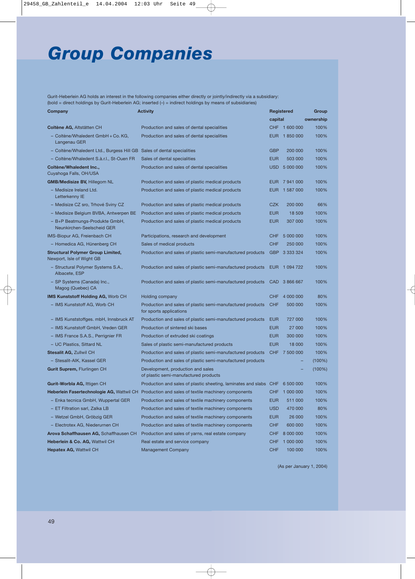# *Group Companies*

Gurit-Heberlein AG holds an interest in the following companies either directly or jointly/indirectly via a subsidiary: (bold = direct holdings by Gurit-Heberlein AG; inserted (–) = indirect holdings by means of subsidiaries)

| Company                                                               | <b>Activity</b>                                                                                |            | Registered    | Group     |
|-----------------------------------------------------------------------|------------------------------------------------------------------------------------------------|------------|---------------|-----------|
|                                                                       |                                                                                                | capital    |               | ownership |
| Coltène AG, Altstätten CH                                             | Production and sales of dental specialities                                                    |            | CHF 1 600 000 | 100%      |
| - Coltène/Whaledent GmbH + Co. KG,<br>Langenau GER                    | Production and sales of dental specialities                                                    |            | EUR 1850000   | 100%      |
| - Coltène/Whaledent Ltd., Burgess Hill GB                             | Sales of dental specialities                                                                   | <b>GBP</b> | 200 000       | 100%      |
| - Coltène/Whaledent S.à.r.l., St-Ouen FR                              | Sales of dental specialities                                                                   | <b>EUR</b> | 503 000       | 100%      |
| Coltène/Whaledent Inc.,<br>Cuyahoga Falls, OH/USA                     | Production and sales of dental specialities                                                    |            | USD 5 000 000 | 100%      |
| <b>GMB/Medisize BV, Hillegom NL</b>                                   | Production and sales of plastic medical products                                               | <b>EUR</b> | 7941000       | 100%      |
| - Medisize Ireland Ltd.<br>Letterkenny IE                             | Production and sales of plastic medical products                                               | <b>EUR</b> | 1 587 000     | 100%      |
| - Medisize CZ sro, Trhové Sviny CZ                                    | Production and sales of plastic medical products                                               | <b>CZK</b> | 200 000       | 66%       |
| - Medisize Belgium BVBA, Antwerpen BE                                 | Production and sales of plastic medical products                                               | <b>EUR</b> | 18 509        | 100%      |
| - B+P Beatmungs-Produkte GmbH,<br>Neunkirchen-Seelscheid GER          | Production and sales of plastic medical products                                               | <b>EUR</b> | 307 000       | 100%      |
| IMS-Biopur AG, Freienbach CH                                          | Participations, research and development                                                       | CHF        | 5 000 000     | 100%      |
| - Homedica AG, Hünenberg CH                                           | Sales of medical products                                                                      | <b>CHF</b> | 250 000       | 100%      |
| <b>Structural Polymer Group Limited,</b><br>Newport, Isle of Wight GB | Production and sales of plastic semi-manufactured products                                     | <b>GBP</b> | 3 333 324     | 100%      |
| - Structural Polymer Systems S.A.,<br>Albacete, ESP                   | Production and sales of plastic semi-manufactured products                                     | <b>EUR</b> | 1 094 722     | 100%      |
| - SP Systems (Canada) Inc.,<br>Magog (Quebec) CA                      | Production and sales of plastic semi-manufactured products                                     | <b>CAD</b> | 3866667       | 100%      |
| <b>IMS Kunststoff Holding AG, Worb CH</b>                             | Holding company                                                                                | CHF        | 4 000 000     | 80%       |
| - IMS Kunststoff AG, Worb CH                                          | Production and sales of plastic semi-manufactured products<br>for sports applications          | <b>CHF</b> | 500 000       | 100%      |
| - IMS Kunststoffges. mbH, Innsbruck AT                                | Production and sales of plastic semi-manufactured products                                     | <b>EUR</b> | 727 000       | 100%      |
| - IMS Kunststoff GmbH, Vreden GER                                     | Production of sintered ski bases                                                               | <b>EUR</b> | 27 000        | 100%      |
| - IMS France S.A.S., Perrignier FR                                    | Production of extruded ski coatings                                                            | <b>EUR</b> | 300 000       | 100%      |
| - UC Plastics, Sittard NL                                             | Sales of plastic semi-manufactured products                                                    | <b>EUR</b> | 18 000        | 100%      |
| <b>Stesalit AG, Zullwil CH</b>                                        | Production and sales of plastic semi-manufactured products                                     | <b>CHF</b> | 7 500 000     | 100%      |
| - Stesalit-AIK, Kassel GER                                            | Production and sales of plastic semi-manufactured products                                     |            |               | $(100\%)$ |
| Gurit Suprem, Flurlingen CH                                           | Development, production and sales<br>of plastic semi-manufactured products                     |            |               | $(100\%)$ |
| Gurit-Worbla AG, Ittigen CH                                           | Production and sales of plastic sheeting, laminates and slabs CHF 6 500 000                    |            |               | 100%      |
|                                                                       | Heberlein Fasertechnologie AG, Wattwil CH Production and sales of textile machinery components |            | CHF 1 000 000 | 100%      |
| - Enka tecnica GmbH, Wuppertal GER                                    | Production and sales of textile machinery components                                           | <b>EUR</b> | 511 000       | 100%      |
| - ET Filtration sarl, Zalka LB                                        | Production and sales of textile machinery components                                           | <b>USD</b> | 470 000       | 80%       |
| - Wetzel GmbH, Gröbzig GER                                            | Production and sales of textile machinery components                                           | <b>EUR</b> | 26 000        | 100%      |
| - Electrotex AG, Niederurnen CH                                       | Production and sales of textile machinery components                                           | <b>CHF</b> | 600 000       | 100%      |
| Arova Schaffhausen AG, Schaffhausen CH                                | Production and sales of yarns, real estate company                                             | <b>CHF</b> | 8 000 000     | 100%      |
| Heberlein & Co. AG, Wattwil CH                                        | Real estate and service company                                                                | <b>CHF</b> | 1 000 000     | 100%      |
| Hepatex AG, Wattwil CH                                                | <b>Management Company</b>                                                                      | <b>CHF</b> | 100 000       | 100%      |

(As per January 1, 2004)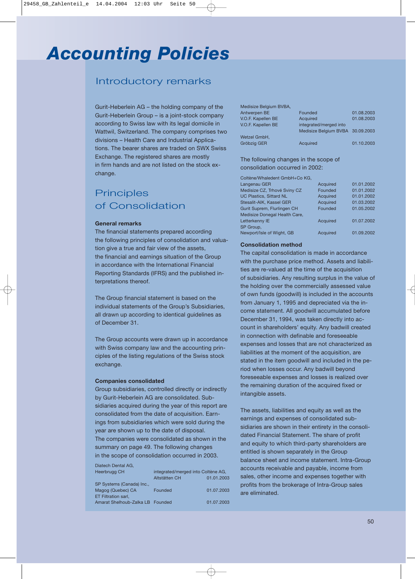# *Accounting Policies*

### Introductory remarks

Gurit-Heberlein AG – the holding company of the Gurit-Heberlein Group – is a joint-stock company according to Swiss law with its legal domicile in Wattwil, Switzerland. The company comprises two divisions – Health Care and Industrial Applications. The bearer shares are traded on SWX Swiss Exchange. The registered shares are mostly in firm hands and are not listed on the stock exchange.

## **Principles** of Consolidation

#### **General remarks**

The financial statements prepared according the following principles of consolidation and valuation give a true and fair view of the assets, the financial and earnings situation of the Group in accordance with the International Financial Reporting Standards (IFRS) and the published interpretations thereof.

The Group financial statement is based on the individual statements of the Group's Subsidiaries, all drawn up according to identical guidelines as of December 31.

The Group accounts were drawn up in accordance with Swiss company law and the accounting principles of the listing regulations of the Swiss stock exchange.

#### **Companies consolidated**

Group subsidiaries, controlled directly or indirectly by Gurit-Heberlein AG are consolidated. Subsidiaries acquired during the year of this report are consolidated from the date of acquisition. Earnings from subsidiaries which were sold during the year are shown up to the date of disposal. The companies were consolidated as shown in the summary on page 49. The following changes in the scope of consolidation occurred in 2003.

Diatech Dental AG,

| Heerbrugg CH                     | integrated/merged into Coltène AG, |            |  |
|----------------------------------|------------------------------------|------------|--|
|                                  | Altstätten CH                      | 01.01.2003 |  |
| SP Systems (Canada) Inc.,        |                                    |            |  |
| Magog (Quebec) CA                | Founded                            | 01.07.2003 |  |
| ET Filtration sarl,              |                                    |            |  |
| Amarat Shelhoub-Zalka LB Founded |                                    | 01.07.2003 |  |
|                                  |                                    |            |  |

| Medisize Belgium BVBA, |                                  |            |
|------------------------|----------------------------------|------------|
| Antwerpen BE           | Founded                          | 01.08.2003 |
| V.O.F. Kapellen BE     | Acquired                         | 01.08.2003 |
| V.O.F. Kapellen BE     | integrated/merged into           |            |
|                        | Medisize Belgium BVBA 30.09.2003 |            |
| Wetzel GmbH,           |                                  |            |
| Gröbzig GER            | Acquired                         | 01.10.2003 |

The following changes in the scope of consolidation occurred in 2002:

| Coltène/Whaledent GmbH+Co KG,  |                 |            |
|--------------------------------|-----------------|------------|
| Langenau GER                   | Acquired        | 01.01.2002 |
| Medisize CZ, Trhové Sviny CZ   | Founded         | 01.01.2002 |
| <b>UC Plastics, Sittard NL</b> | Acquired        | 01.01.2002 |
| Stesalit-AIK, Kassel GER       | Acquired        | 01.03.2002 |
| Gurit Suprem, Flurlingen CH    | Founded         | 01.05.2002 |
| Medisize Donegal Health Care,  |                 |            |
| Letterkenny IE                 | Acquired        | 01.07.2002 |
| SP Group,                      |                 |            |
| Newport/Isle of Wight, GB      | <b>Acquired</b> | 01.09.2002 |
|                                |                 |            |

#### **Consolidation method**

The capital consolidation is made in accordance with the purchase price method. Assets and liabilities are re-valued at the time of the acquisition of subsidiaries. Any resulting surplus in the value of the holding over the commercially assessed value of own funds (goodwill) is included in the accounts from January 1, 1995 and depreciated via the income statement. All goodwill accumulated before December 31, 1994, was taken directly into account in shareholders' equity. Any badwill created in connection with definable and foreseeable expenses and losses that are not characterized as liabilities at the moment of the acquisition, are stated in the item goodwill and included in the period when losses occur. Any badwill beyond foreseeable expenses and losses is realized over the remaining duration of the acquired fixed or intangible assets.

The assets, liabilities and equity as well as the earnings and expenses of consolidated subsidiaries are shown in their entirety in the consolidated Financial Statement. The share of profit and equity to which third-party shareholders are entitled is shown separately in the Group balance sheet and income statement. Intra-Group accounts receivable and payable, income from sales, other income and expenses together with profits from the brokerage of Intra-Group sales are eliminated.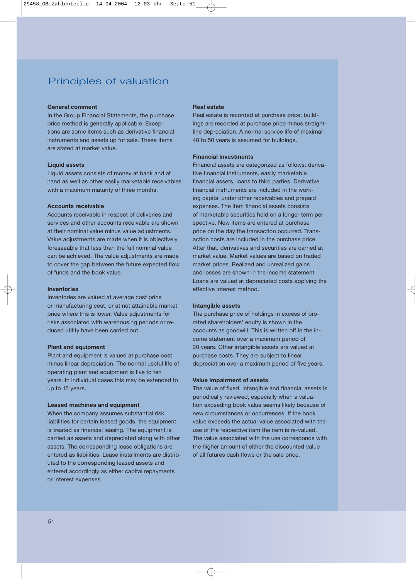### Principles of valuation

#### **General comment**

In the Group Financial Statements, the purchase price method is generally applicable. Exceptions are some items such as derivative financial instruments and assets up for sale. These items are stated at market value.

#### **Liquid assets**

Liquid assets consists of money at bank and at hand as well as other easily marketable receivables with a maximum maturity of three months.

#### **Accounts receivable**

Accounts receivable in respect of deliveries and services and other accounts receivable are shown at their nominal value minus value adjustments. Value adjustments are made when it is objectively foreseeable that less than the full nominal value can be achieved. The value adjustments are made to cover the gap between the future expected flow of funds and the book value.

#### **Inventories**

Inventories are valued at average cost price or manufacturing cost, or at net attainable market price where this is lower. Value adjustments for risks associated with warehousing periods or reduced utility have been carried out.

#### **Plant and equipment**

Plant and equipment is valued at purchase cost minus linear depreciation. The normal useful life of operating plant and equipment is five to ten years. In individual cases this may be extended to up to 15 years.

#### **Leased machines and equipment**

When the company assumes substantial risk liabilities for certain leased goods, the equipment is treated as financial leasing. The equipment is carried as assets and depreciated along with other assets. The corresponding lease obligations are entered as liabilities. Lease installments are distributed to the corresponding leased assets and entered accordingly as either capital repayments or interest expenses.

#### **Real estate**

Real estate is recorded at purchase price; buildings are recorded at purchase price minus straightline depreciation. A normal service life of maximal 40 to 50 years is assumed for buildings.

#### **Financial investments**

Financial assets are categorized as follows: derivative financial instruments, easily marketable financial assets, loans to third parties. Derivative financial instruments are included in the working capital under other receivables and prepaid expenses. The item financial assets consists of marketable securities held on a longer term perspective. New items are entered at purchase price on the day the transaction occurred. Transaction costs are included in the purchase price. After that, derivatives and securities are carried at market value. Market values are based on traded market prices. Realized and unrealized gains and losses are shown in the income statement. Loans are valued at depreciated costs applying the effective interest method.

#### **Intangible assets**

The purchase price of holdings in excess of prorated shareholders' equity is shown in the accounts as goodwill. This is written off in the income statement over a maximum period of 20 years. Other intangible assets are valued at purchase costs. They are subject to linear depreciation over a maximum period of five years.

#### **Value impairment of assets**

The value of fixed, intangible and financial assets is periodically reviewed, especially when a valuation exceeding book value seems likely because of new circumstances or occurrences. If the book value exceeds the actual value associated with the use of the respective item the item is re-valued. The value associated with the use corresponds with the higher amount of either the discounted value of all futures cash flows or the sale price.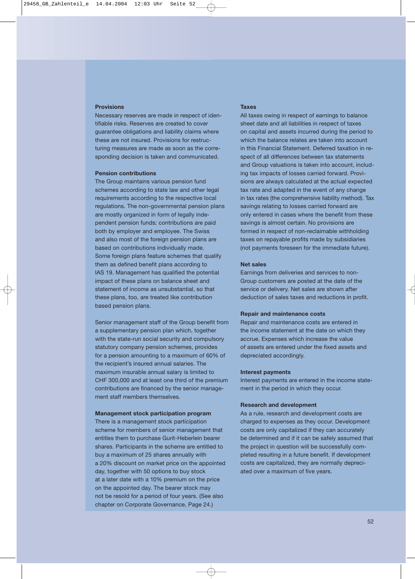#### **Provisions**

Necessary reserves are made in respect of identifiable risks. Reserves are created to cover guarantee obligations and liability claims where these are not insured. Provisions for restructuring measures are made as soon as the corresponding decision is taken and communicated.

#### **Pension contributions**

The Group maintains various pension fund schemes according to state law and other legal requirements according to the respective local regulations. The non-governmental pension plans are mostly organized in form of legally independent pension funds; contributions are paid both by employer and employee. The Swiss and also most of the foreign pension plans are based on contributions individually made. Some foreign plans feature schemes that qualify them as defined benefit plans according to IAS 19. Management has qualified the potential impact of these plans on balance sheet and statement of income as unsubstantial, so that these plans, too, are treated like contribution based pension plans.

Senior management staff of the Group benefit from a supplementary pension plan which, together with the state-run social security and compulsory statutory company pension schemes, provides for a pension amounting to a maximum of 60% of the recipient's insured annual salaries. The maximum insurable annual salary is limited to CHF 300,000 and at least one third of the premium contributions are financed by the senior management staff members themselves.

#### **Management stock participation program**

There is a management stock participation scheme for members of senior management that entitles them to purchase Gurit-Heberlein bearer shares. Participants in the scheme are entitled to buy a maximum of 25 shares annually with a 20% discount on market price on the appointed day, together with 50 options to buy stock at a later date with a 10% premium on the price on the appointed day. The bearer stock may not be resold for a period of four years. (See also chapter on Corporate Governance, Page 24.)

#### **Taxes**

All taxes owing in respect of earnings to balance sheet date and all liabilities in respect of taxes on capital and assets incurred during the period to which the balance relates are taken into account in this Financial Statement. Deferred taxation in respect of all differences between tax statements and Group valuations is taken into account, including tax impacts of losses carried forward. Provisions are always calculated at the actual expected tax rate and adapted in the event of any change in tax rates (the comprehensive liability method). Tax savings relating to losses carried forward are only entered in cases where the benefit from these savings is almost certain. No provisions are formed in respect of non-reclaimable withholding taxes on repayable profits made by subsidiaries (not payments foreseen for the immediate future).

#### **Net sales**

Earnings from deliveries and services to non-Group customers are posted at the date of the service or delivery. Net sales are shown after deduction of sales taxes and reductions in profit.

#### **Repair and maintenance costs**

Repair and maintenance costs are entered in the income statement at the date on which they accrue. Expenses which increase the value of assets are entered under the fixed assets and depreciated accordingly.

#### **Interest payments**

Interest payments are entered in the income statement in the period in which they occur.

#### **Research and development**

As a rule, research and development costs are charged to expenses as they occur. Development costs are only capitalized if they can accurately be determined and if it can be safely assumed that the project in question will be successfully completed resulting in a future benefit. If development costs are capitalized, they are normally depreciated over a maximum of five years.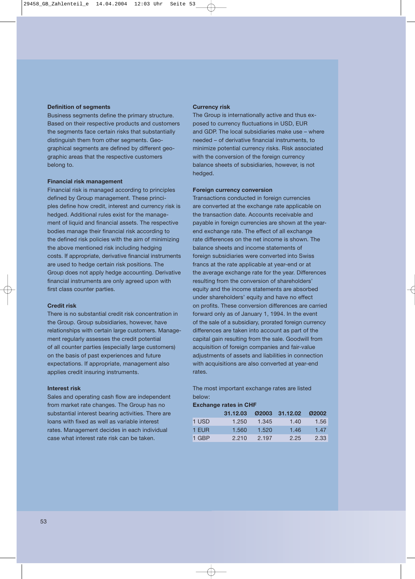#### **Definition of segments**

Business segments define the primary structure. Based on their respective products and customers the segments face certain risks that substantially distinguish them from other segments. Geographical segments are defined by different geographic areas that the respective customers belong to.

#### **Financial risk management**

Financial risk is managed according to principles defined by Group management. These principles define how credit, interest and currency risk is hedged. Additional rules exist for the management of liquid and financial assets. The respective bodies manage their financial risk according to the defined risk policies with the aim of minimizing the above mentioned risk including hedging costs. If appropriate, derivative financial instruments are used to hedge certain risk positions. The Group does not apply hedge accounting. Derivative financial instruments are only agreed upon with first class counter parties.

#### **Credit risk**

There is no substantial credit risk concentration in the Group. Group subsidiaries, however, have relationships with certain large customers. Management regularly assesses the credit potential of all counter parties (especially large customers) on the basis of past experiences and future expectations. If appropriate, management also applies credit insuring instruments.

#### **Interest risk**

Sales and operating cash flow are independent from market rate changes. The Group has no substantial interest bearing activities. There are loans with fixed as well as variable interest rates. Management decides in each individual case what interest rate risk can be taken.

#### **Currency risk**

The Group is internationally active and thus exposed to currency fluctuations in USD, EUR and GDP. The local subsidiaries make use – where needed – of derivative financial instruments, to minimize potential currency risks. Risk associated with the conversion of the foreign currency balance sheets of subsidiaries, however, is not hedged.

#### **Foreign currency conversion**

Transactions conducted in foreign currencies are converted at the exchange rate applicable on the transaction date. Accounts receivable and payable in foreign currencies are shown at the yearend exchange rate. The effect of all exchange rate differences on the net income is shown. The balance sheets and income statements of foreign subsidiaries were converted into Swiss francs at the rate applicable at year-end or at the average exchange rate for the year. Differences resulting from the conversion of shareholders' equity and the income statements are absorbed under shareholders' equity and have no effect on profits. These conversion differences are carried forward only as of January 1, 1994. In the event of the sale of a subsidiary, prorated foreign currency differences are taken into account as part of the capital gain resulting from the sale. Goodwill from acquisition of foreign companies and fair-value adjustments of assets and liabilities in connection with acquisitions are also converted at year-end rates.

The most important exchange rates are listed below:

#### **Exchange rates in CHF**

|       | 31.12.03 |       | 02003 31.12.02 02002 |      |
|-------|----------|-------|----------------------|------|
| 1 USD | 1.250    | 1.345 | 1.40                 | 1.56 |
| 1 EUR | 1.560    | 1.520 | 1.46                 | 1.47 |
| 1 GBP | 2.210    | 2 197 | 2.25                 | 2.33 |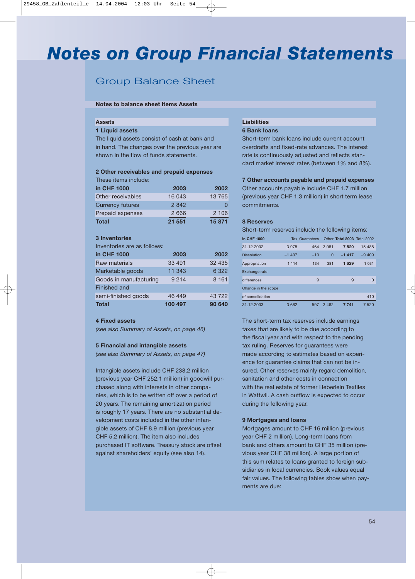## *Notes on Group Financial Statements*

## Group Balance Sheet

#### **Notes to balance sheet items Assets**

#### **Assets**

#### **1 Liquid assets**

The liquid assets consist of cash at bank and in hand. The changes over the previous year are shown in the flow of funds statements.

#### **2 Other receivables and prepaid expenses** These items include:

| in CHF 1000             | 2003    | 2002   |
|-------------------------|---------|--------|
| Other receivables       | 16 043  | 13 765 |
| <b>Currency futures</b> | 2 8 4 2 |        |
| <b>Prepaid expenses</b> | 2666    | 2 106  |
| Total                   | 21 551  | 15 871 |

#### **3 Inventories**

Inventories are as follows:

| in CHF 1000            | 2003    | 2002    |
|------------------------|---------|---------|
| Raw materials          | 33 491  | 32 435  |
| Marketable goods       | 11 343  | 6 3 2 2 |
| Goods in manufacturing | 9 2 1 4 | 8 1 6 1 |
| Finished and           |         |         |
| semi-finished goods    | 46 449  | 43 722  |
| <b>Total</b>           | 100 497 | 90 640  |

#### **4 Fixed assets**

*(see also Summary of Assets, on page 46)*

#### **5 Financial and intangible assets**

*(see also Summary of Assets, on page 47)*

Intangible assets include CHF 238,2 million (previous year CHF 252,1 million) in goodwill purchased along with interests in other companies, which is to be written off over a period of 20 years. The remaining amortization period is roughly 17 years. There are no substantial development costs included in the other intangible assets of CHF 8.9 million (previous year CHF 5.2 million). The item also includes purchased IT software. Treasury stock are offset against shareholders' equity (see also 14).

### **Liabilities**

#### **6 Bank loans**

Short-term bank loans include current account overdrafts and fixed-rate advances. The interest rate is continuously adjusted and reflects standard market interest rates (between 1% and 8%).

#### **7 Other accounts payable and prepaid expenses**

Other accounts payable include CHF 1.7 million (previous year CHF 1.3 million) in short term lease commitments.

#### **8 Reserves**

Short-term reserves include the following items:

| in CHF 1000         |         | <b>Tax Guarantees</b> |          | Other Total 2003 Total 2002 |          |
|---------------------|---------|-----------------------|----------|-----------------------------|----------|
| 31.12.2002          | 3975    | 464                   | 3 0 8 1  | 7520                        | 15 488   |
| <b>Dissolution</b>  | $-1407$ | $-10$                 | $\Omega$ | $-1417$                     | $-9,409$ |
| Appropriation       | 1 1 1 4 | 134                   | 381      | 1629                        | 1 0 3 1  |
| Exchange rate       |         |                       |          |                             |          |
| differences         |         | 9                     |          | 9                           | $\Omega$ |
| Change in the scope |         |                       |          |                             |          |
| of consolidation    |         |                       |          |                             | 410      |
| 31.12.2003          | 3682    | 597                   | 3462     | 7 741                       | 7 5 2 0  |

The short-term tax reserves include earnings taxes that are likely to be due according to the fiscal year and with respect to the pending tax ruling. Reserves for guarantees were made according to estimates based on experience for guarantee claims that can not be insured. Other reserves mainly regard demolition, sanitation and other costs in connection with the real estate of former Heberlein Textiles in Wattwil. A cash outflow is expected to occur during the following year.

#### **9 Mortgages and loans**

Mortgages amount to CHF 16 million (previous year CHF 2 million). Long-term loans from bank and others amount to CHF 35 million (previous year CHF 38 million). A large portion of this sum relates to loans granted to foreign subsidiaries in local currencies. Book values equal fair values. The following tables show when payments are due: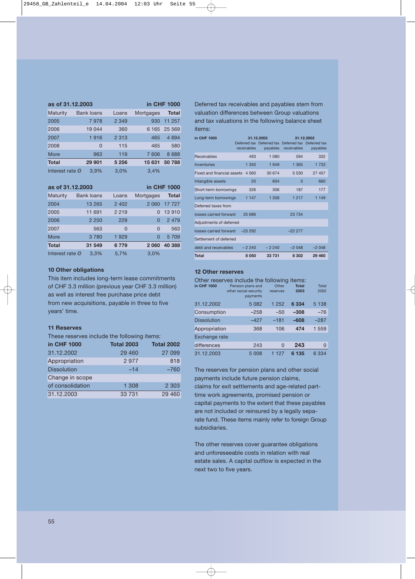| as of 31.12,2003            |                   |         | <b>in CHF 1000</b> |              |
|-----------------------------|-------------------|---------|--------------------|--------------|
| Maturity                    | <b>Bank loans</b> | Loans   | Mortgages          | <b>Total</b> |
| 2005                        | 7978              | 2 3 4 9 | 930                | 11 257       |
| 2006                        | 19 044            | 360     |                    | 6 165 25 569 |
| 2007                        | 1916              | 2 3 1 3 | 465                | 4694         |
| 2008                        | $\Omega$          | 115     | 465                | 580          |
| More                        | 963               | 119     | 7606               | 8688         |
| <b>Total</b>                | 29 901            | 5 2 5 6 | 15 631             | 50 788       |
| Interest rate $\varnothing$ | 3.9%              | 3.0%    | 3,4%               |              |

| as of 31.12.2003            |                   |          |                  | in CHF 1000  |
|-----------------------------|-------------------|----------|------------------|--------------|
| Maturity                    | <b>Bank loans</b> | Loans    | <b>Mortgages</b> | <b>Total</b> |
| 2004                        | 13 265            | 2 4 0 2  | 2 0 6 0          | 17 727       |
| 2005                        | 11 691            | 2 2 1 9  | 0                | 13 910       |
| 2006                        | 2 2 5 0           | 229      | 0                | 2 4 7 9      |
| 2007                        | 563               | $\Omega$ | $\Omega$         | 563          |
| More                        | 3780              | 1929     | 0                | 5 709        |
| <b>Total</b>                | 31 549            | 6779     | 2060             | 40 388       |
| Interest rate $\varnothing$ | 3.3%              | 5.7%     | 3.0%             |              |

#### **10 Other obligations**

This item includes long-term lease commitments of CHF 3.3 million (previous year CHF 3.3 million) as well as interest free purchase price debt from new acquisitions, payable in three to five years' time.

#### **11 Reserves**

| These reserves include the following items: |                   |                   |  |  |
|---------------------------------------------|-------------------|-------------------|--|--|
| in CHF 1000                                 | <b>Total 2003</b> | <b>Total 2002</b> |  |  |
| 31.12.2002                                  | 29 4 60           | 27 099            |  |  |
| Appropriation                               | 2977              | 818               |  |  |
| <b>Dissolution</b>                          | $-14$             | $-760$            |  |  |
| Change in scope                             |                   |                   |  |  |
| of consolidation                            | 1 308             | 2 3 0 3           |  |  |
| 31.12.2003                                  | 33 7 31           | 29 460            |  |  |

Deferred tax receivables and payables stem from valuation differences between Group valuations and tax valuations in the following balance sheet items:

| in CHF 1000                |             | 31.12.2003                                                      |             | 31.12.2002 |
|----------------------------|-------------|-----------------------------------------------------------------|-------------|------------|
|                            | receivables | Deferred tax Deferred tax Deferred tax Deferred tax<br>payables | receivables | payables   |
| <b>Receivables</b>         | 493         | 1 080                                                           | 594         | 332        |
| Inventories                | 1 350       | 1 949                                                           | 1 3 6 5     | 1 733      |
| Fixed and financial assets | 4 5 6 0     | 30 674                                                          | 5 5 3 0     | 27 457     |
| Intangible assets          | 20          | 604                                                             | $\Omega$    | 660        |
| Short-term borrowings      | 326         | 306                                                             | 187         | 177        |
| Long-term borrowings       | 1 1 4 7     | 1 358                                                           | 1 2 1 7     | 1 1 4 9    |
| Deferred taxes from        |             |                                                                 |             |            |
| losses carried forward     | 25 686      |                                                                 | 23 734      |            |
| Adjustments of deferred    |             |                                                                 |             |            |
| losses carried forward     | $-2322$     |                                                                 | $-2227$     |            |
| Settlement of deferred     |             |                                                                 |             |            |
| debt and receivables       | $-2240$     | $-2240$                                                         | $-2048$     | $-2048$    |
| <b>Total</b>               | 8050        | 33 731                                                          | 8 302       | 29 460     |

#### **12 Other reserves**

| in CHF 1000        | Other reserves include the following items:<br>Pension plans and<br>other social security<br>payments | Other<br>reserves | <b>Total</b><br>2003 | Total<br>2002 |
|--------------------|-------------------------------------------------------------------------------------------------------|-------------------|----------------------|---------------|
| 31.12.2002         | 5 0 8 2                                                                                               | 1 252             | 6 3 3 4              | 5 1 3 8       |
| Consumption        | $-258$                                                                                                | $-50$             | $-308$               | $-76$         |
| <b>Dissolution</b> | $-427$                                                                                                | $-181$            | $-608$               | $-287$        |
| Appropriation      | 368                                                                                                   | 106               | 474                  | 1 559         |
| Exchange rate      |                                                                                                       |                   |                      |               |
| differences        | 243                                                                                                   | <sup>0</sup>      | 243                  | O             |
| 31.12.2003         | 5 0 0 8                                                                                               | 127               | 6 135                | 6 3 3 4       |

The reserves for pension plans and other social payments include future pension claims, claims for exit settlements and age-related parttime work agreements, promised pension or capital payments to the extent that these payables are not included or reinsured by a legally separate fund. These items mainly refer to foreign Group subsidiaries.

The other reserves cover guarantee obligations and unforeseeable costs in relation with real estate sales. A capital outflow is expected in the next two to five years.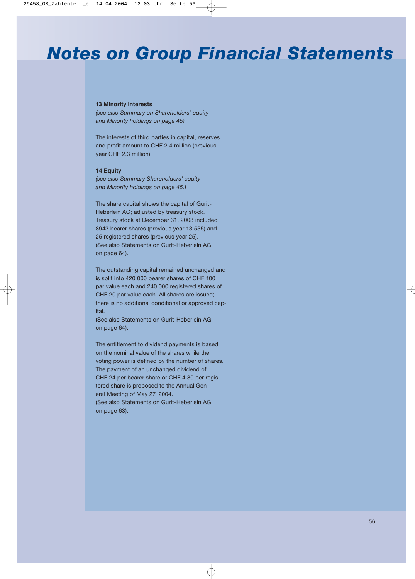## *Notes on Group Financial Statements*

#### **13 Minority interests**

*(see also Summary on Shareholders' equity and Minority holdings on page 45)*

The interests of third parties in capital, reserves and profit amount to CHF 2.4 million (previous year CHF 2.3 million).

#### **14 Equity**

*(see also Summary Shareholders' equity and Minority holdings on page 45.)*

The share capital shows the capital of Gurit-Heberlein AG; adjusted by treasury stock. Treasury stock at December 31, 2003 included 8943 bearer shares (previous year 13 535) and 25 registered shares (previous year 25). (See also Statements on Gurit-Heberlein AG on page 64).

The outstanding capital remained unchanged and is split into 420 000 bearer shares of CHF 100 par value each and 240 000 registered shares of CHF 20 par value each. All shares are issued; there is no additional conditional or approved capital.

(See also Statements on Gurit-Heberlein AG on page 64).

The entitlement to dividend payments is based on the nominal value of the shares while the voting power is defined by the number of shares. The payment of an unchanged dividend of CHF 24 per bearer share or CHF 4.80 per registered share is proposed to the Annual General Meeting of May 27, 2004. (See also Statements on Gurit-Heberlein AG on page 63).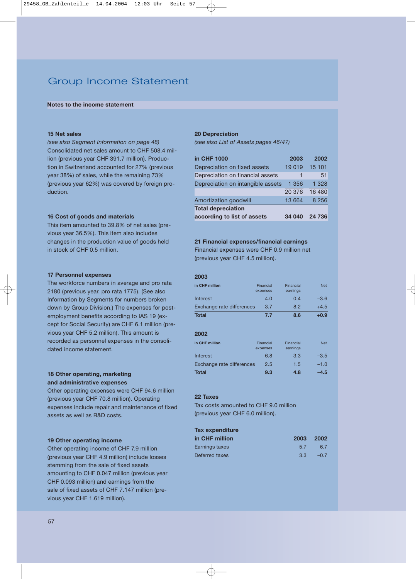## Group Income Statement

#### **Notes to the income statement**

#### **15 Net sales**

*(see also Segment Information on page 48)* Consolidated net sales amount to CHF 508.4 million (previous year CHF 391.7 million). Production in Switzerland accounted for 27% (previous year 38%) of sales, while the remaining 73% (previous year 62%) was covered by foreign production.

#### **16 Cost of goods and materials**

This item amounted to 39.8% of net sales (previous year 36.5%). This item also includes changes in the production value of goods held in stock of CHF 0.5 million.

#### **17 Personnel expenses**

The workforce numbers in average and pro rata 2180 (previous year, pro rata 1775). (See also Information by Segments for numbers broken down by Group Division.) The expenses for postemployment benefits according to IAS 19 (except for Social Security) are CHF 6.1 million (previous year CHF 5.2 million). This amount is recorded as personnel expenses in the consolidated income statement.

#### **18 Other operating, marketing and administrative expenses**

Other operating expenses were CHF 94.6 million (previous year CHF 70.8 million). Operating expenses include repair and maintenance of fixed assets as well as R&D costs.

#### **19 Other operating income**

Other operating income of CHF 7.9 million (previous year CHF 4.9 million) include losses stemming from the sale of fixed assets amounting to CHF 0.047 million (previous year CHF 0.093 million) and earnings from the sale of fixed assets of CHF 7.147 million (previous year CHF 1.619 million).

#### **20 Depreciation**

*(see also List of Assets pages 46/47)*

| in CHF 1000                       | 2003   | 2002    |
|-----------------------------------|--------|---------|
| Depreciation on fixed assets      | 19 019 | 15 101  |
| Depreciation on financial assets  |        | 51      |
| Depreciation on intangible assets | 1 356  | 1 3 2 8 |
|                                   | 20 376 | 16 480  |
| Amortization goodwill             | 13 664 | 8 2 5 6 |
| <b>Total depreciation</b>         |        |         |
| according to list of assets       | 34 040 | 24 736  |

#### **21 Financial expenses/financial earnings**

Financial expenses were CHF 0.9 million net (previous year CHF 4.5 million).

#### **2003**

| in CHF million            | Financial<br>expenses | Financial<br>earnings | <b>Net</b> |
|---------------------------|-----------------------|-----------------------|------------|
| Interest                  | 4.0                   | 0.4                   | $-3.6$     |
| Exchange rate differences | 3.7                   | 8.2                   | $+4.5$     |
| <b>Total</b>              | 7.7                   | 8.6                   | $+0.9$     |
|                           |                       |                       |            |

#### **2002**

| in CHF million            | Financial<br>expenses | Financial<br>earnings | <b>Net</b> |
|---------------------------|-----------------------|-----------------------|------------|
| Interest                  | 6.8                   | 3.3                   | $-3.5$     |
| Exchange rate differences | 2.5                   | 1.5                   | $-1.0$     |
| <b>Total</b>              | 9.3                   | 4.8                   | $-4.5$     |

#### **22 Taxes**

Tax costs amounted to CHF 9.0 million (previous year CHF 6.0 million).

#### **Tax expenditure**

| in CHF million        |                 | 2003 2002 |
|-----------------------|-----------------|-----------|
| <b>Earnings taxes</b> | 57              | -6.7      |
| Deferred taxes        | 33 <sup>3</sup> | $-0.7$    |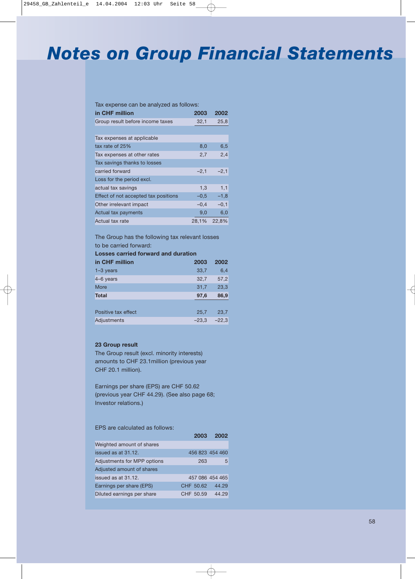## *Notes on Group Financial Statements*

#### Tax expense can be analyzed as follows:

| in CHF million                       | 2003   | 2002   |
|--------------------------------------|--------|--------|
| Group result before income taxes     | 32,1   | 25,8   |
|                                      |        |        |
| Tax expenses at applicable           |        |        |
| tax rate of 25%                      | 8,0    | 6,5    |
| Tax expenses at other rates          | 2,7    | 2,4    |
| Tax savings thanks to losses         |        |        |
| carried forward                      | $-2,1$ | $-2,1$ |
| Loss for the period excl.            |        |        |
| actual tax savings                   | 1,3    | 1,1    |
| Effect of not accepted tax positions | $-0.5$ | $-1,8$ |
| Other irrelevant impact              | $-0,4$ | $-0,1$ |
| Actual tax payments                  | 9,0    | 6,0    |
| Actual tax rate                      | 28,1%  | 22,8%  |

The Group has the following tax relevant losses to be carried forward:

#### **Losses carried forward and duration**

|      | 2002            |
|------|-----------------|
| 33,7 | 6,4             |
| 32,7 | 57,2            |
| 31,7 | 23,3            |
| 97,6 | 86,9            |
|      |                 |
| 25,7 | 23,7            |
|      | $-22.3$         |
|      | 2003<br>$-23,3$ |

#### **23 Group result**

The Group result (excl. minority interests) amounts to CHF 23.1million (previous year CHF 20.1 million).

Earnings per share (EPS) are CHF 50.62 (previous year CHF 44.29). (See also page 68; Investor relations.)

EPS are calculated as follows:

|                             | 2003      | 2002            |
|-----------------------------|-----------|-----------------|
| Weighted amount of shares   |           |                 |
| issued as at 31.12.         |           | 456 823 454 460 |
| Adjustments for MPP options | 263       | 5.              |
| Adjusted amount of shares   |           |                 |
| issued as at 31.12.         |           | 457 086 454 465 |
| Earnings per share (EPS)    | CHF 50.62 | 44.29           |
| Diluted earnings per share  | CHF 50.59 | 44.29           |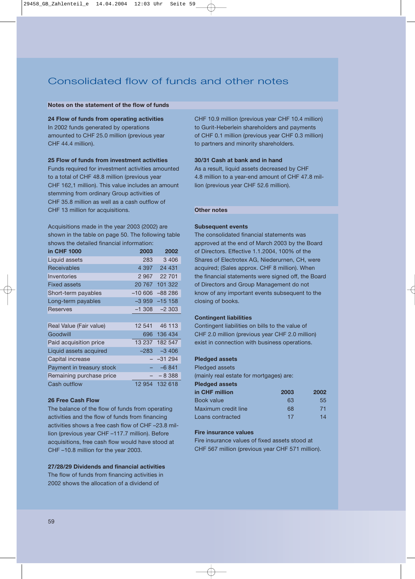## Consolidated flow of funds and other notes

#### **Notes on the statement of the flow of funds**

#### **24 Flow of funds from operating activities**

In 2002 funds generated by operations amounted to CHF 25.0 million (previous year CHF 44.4 million).

#### **25 Flow of funds from investment activities**

Funds required for investment activities amounted to a total of CHF 48.8 million (previous year CHF 162,1 million). This value includes an amount stemming from ordinary Group activities of CHF 35.8 million as well as a cash outflow of CHF 13 million for acquisitions.

Acquisitions made in the year 2003 (2002) are shown in the table on page 50. The following table shows the detailed financial information:

| in CHF 1000               | 2003      | 2002            |
|---------------------------|-----------|-----------------|
| Liquid assets             | 283       | 3 4 0 6         |
| Receivables               | 4 397     | 24 4 31         |
| Inventories               | 2 967     | 22 701          |
| <b>Fixed assets</b>       | 20 767    | 101 322         |
| Short-term payables       | $-10,606$ | $-88286$        |
| Long-term payables        |           | $-3959 - 15158$ |
| <b>Reserves</b>           | –1 308    | $-2303$         |
|                           |           |                 |
| Real Value (Fair value)   | 12 541    | 46 113          |
| Goodwill                  |           | 696 136 434     |
| Paid acquisition price    |           | 13 237 182 547  |
| Liquid assets acquired    | –283      | $-3406$         |
| Capital increase          |           | $-31294$        |
| Payment in treasury stock |           | $-6841$         |
| Remaining purchase price  |           | $-8,388$        |
| Cash outflow              |           | 12 954 132 618  |

#### **26 Free Cash Flow**

The balance of the flow of funds from operating activities and the flow of funds from financing activities shows a free cash flow of CHF –23.8 million (previous year CHF –117.7 million). Before acquisitions, free cash flow would have stood at CHF –10.8 million for the year 2003.

**27/28/29 Dividends and financial activities** The flow of funds from financing activities in 2002 shows the allocation of a dividend of

CHF 10.9 million (previous year CHF 10.4 million) to Gurit-Heberlein shareholders and payments of CHF 0.1 million (previous year CHF 0.3 million) to partners and minority shareholders.

#### **30/31 Cash at bank and in hand**

As a result, liquid assets decreased by CHF 4.8 million to a year-end amount of CHF 47.8 million (previous year CHF 52.6 million).

#### **Other notes**

#### **Subsequent events**

The consolidated financial statements was approved at the end of March 2003 by the Board of Directors. Effective 1.1.2004, 100% of the Shares of Electrotex AG, Niederurnen, CH, were acquired; (Sales approx. CHF 8 million). When the financial statements were signed off, the Board of Directors and Group Management do not know of any important events subsequent to the closing of books.

#### **Contingent liabilities**

Contingent liabilities on bills to the value of CHF 2.0 million (previous year CHF 2.0 million) exist in connection with business operations.

#### **Pledged assets**

#### Pledged assets

(mainly real estate for mortgages) are:

#### **Pledged assets**

| in CHF million      | 2003 | 2002 |
|---------------------|------|------|
| Book value          | 63   | 55   |
| Maximum credit line | 68   | 71   |
| Loans contracted    | 17   | 14   |

#### **Fire insurance values**

Fire insurance values of fixed assets stood at CHF 567 million (previous year CHF 571 million).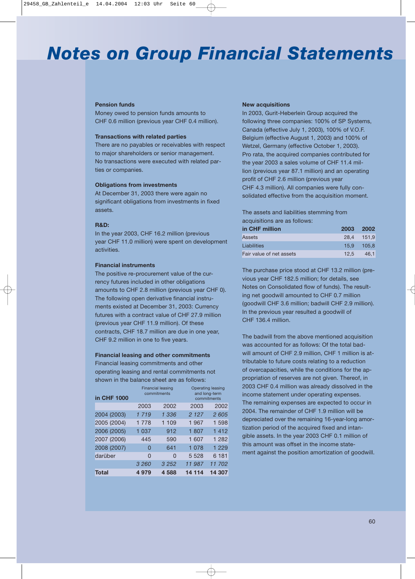## *Notes on Group Financial Statements*

#### **Pension funds**

Money owed to pension funds amounts to CHF 0.6 million (previous year CHF 0.4 million).

#### **Transactions with related parties**

There are no payables or receivables with respect to major shareholders or senior management. No transactions were executed with related parties or companies.

#### **Obligations from investments**

At December 31, 2003 there were again no significant obligations from investments in fixed assets.

#### **R&D:**

In the year 2003, CHF 16.2 million (previous year CHF 11.0 million) were spent on development activities.

#### **Financial instruments**

The positive re-procurement value of the currency futures included in other obligations amounts to CHF 2.8 million (previous year CHF 0). The following open derivative financial instruments existed at December 31, 2003: Currency futures with a contract value of CHF 27.9 million (previous year CHF 11.9 million). Of these contracts, CHF 18.7 million are due in one year, CHF 9.2 million in one to five years.

#### **Financial leasing and other commitments**

Financial leasing commitments and other operating leasing and rental commitments not shown in the balance sheet are as follows:

| <b>in CHF 1000</b> | <b>Financial leasing</b><br>commitments |          |         | <b>Operating leasing</b><br>and long-term<br>commitments |  |  |  |
|--------------------|-----------------------------------------|----------|---------|----------------------------------------------------------|--|--|--|
|                    | 2003                                    | 2002     | 2003    | 2002                                                     |  |  |  |
| 2004 (2003)        | 1 719                                   | 1 336    | 2 1 2 7 | 2 605                                                    |  |  |  |
| 2005 (2004)        | 1 7 7 8                                 | 1 109    | 1 967   | 1 5 9 8                                                  |  |  |  |
| 2006 (2005)        | 1 0 3 7                                 | 912      | 1807    | 1412                                                     |  |  |  |
| 2007 (2006)        | 445                                     | 590      | 1 607   | 1 2 8 2                                                  |  |  |  |
| 2008 (2007)        | $\Omega$                                | 641      | 1 0 7 8 | 1 2 2 9                                                  |  |  |  |
| darüber            | 0                                       | $\Omega$ | 5 5 2 8 | 6 181                                                    |  |  |  |
|                    | 3 260                                   | 3 2 5 2  | 11 987  | 11 702                                                   |  |  |  |
| Total              | 4979                                    | 4588     | 14 114  | 14 307                                                   |  |  |  |

#### **New acquisitions**

In 2003, Gurit-Heberlein Group acquired the following three companies: 100% of SP Systems, Canada (effective July 1, 2003), 100% of V.O.F. Belgium (effective August 1, 2003) and 100% of Wetzel, Germany (effective October 1, 2003). Pro rata, the acquired companies contributed for the year 2003 a sales volume of CHF 11.4 million (previous year 87.1 million) and an operating profit of CHF 2.6 million (previous year CHF 4.3 million). All companies were fully consolidated effective from the acquisition moment.

The assets and liabilities stemming from acquisitions are as follows:

| in CHF million           | 2003 | -2002      |
|--------------------------|------|------------|
| <b>Assets</b>            |      | 28.4 151.9 |
| Liabilities              |      | 15.9 105.8 |
| Fair value of net assets | 12.5 | 46.1       |

The purchase price stood at CHF 13.2 million (previous year CHF 182.5 million; for details, see Notes on Consolidated flow of funds). The resulting net goodwill amounted to CHF 0.7 million (goodwill CHF 3.6 million; badwill CHF 2.9 million). In the previous year resulted a goodwill of CHF 136.4 million.

The badwill from the above mentioned acquisition was accounted for as follows: Of the total badwill amount of CHF 2.9 million, CHF 1 million is attributable to future costs relating to a reduction of overcapacities, while the conditions for the appropriation of reserves are not given. Thereof, in 2003 CHF 0.4 million was already dissolved in the income statement under operating expenses. The remaining expenses are expected to occur in 2004. The remainder of CHF 1.9 million will be depreciated over the remaining 16-year-long amortization period of the acquired fixed and intangible assets. In the year 2003 CHF 0.1 million of this amount was offset in the income statement against the position amortization of goodwill.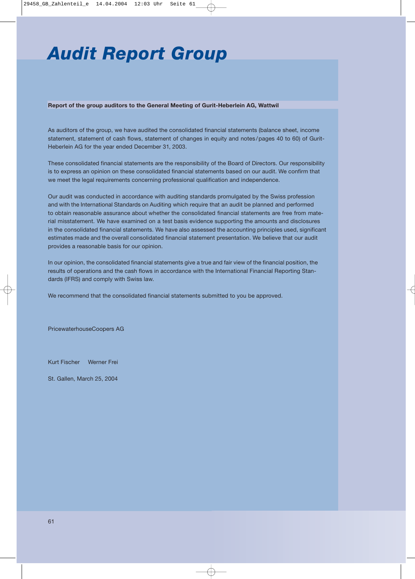# *Audit Report Group*

#### **Report of the group auditors to the General Meeting of Gurit-Heberlein AG, Wattwil**

As auditors of the group, we have audited the consolidated financial statements (balance sheet, income statement, statement of cash flows, statement of changes in equity and notes/pages 40 to 60) of Gurit-Heberlein AG for the year ended December 31, 2003.

These consolidated financial statements are the responsibility of the Board of Directors. Our responsibility is to express an opinion on these consolidated financial statements based on our audit. We confirm that we meet the legal requirements concerning professional qualification and independence.

Our audit was conducted in accordance with auditing standards promulgated by the Swiss profession and with the International Standards on Auditing which require that an audit be planned and performed to obtain reasonable assurance about whether the consolidated financial statements are free from material misstatement. We have examined on a test basis evidence supporting the amounts and disclosures in the consolidated financial statements. We have also assessed the accounting principles used, significant estimates made and the overall consolidated financial statement presentation. We believe that our audit provides a reasonable basis for our opinion.

In our opinion, the consolidated financial statements give a true and fair view of the financial position, the results of operations and the cash flows in accordance with the International Financial Reporting Standards (IFRS) and comply with Swiss law.

We recommend that the consolidated financial statements submitted to you be approved.

PricewaterhouseCoopers AG

Kurt Fischer Werner Frei

St. Gallen, March 25, 2004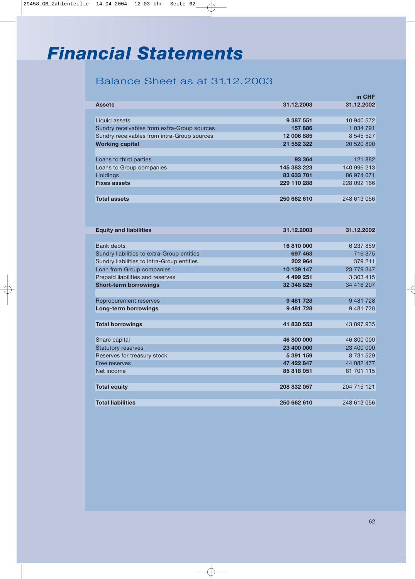# *Financial Statements*

**Total liabilities**

## Balance Sheet as at 31.12.2003

|                                             |             | in CHF      |
|---------------------------------------------|-------------|-------------|
| <b>Assets</b>                               | 31.12.2003  | 31.12.2002  |
|                                             |             |             |
| Liquid assets                               | 9 387 551   | 10 940 572  |
| Sundry receivables from extra-Group sources | 157886      | 1 034 791   |
| Sundry receivables from intra-Group sources | 12 006 885  | 8 545 527   |
| <b>Working capital</b>                      | 21 552 322  | 20 520 890  |
|                                             |             |             |
| Loans to third parties                      | 93 364      | 121 882     |
| Loans to Group companies                    | 145 383 223 | 140 996 213 |
| <b>Holdings</b>                             | 83 633 701  | 86 974 071  |
| <b>Fixes assets</b>                         | 229 110 288 | 228 092 166 |
|                                             |             |             |
| <b>Total assets</b>                         | 250 662 610 | 248 613 056 |
|                                             |             |             |
|                                             |             |             |
|                                             |             |             |
| <b>Equity and liabilities</b>               | 31.12.2003  | 31.12.2002  |
|                                             |             |             |
| <b>Bank debts</b>                           | 16810000    | 6 237 859   |
| Sundry liabilities to extra-Group entities  | 697 463     | 716 375     |
| Sundry liabilities to intra-Group entities  | 202 964     | 379 211     |
| Loan from Group companies                   | 10 139 147  | 23 779 347  |
| Prepaid liabilities and reserves            | 4 499 251   | 3 303 415   |
| <b>Short-term borrowings</b>                | 32 348 825  | 34 416 207  |
|                                             |             |             |
| Reprocurement reserves                      | 9 481 728   | 9 481 728   |
| <b>Long-term borrowings</b>                 | 9 481 728   | 9 481 728   |
|                                             |             |             |
| <b>Total borrowings</b>                     | 41 830 553  | 43 897 935  |
|                                             |             |             |
| Share capital                               | 46 800 000  | 46 800 000  |
| <b>Statutory reserves</b>                   | 23 400 000  | 23 400 000  |
| Reserves for treasury stock                 | 5 391 159   | 8 731 529   |
| Free reserves                               | 47 422 847  | 44 082 477  |
| Net income                                  | 85 818 051  | 81 701 115  |
|                                             |             |             |
| <b>Total equity</b>                         | 208 832 057 | 204 715 121 |

**250 662 610** 248 613 056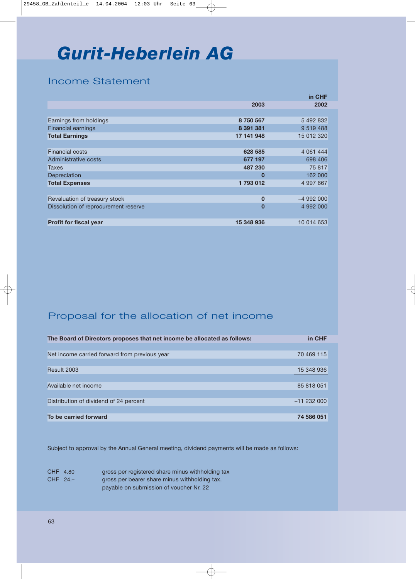## *Gurit-Heberlein AG*

## Income Statement

|                                      |            | in CHF      |
|--------------------------------------|------------|-------------|
|                                      | 2003       | 2002        |
|                                      |            |             |
| Earnings from holdings               | 8 750 567  | 5 492 832   |
| <b>Financial earnings</b>            | 8 391 381  | 9 519 488   |
| <b>Total Earnings</b>                | 17 141 948 | 15 012 320  |
|                                      |            |             |
| <b>Financial costs</b>               | 628 585    | 4 0 61 4 44 |
| Administrative costs                 | 677 197    | 698 406     |
| <b>Taxes</b>                         | 487 230    | 75 817      |
| Depreciation                         | $\bf{0}$   | 162 000     |
| <b>Total Expenses</b>                | 1793012    | 4 997 667   |
|                                      |            |             |
| Revaluation of treasury stock        | $\bf{0}$   | $-4992000$  |
| Dissolution of reprocurement reserve | $\bf{0}$   | 4 992 000   |
|                                      |            |             |
| <b>Profit for fiscal year</b>        | 15 348 936 | 10 014 653  |

## Proposal for the allocation of net income

| The Board of Directors proposes that net income be allocated as follows: | in CHF        |
|--------------------------------------------------------------------------|---------------|
|                                                                          |               |
| Net income carried forward from previous year                            | 70 469 115    |
|                                                                          |               |
| Result 2003                                                              | 15 348 936    |
|                                                                          |               |
| Available net income                                                     | 85 818 051    |
|                                                                          |               |
| Distribution of dividend of 24 percent                                   | $-11$ 232 000 |
|                                                                          |               |
| To be carried forward                                                    | 74 586 051    |

Subject to approval by the Annual General meeting, dividend payments will be made as follows:

| CHF 4.80 | gross per registered share minus withholding tax |
|----------|--------------------------------------------------|
| CHF 24.– | gross per bearer share minus withholding tax,    |
|          | payable on submission of voucher Nr. 22          |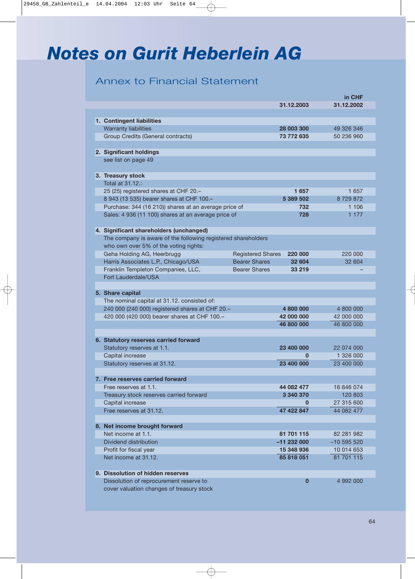# *Notes on Gurit Heberlein AG*

## Annex to Financial Statement

|                                                               |                          |               | in CHF      |
|---------------------------------------------------------------|--------------------------|---------------|-------------|
|                                                               |                          | 31.12.2003    | 31.12.2002  |
|                                                               |                          |               |             |
| 1. Contingent liabilities                                     |                          |               |             |
| <b>Warranty liabilities</b>                                   |                          | 28 003 300    | 49 326 346  |
| Group Credits (General contracts)                             |                          | 73 772 635    | 50 236 960  |
|                                                               |                          |               |             |
| 2. Significant holdings                                       |                          |               |             |
| see list on page 49                                           |                          |               |             |
|                                                               |                          |               |             |
| 3. Treasury stock                                             |                          |               |             |
| Total at 31.12.:                                              |                          |               |             |
| 25 (25) registered shares at CHF 20 .-                        |                          | 1657          | 1657        |
| 8 943 (13 535) bearer shares at CHF 100 .-                    |                          | 5 389 502     | 8729872     |
| Purchase: 344 (16 210)) shares at an average price of         |                          | 732           | 1 106       |
| Sales: 4 936 (11 100) shares at an average price of           |                          | 728           | 1 1 7 7     |
|                                                               |                          |               |             |
| 4. Significant shareholders (unchanged)                       |                          |               |             |
| The company is aware of the following registered shareholders |                          |               |             |
| who own over 5% of the voting rights:                         |                          |               |             |
| Geha Holding AG, Heerbrugg                                    | <b>Registered Shares</b> | 220 000       | 220 000     |
| Harris Associates L.P., Chicago/USA                           | <b>Bearer Shares</b>     | 32 604        | 32 604      |
| Franklin Templeton Companies, LLC,                            | <b>Bearer Shares</b>     | 33 219        |             |
| Fort Lauderdale/USA                                           |                          |               |             |
|                                                               |                          |               |             |
| 5. Share capital                                              |                          |               |             |
| The nominal capital at 31.12. consisted of:                   |                          |               |             |
| 240 000 (240 000) registered shares at CHF 20 .-              |                          | 4800000       | 4 800 000   |
| 420 000 (420 000) bearer shares at CHF 100 .-                 |                          | 42 000 000    | 42 000 000  |
|                                                               |                          | 46 800 000    | 46 800 000  |
|                                                               |                          |               |             |
| 6. Statutory reserves carried forward                         |                          |               |             |
| Statutory reserves at 1.1.                                    |                          | 23 400 000    | 22 074 000  |
| Capital increase                                              |                          | 0             | 1 326 000   |
| Statutory reserves at 31.12.                                  |                          | 23 400 000    | 23 400 000  |
|                                                               |                          |               |             |
| <b>Free reserves carried forward</b>                          |                          |               |             |
| Free reserves at 1.1.                                         |                          | 44 082 477    | 16 646 074  |
| Treasury stock reserves carried forward                       |                          | 3 340 370     | 120 803     |
| Capital increase                                              |                          | 0             | 27 315 600  |
| Free reserves at 31.12.                                       |                          | 47 422 847    | 44 082 477  |
|                                                               |                          |               |             |
| 8. Net income brought forward                                 |                          |               |             |
| Net income at 1.1.                                            |                          | 81 701 115    | 82 281 982  |
| Dividend distribution                                         |                          | $-11$ 232 000 | $-10595520$ |
| Profit for fiscal year                                        |                          | 15 348 936    | 10 014 653  |
| Net income at 31.12.                                          |                          | 85 818 051    | 81 701 115  |
|                                                               |                          |               |             |
| 9. Dissolution of hidden reserves                             |                          |               |             |
| Dissolution of reprocurement reserve to                       |                          | 0             | 4 992 000   |
| cover valuation changes of treasury stock                     |                          |               |             |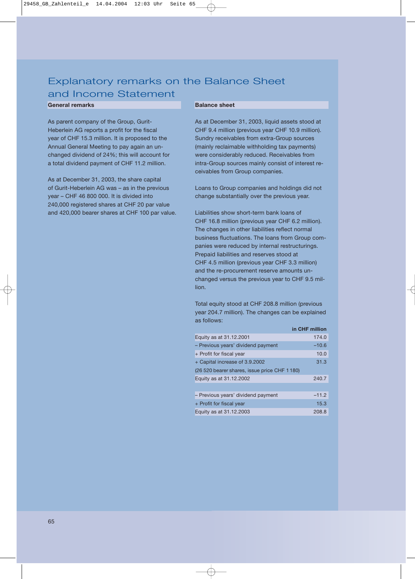## Explanatory remarks on the Balance Sheet and Income Statement

#### **General remarks**

As parent company of the Group, Gurit-Heberlein AG reports a profit for the fiscal year of CHF 15.3 million. It is proposed to the Annual General Meeting to pay again an unchanged dividend of 24%; this will account for a total dividend payment of CHF 11.2 million.

As at December 31, 2003, the share capital of Gurit-Heberlein AG was – as in the previous year – CHF 46 800 000. It is divided into 240,000 registered shares at CHF 20 par value and 420,000 bearer shares at CHF 100 par value.

#### **Balance sheet**

As at December 31, 2003, liquid assets stood at CHF 9.4 million (previous year CHF 10.9 million). Sundry receivables from extra-Group sources (mainly reclaimable withholding tax payments) were considerably reduced. Receivables from intra-Group sources mainly consist of interest receivables from Group companies.

Loans to Group companies and holdings did not change substantially over the previous year.

Liabilities show short-term bank loans of CHF 16.8 million (previous year CHF 6.2 million). The changes in other liabilities reflect normal business fluctuations. The loans from Group companies were reduced by internal restructurings. Prepaid liabilities and reserves stood at CHF 4.5 million (previous year CHF 3.3 million) and the re-procurement reserve amounts unchanged versus the previous year to CHF 9.5 million.

Total equity stood at CHF 208.8 million (previous year 204.7 million). The changes can be explained as follows:

|                                              | in CHF million |
|----------------------------------------------|----------------|
| Equity as at 31.12.2001                      | 174.0          |
| - Previous years' dividend payment           | $-10.6$        |
| + Profit for fiscal year                     | 10.0           |
| + Capital increase of 3.9.2002               | 31.3           |
| (26 520 bearer shares, issue price CHF 1180) |                |
| Equity as at 31.12.2002                      | 240.7          |
|                                              |                |
| - Previous years' dividend payment           | $-11.2$        |
| + Profit for fiscal year                     | 15.3           |
| Equity as at 31.12.2003                      | 208.8          |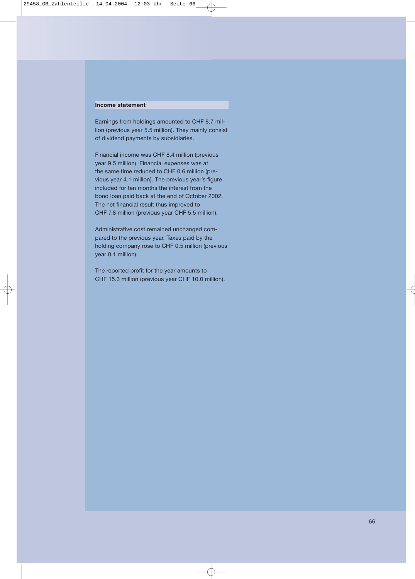#### **Income statement**

Earnings from holdings amounted to CHF 8.7 million (previous year 5.5 million). They mainly consist of dividend payments by subsidiaries.

Financial income was CHF 8.4 million (previous year 9.5 million). Financial expenses was at the same time reduced to CHF 0.6 million (previous year 4.1 million). The previous year's figure included for ten months the interest from the bond loan paid back at the end of October 2002. The net financial result thus improved to CHF 7.8 million (previous year CHF 5.5 million).

Administrative cost remained unchanged compared to the previous year. Taxes paid by the holding company rose to CHF 0.5 million (previous year 0.1 million).

The reported profit for the year amounts to CHF 15.3 million (previous year CHF 10.0 million).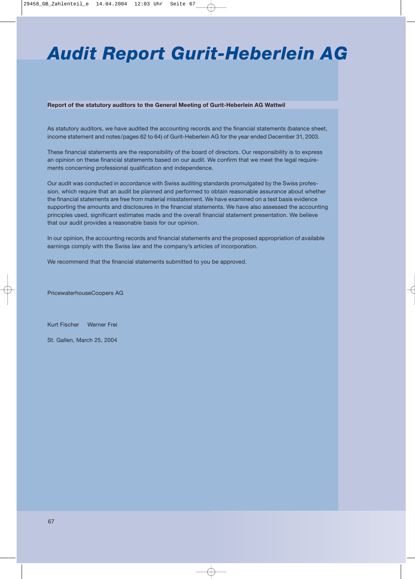# *Audit Report Gurit-Heberlein AG*

#### **Report of the statutory auditors to the General Meeting of Gurit-Heberlein AG Wattwil**

As statutory auditors, we have audited the accounting records and the financial statements (balance sheet, income statement and notes/pages 62 to 64) of Gurit-Heberlein AG for the year ended December 31, 2003.

These financial statements are the responsibility of the board of directors. Our responsibility is to express an opinion on these financial statements based on our audit. We confirm that we meet the legal requirements concerning professional qualification and independence.

Our audit was conducted in accordance with Swiss auditing standards promulgated by the Swiss profession, which require that an audit be planned and performed to obtain reasonable assurance about whether the financial statements are free from material misstatement. We have examined on a test basis evidence supporting the amounts and disclosures in the financial statements. We have also assessed the accounting principles used, significant estimates made and the overall financial statement presentation. We believe that our audit provides a reasonable basis for our opinion.

In our opinion, the accounting records and financial statements and the proposed appropriation of available earnings comply with the Swiss law and the company's articles of incorporation.

We recommend that the financial statements submitted to you be approved.

PricewaterhouseCoopers AG

Kurt Fischer Werner Frei

St. Gallen, March 25, 2004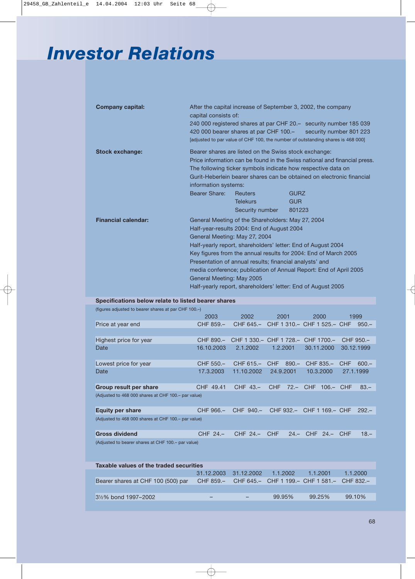# *Investor Relations*

| <b>Company capital:</b>    | After the capital increase of September 3, 2002, the company<br>capital consists of:<br>240 000 registered shares at par CHF 20. - security number 185 039<br>420 000 bearer shares at par CHF 100.-<br>security number 801 223<br>[adjusted to par value of CHF 100, the number of outstanding shares is 468 000] |                                                                                                                                                                               |                                                                                                                                                                                                                                                                      |  |
|----------------------------|--------------------------------------------------------------------------------------------------------------------------------------------------------------------------------------------------------------------------------------------------------------------------------------------------------------------|-------------------------------------------------------------------------------------------------------------------------------------------------------------------------------|----------------------------------------------------------------------------------------------------------------------------------------------------------------------------------------------------------------------------------------------------------------------|--|
| <b>Stock exchange:</b>     | information systems:<br>Bearer Share:                                                                                                                                                                                                                                                                              | Bearer shares are listed on the Swiss stock exchange:<br><b>Reuters</b><br><b>Telekurs</b>                                                                                    | Price information can be found in the Swiss national and financial press.<br>The following ticker symbols indicate how respective data on<br>Gurit-Heberlein bearer shares can be obtained on electronic financial<br><b>GURZ</b><br><b>GUR</b><br>801223            |  |
| <b>Financial calendar:</b> | General Meeting: May 27, 2004<br>General Meeting: May 2005                                                                                                                                                                                                                                                         | Security number<br>General Meeting of the Shareholders: May 27, 2004<br>Half-year-results 2004: End of August 2004<br>Presentation of annual results; financial analysts' and | Half-yearly report, shareholders' letter: End of August 2004<br>Key figures from the annual results for 2004: End of March 2005<br>media conference; publication of Annual Report: End of April 2005<br>Half-yearly report, shareholders' letter: End of August 2005 |  |

#### **Specifications below relate to listed bearer shares**

| (figures adjusted to bearer shares at par CHF 100.-) |             |             |                                       |                    |                       |  |
|------------------------------------------------------|-------------|-------------|---------------------------------------|--------------------|-----------------------|--|
|                                                      | 2003        | 2002        | 2001                                  | 2000               | 1999                  |  |
| Price at year end                                    | CHF 859.-   | CHF $645 -$ | CHF 1 310 - CHF 1 525 - CHF           |                    | $950 -$               |  |
|                                                      |             |             |                                       |                    |                       |  |
| Highest price for year                               | CHF $890 -$ |             | CHF 1 330. - CHF 1 728. - CHF 1700. - |                    | CHF $950 -$           |  |
| Date                                                 | 16.10.2003  | 2.1.2002    | 1.2.2001                              | 30.11.2000         | 30.12.1999            |  |
|                                                      |             |             |                                       |                    |                       |  |
| Lowest price for year                                | CHF 550.-   | CHF $615 -$ | <b>CHF</b><br>$890 -$                 | CHF 835.-          | <b>CHF</b><br>$600 -$ |  |
| Date                                                 | 17.3.2003   | 11.10.2002  | 24.9.2001                             | 10.3.2000          | 27.1.1999             |  |
|                                                      |             |             |                                       |                    |                       |  |
| Group result per share                               | CHF 49.41   | CHF $43-$   | <b>CHF</b>                            | 72.- CHF 106.- CHF | $83 -$                |  |
| (Adjusted to 468 000 shares at CHF 100 .- par value) |             |             |                                       |                    |                       |  |
|                                                      |             |             |                                       |                    |                       |  |
| <b>Equity per share</b>                              | CHF 966.-   | CHF 940.-   | CHF 932.-                             | CHF 1 169.– CHF    | $292 -$               |  |
| (Adjusted to 468 000 shares at CHF 100 .- par value) |             |             |                                       |                    |                       |  |

| <b>Gross dividend</b>                               | CHF 24.- CHF 24.- CHF 24.- CHF 24.- CHF 18.- |  |  |  |  |
|-----------------------------------------------------|----------------------------------------------|--|--|--|--|
| (Adjusted to bearer shares at CHF 100 .- par value) |                                              |  |  |  |  |

| Taxable values of the traded securities        |   |                                |        |                                                       |          |
|------------------------------------------------|---|--------------------------------|--------|-------------------------------------------------------|----------|
|                                                |   | 31.12.2003 31.12.2002 1.1.2002 |        | 1.1.2001                                              | 1.1.2000 |
| Bearer shares at CHF 100 (500) par             |   |                                |        | CHF 859.- CHF 645.- CHF 1 199.- CHF 1 581.- CHF 832.- |          |
|                                                |   |                                |        |                                                       |          |
| 3 <sup>1</sup> / <sub>2</sub> % bond 1997-2002 | - |                                | 99.95% | 99.25%                                                | 99.10%   |
|                                                |   |                                |        |                                                       |          |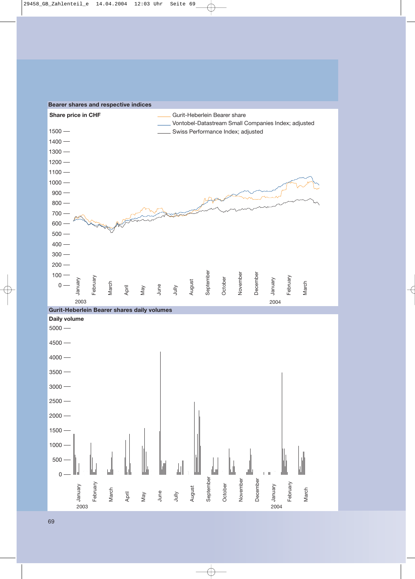

#### **Bearer shares and respective indices**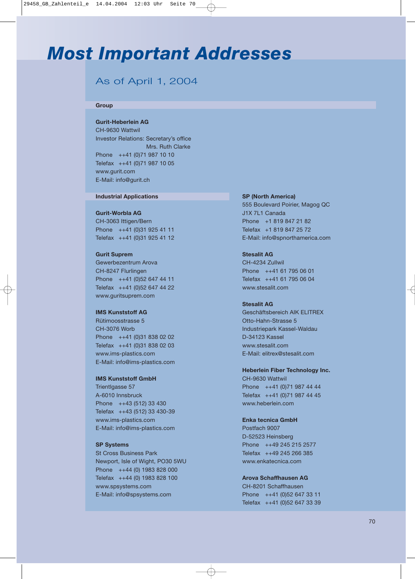## *Most Important Addresses*

## As of April 1, 2004

#### **Group**

#### **Gurit-Heberlein AG**

CH-9630 Wattwil Investor Relations: Secretary's office Mrs. Ruth Clarke Phone ++41 (0)71 987 10 10 Telefax ++41 (0)71 987 10 05 www.gurit.com E-Mail: info@gurit.ch

#### **Industrial Applications**

**Gurit-Worbla AG** CH-3063 Ittigen/Bern Phone ++41 (0)31 925 41 11 Telefax ++41 (0)31 925 41 12

#### **Gurit Suprem**

Gewerbezentrum Arova CH-8247 Flurlingen Phone ++41 (0)52 647 44 11 Telefax ++41 (0)52 647 44 22 www.guritsuprem.com

#### **IMS Kunststoff AG**

Rütimoosstrasse 5 CH-3076 Worb Phone ++41 (0)31 838 02 02 Telefax ++41 (0)31 838 02 03 www.ims-plastics.com E-Mail: info@ims-plastics.com

#### **IMS Kunststoff GmbH**

Trientlgasse 57 A-6010 Innsbruck Phone ++43 (512) 33 430 Telefax ++43 (512) 33 430-39 www.ims-plastics.com E-Mail: info@ims-plastics.com

#### **SP Systems**

St Cross Business Park Newport, Isle of Wight, PO30 5WU Phone ++44 (0) 1983 828 000 Telefax ++44 (0) 1983 828 100 www.spsystems.com E-Mail: info@spsystems.com

#### **SP (North America)**

555 Boulevard Poirier, Magog QC J1X 7L1 Canada Phone +1 819 847 21 82 Telefax +1 819 847 25 72 E-Mail: info@spnorthamerica.com

#### **Stesalit AG**

CH-4234 Zullwil Phone ++41 61 795 06 01 Telefax ++41 61 795 06 04 www.stesalit.com

#### **Stesalit AG**

Geschäftsbereich AIK ELITREX Otto-Hahn-Strasse 5 Industriepark Kassel-Waldau D-34123 Kassel www.stesalit.com E-Mail: elitrex@stesalit.com

#### **Heberlein Fiber Technology Inc.**

CH-9630 Wattwil Phone ++41 (0)71 987 44 44 Telefax ++41 (0)71 987 44 45 www.heberlein.com

#### **Enka tecnica GmbH**

Postfach 9007 D-52523 Heinsberg Phone ++49 245 215 2577 Telefax ++49 245 266 385 www.enkatecnica.com

#### **Arova Schaffhausen AG**

CH-8201 Schaffhausen Phone ++41 (0)52 647 33 11 Telefax ++41 (0)52 647 33 39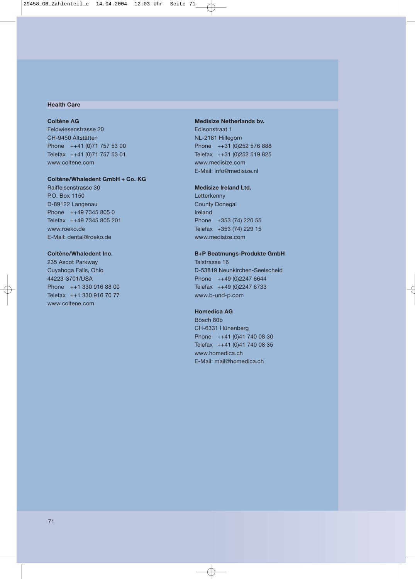#### **Health Care**

#### **Coltène AG**

Feldwiesenstrasse 20 CH-9450 Altstätten Phone ++41 (0)71 757 53 00 Telefax ++41 (0)71 757 53 01 www.coltene.com

#### **Coltène/Whaledent GmbH + Co. KG**

Raiffeisenstrasse 30 P.O. Box 1150 D-89122 Langenau Phone ++49 7345 805 0 Telefax ++49 7345 805 201 www.roeko.de E-Mail: dental@roeko.de

#### **Coltène/Whaledent Inc.**

235 Ascot Parkway Cuyahoga Falls, Ohio 44223-3701/USA Phone ++1 330 916 88 00 Telefax ++1 330 916 70 77 www.coltene.com

#### **Medisize Netherlands bv.**

Edisonstraat 1 NL-2181 Hillegom Phone ++31 (0)252 576 888 Telefax ++31 (0)252 519 825 www.medisize.com E-Mail: info@medisize.nl

#### **Medisize Ireland Ltd.**

**Letterkenny** County Donegal Ireland Phone +353 (74) 220 55 Telefax +353 (74) 229 15 www.medisize.com

#### **B+P Beatmungs-Produkte GmbH**

Talstrasse 16 D-53819 Neunkirchen-Seelscheid Phone ++49 (0)2247 6644 Telefax ++49 (0)2247 6733 www.b-und-p.com

#### **Homedica AG**

Bösch 80b CH-6331 Hünenberg Phone ++41 (0)41 740 08 30 Telefax ++41 (0)41 740 08 35 www.homedica.ch E-Mail: mail@homedica.ch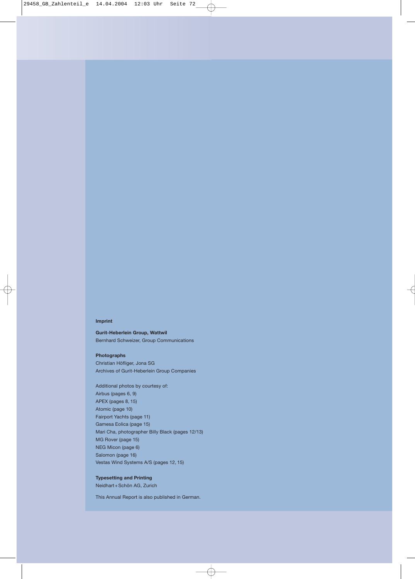## **Imprint**

**Gurit-Heberlein Group, Wattwil** Bernhard Schweizer, Group Communications

## **Photographs**

Christian Höfliger, Jona SG Archives of Gurit-Heberlein Group Companies

Additional photos by courtesy of: Airbus (pages 6, 9) APEX (pages 8, 15) Atomic (page 10) Fairport Yachts (page 11) Gamesa Eolica (page 15) Mari Cha, photographer Billy Black (pages 12/13) MG Rover (page 15) NEG Micon (page 6) Salomon (page 16) Vestas Wind Systems A/S (pages 12, 15)

## **Typesetting and Printing**

Neidhart+Schön AG, Zurich

This Annual Report is also published in German.